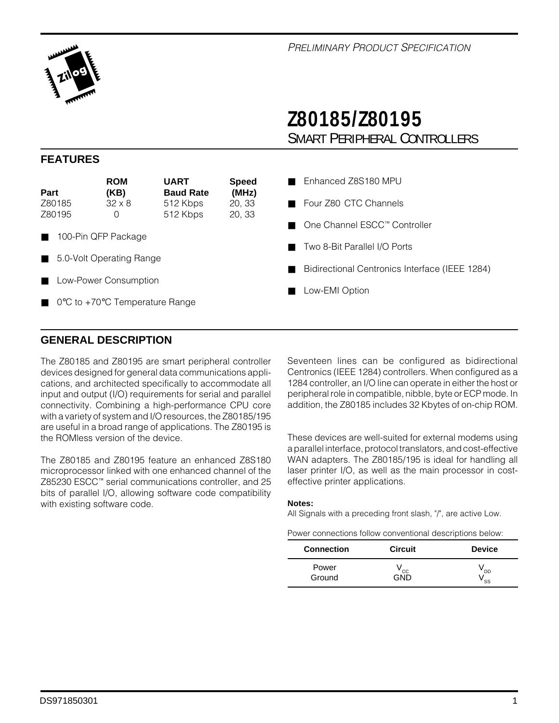

# **Z80185/Z80195** SMART PERIPHERAL CONTROLLERS

#### **FEATURES**

| Part   | <b>ROM</b><br>(KB)                                  | <b>UART</b><br><b>Baud Rate</b> | <b>Speed</b><br>(MHz) |
|--------|-----------------------------------------------------|---------------------------------|-----------------------|
| Z80185 | $32 \times 8$                                       | 512 Kbps                        | 20, 33                |
| Z80195 | 0                                                   | 512 Kbps                        | 20, 33                |
| п      | 100-Pin QFP Package                                 |                                 |                       |
| ш      | 5.0-Volt Operating Range                            |                                 |                       |
| п      | Low-Power Consumption                               |                                 |                       |
|        | $0^{\circ}$ C to +70 $^{\circ}$ C Temperature Range |                                 |                       |

- Enhanced Z8S180 MPU
- Four Z80 CTC Channels
- One Channel ESCC™ Controller
- Two 8-Bit Parallel I/O Ports
- Bidirectional Centronics Interface (IEEE 1284)
- Low-EMI Option

#### **GENERAL DESCRIPTION**

The Z80185 and Z80195 are smart peripheral controller devices designed for general data communications applications, and architected specifically to accommodate all input and output (I/O) requirements for serial and parallel connectivity. Combining a high-performance CPU core with a variety of system and I/O resources, the Z80185/195 are useful in a broad range of applications. The Z80195 is the ROMless version of the device.

The Z80185 and Z80195 feature an enhanced Z8S180 microprocessor linked with one enhanced channel of the Z85230 ESCC™ serial communications controller, and 25 bits of parallel I/O, allowing software code compatibility with existing software code.

Seventeen lines can be configured as bidirectional Centronics (IEEE 1284) controllers. When configured as a 1284 controller, an I/O line can operate in either the host or peripheral role in compatible, nibble, byte or ECP mode. In addition, the Z80185 includes 32 Kbytes of on-chip ROM.

These devices are well-suited for external modems using a parallel interface, protocol translators, and cost-effective WAN adapters. The Z80185/195 is ideal for handling all laser printer I/O, as well as the main processor in costeffective printer applications.

#### **Notes:**

All Signals with a preceding front slash, "/", are active Low.

| <b>Connection</b> | <b>Circuit</b> | <b>Device</b> |
|-------------------|----------------|---------------|
| Power<br>Ground   | CC             | DD<br>SS      |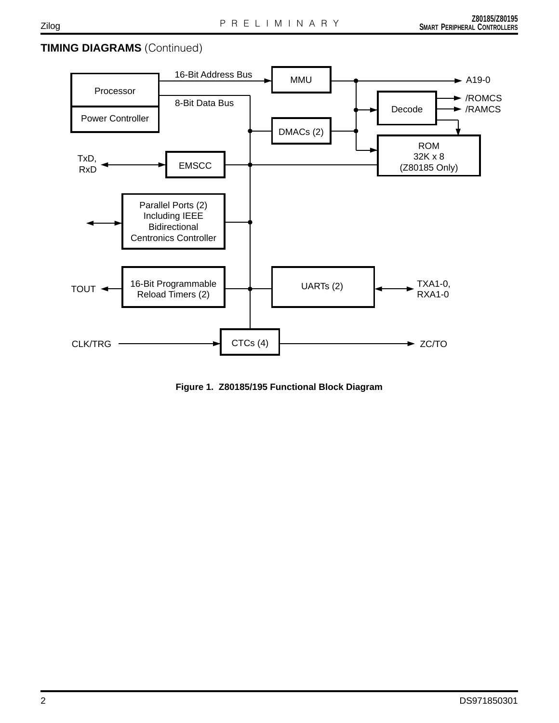### **TIMING DIAGRAMS** (Continued)



**Figure 1. Z80185/195 Functional Block Diagram**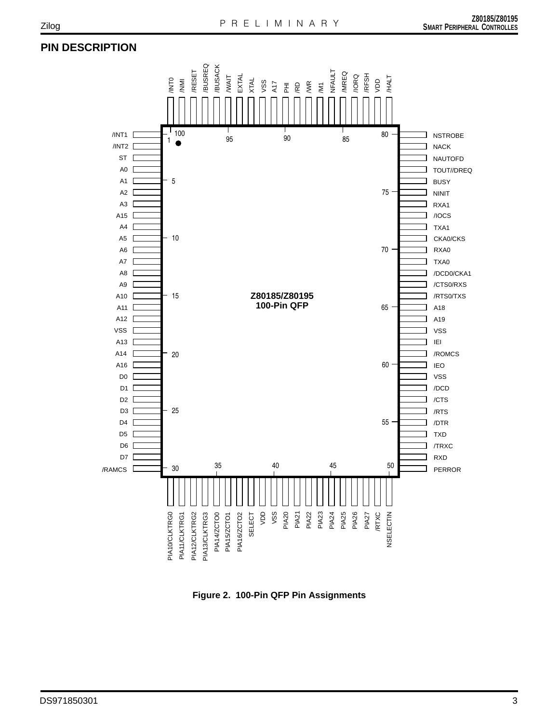## **PIN DESCRIPTION**



**Figure 2. 100-Pin QFP Pin Assignments**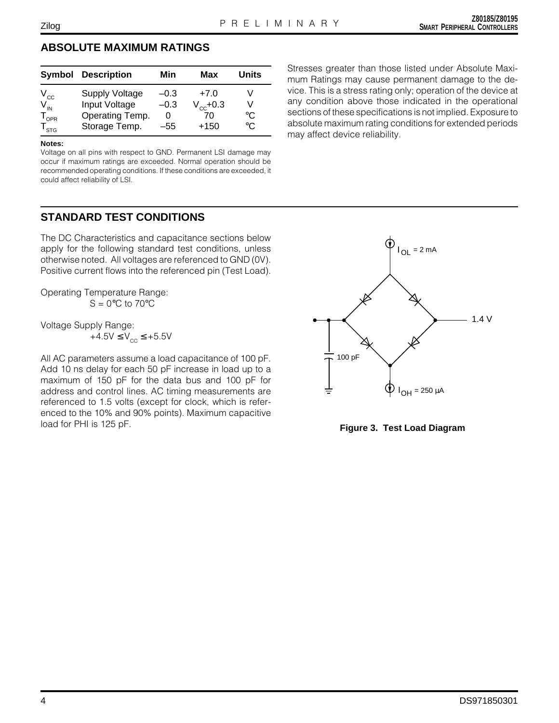#### **ABSOLUTE MAXIMUM RATINGS**

|                             | <b>Symbol Description</b> | Min    | Max           | Units       |
|-----------------------------|---------------------------|--------|---------------|-------------|
|                             | <b>Supply Voltage</b>     | $-0.3$ | $+7.0$        |             |
| $V_{\text{cc}}$             | Input Voltage             | $-0.3$ | $V_{cc}$ +0.3 |             |
| $\mathsf{T}_{\textsf{OPR}}$ | Operating Temp.           | O      | 70            | °C          |
| STG                         | Storage Temp.             | -55    | $+150$        | $^{\circ}C$ |

#### **Notes:**

Voltage on all pins with respect to GND. Permanent LSI damage may occur if maximum ratings are exceeded. Normal operation should be recommended operating conditions. If these conditions are exceeded, it could affect reliability of LSI.

#### **STANDARD TEST CONDITIONS**

The DC Characteristics and capacitance sections below apply for the following standard test conditions, unless otherwise noted. All voltages are referenced to GND (0V). Positive current flows into the referenced pin (Test Load).

Operating Temperature Range:  $S = 0^\circ C$  to 70 $\circ C$ 

Voltage Supply Range:

 $+4.5V \leq V_{cc} \leq +5.5V$ 

All AC parameters assume a load capacitance of 100 pF. Add 10 ns delay for each 50 pF increase in load up to a maximum of 150 pF for the data bus and 100 pF for address and control lines. AC timing measurements are referenced to 1.5 volts (except for clock, which is referenced to the 10% and 90% points). Maximum capacitive load for PHI is 125 pF. **Figure 3. Test Load Diagram**

Stresses greater than those listed under Absolute Maximum Ratings may cause permanent damage to the device. This is a stress rating only; operation of the device at any condition above those indicated in the operational sections of these specifications is not implied. Exposure to absolute maximum rating conditions for extended periods may affect device reliability.

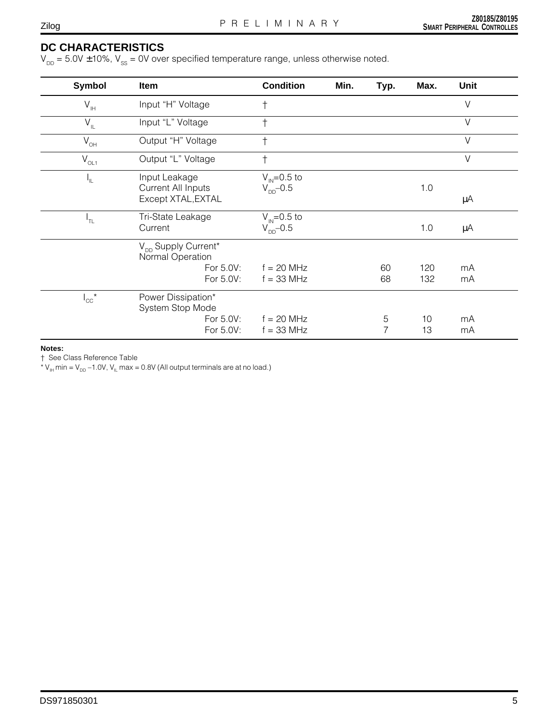# **DC CHARACTERISTICS**

 $V_{DD} = 5.0V \pm 10\%$ ,  $V_{SS} = 0V$  over specified temperature range, unless otherwise noted.

| <b>Symbol</b>              | Item                                                                   | <b>Condition</b>                          | Min. | Typ.     | Max.       | <b>Unit</b> |
|----------------------------|------------------------------------------------------------------------|-------------------------------------------|------|----------|------------|-------------|
| $\mathsf{V}_{\mathsf{IH}}$ | Input "H" Voltage                                                      | $\dagger$                                 |      |          |            | $\vee$      |
| $\mathsf{V}_{\mathsf{IL}}$ | Input "L" Voltage                                                      | $\ddagger$                                |      |          |            | $\vee$      |
| $V_{\text{OH}}$            | Output "H" Voltage                                                     | $\ddagger$                                |      |          |            | $\vee$      |
| $\overline{V}_{OL1}$       | Output "L" Voltage                                                     | $\dagger$                                 |      |          |            | $\vee$      |
| հ⊤                         | Input Leakage<br><b>Current All Inputs</b><br>Except XTAL, EXTAL       | $V_{IN} = 0.5$ to<br>$V_{\text{DD}}$ -0.5 |      |          | 1.0        | μA          |
| ╹┰                         | Tri-State Leakage<br>Current                                           | $V_{\text{IN}} = 0.5$ to<br>$V_{DD}$ -0.5 |      |          | 1.0        | μA          |
|                            | $V_{DD}$ Supply Current*<br>Normal Operation<br>For 5.0V:<br>For 5.0V: | $f = 20$ MHz<br>$f = 33$ MHz              |      | 60<br>68 | 120<br>132 | mA<br>mA    |
| $I_{\rm CC}$ <sup>*</sup>  | Power Dissipation*<br>System Stop Mode<br>For 5.0V:<br>For 5.0V:       | $f = 20$ MHz<br>$f = 33$ MHz              |      | 5<br>7   | 10<br>13   | mA<br>mA    |

**Notes:**

† See Class Reference Table

\*  $V_{\text{H}}$  min =  $V_{\text{DD}}$  –1.0V,  $V_{\text{II}}$  max = 0.8V (All output terminals are at no load.)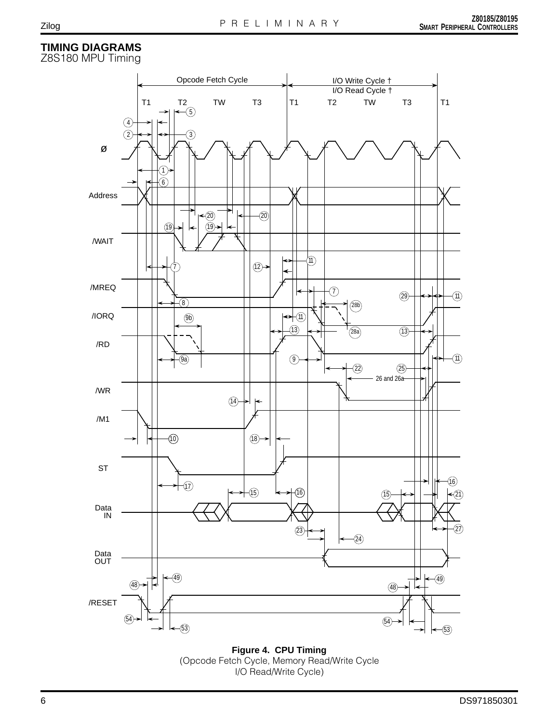### **TIMING DIAGRAMS**

Z8S180 MPU Timing



**Figure 4. CPU Timing** (Opcode Fetch Cycle, Memory Read/Write Cycle I/O Read/Write Cycle)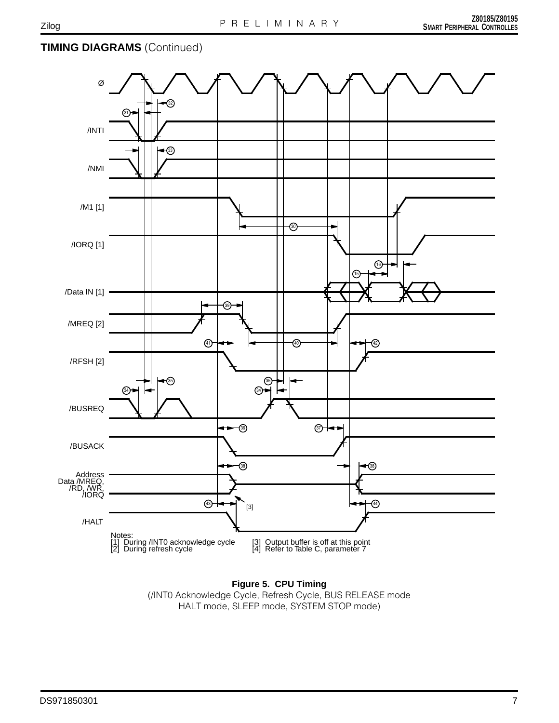# **TIMING DIAGRAMS** (Continued)



**Figure 5. CPU Timing** (/INT0 Acknowledge Cycle, Refresh Cycle, BUS RELEASE mode HALT mode, SLEEP mode, SYSTEM STOP mode)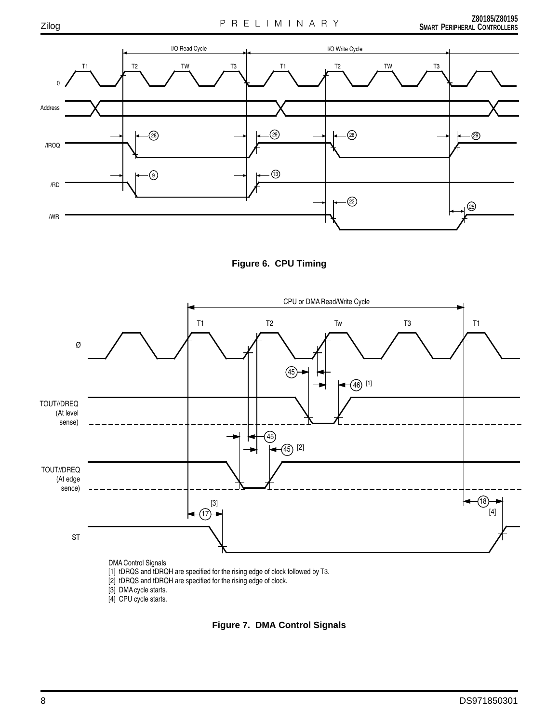





[1] tDRQS and tDRQH are specified for the rising edge of clock followed by T3.

[2] tDRQS and tDRQH are specified for the rising edge of clock.

[3] DMA cycle starts.

[4] CPU cycle starts.

**Figure 7. DMA Control Signals**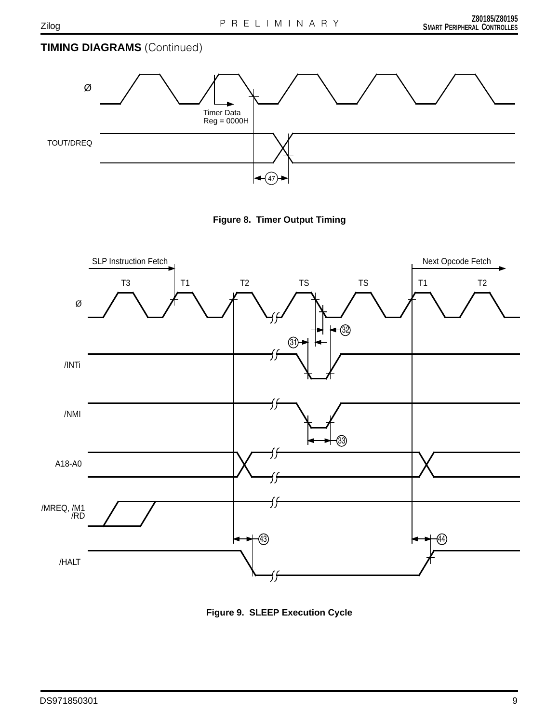# **TIMING DIAGRAMS** (Continued)



**Figure 8. Timer Output Timing**



**Figure 9. SLEEP Execution Cycle**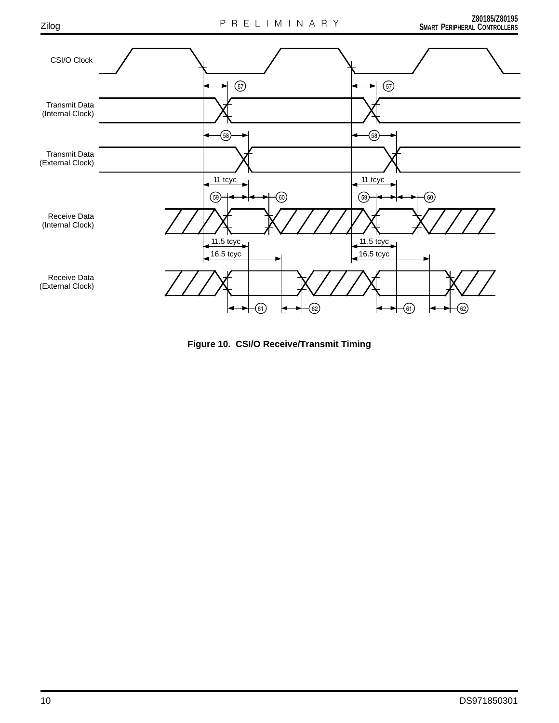

**Figure 10. CSI/O Receive/Transmit Timing**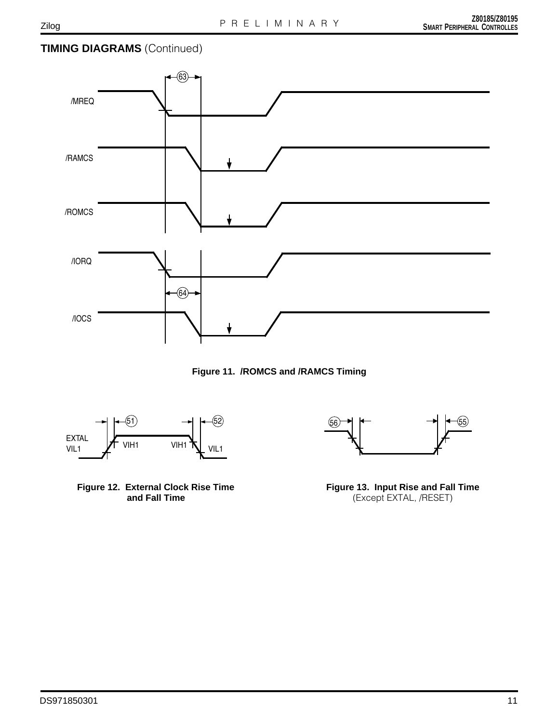## **TIMING DIAGRAMS** (Continued)



**Figure 11. /ROMCS and /RAMCS Timing**



**Figure 12. External Clock Rise Time and Fall Time**



**Figure 13. Input Rise and Fall Time** (Except EXTAL, /RESET)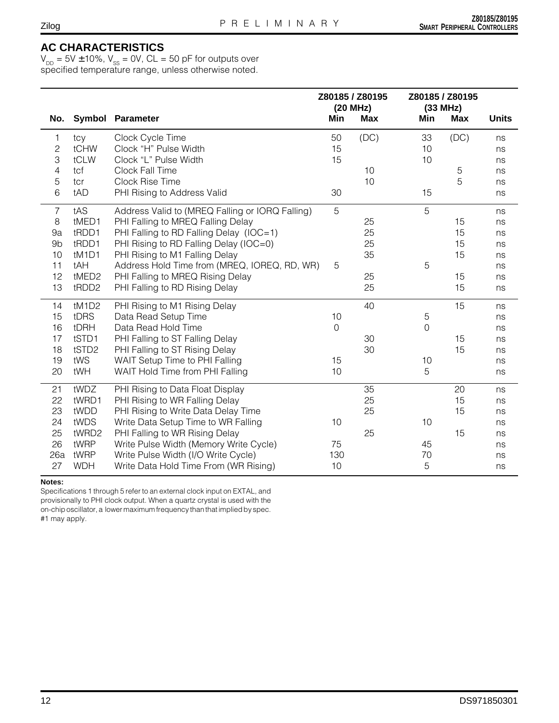#### **AC CHARACTERISTICS**

 $V_{_{DD}}$  = 5V  $\pm$  10%,  $V_{_{SS}}$  = 0V, CL = 50 pF for outputs over specified temperature range, unless otherwise noted.

|                |            |                                                 |              | Z80185 / Z80195 |                | Z80185 / Z80195 |              |
|----------------|------------|-------------------------------------------------|--------------|-----------------|----------------|-----------------|--------------|
| No.            |            | Symbol Parameter                                | Min          | (20 MHz)<br>Max | Min            | (33 MHz)<br>Max | <b>Units</b> |
| 1              | tcy        | Clock Cycle Time                                | 50           | (DC)            | 33             | (DC)            | ns           |
| $\mathbf{2}$   | tCHW       | Clock "H" Pulse Width                           | 15           |                 | 10             |                 | ns           |
| 3              | tCLW       | Clock "L" Pulse Width                           | 15           |                 | 10             |                 | ns           |
| 4              | tcf        | Clock Fall Time                                 |              | 10              |                | $\sqrt{5}$      | ns           |
| $\mathbf 5$    | tcr        | Clock Rise Time                                 |              | 10              |                | 5               | ns           |
| 6              | tAD        | PHI Rising to Address Valid                     | 30           |                 | 15             |                 | ns           |
| $\overline{7}$ | tAS        | Address Valid to (MREQ Falling or IORQ Falling) | 5            |                 | 5              |                 | ns           |
| 8              | tMED1      | PHI Falling to MREQ Falling Delay               |              | 25              |                | 15              | ns           |
| 9a             | tRDD1      | PHI Falling to RD Falling Delay (IOC=1)         |              | 25              |                | 15              | ns           |
| 9 <sub>b</sub> | tRDD1      | PHI Rising to RD Falling Delay (IOC=0)          |              | 25              |                | 15              | ns           |
| 10             | tM1D1      | PHI Rising to M1 Falling Delay                  |              | 35              |                | 15              | ns           |
| 11             | tAH        | Address Hold Time from (MREQ, IOREQ, RD, WR)    | 5            |                 | 5              |                 | ns           |
| 12             | tMED2      | PHI Falling to MREQ Rising Delay                |              | 25              |                | 15              | ns           |
| 13             | tRDD2      | PHI Falling to RD Rising Delay                  |              | 25              |                | 15              | ns           |
| 14             | tM1D2      | PHI Rising to M1 Rising Delay                   |              | 40              |                | 15              | ns           |
| 15             | tDRS       | Data Read Setup Time                            | 10           |                 | 5              |                 | ns           |
| 16             | tDRH       | Data Read Hold Time                             | $\mathsf{O}$ |                 | $\overline{O}$ |                 | ns           |
| 17             | tSTD1      | PHI Falling to ST Falling Delay                 |              | 30              |                | 15              | ns           |
| 18             | tSTD2      | PHI Falling to ST Rising Delay                  |              | 30              |                | 15              | ns           |
| 19             | tWS        | WAIT Setup Time to PHI Falling                  | 15           |                 | 10             |                 | ns           |
| 20             | tWH        | WAIT Hold Time from PHI Falling                 | 10           |                 | 5              |                 | ns           |
| 21             | tWDZ       | PHI Rising to Data Float Display                |              | 35              |                | 20              | ns           |
| 22             | tWRD1      | PHI Rising to WR Falling Delay                  |              | 25              |                | 15              | ns           |
| 23             | tWDD       | PHI Rising to Write Data Delay Time             |              | 25              |                | 15              | ns           |
| 24             | tWDS       | Write Data Setup Time to WR Falling             | 10           |                 | 10             |                 | ns           |
| 25             | tWRD2      | PHI Falling to WR Rising Delay                  |              | 25              |                | 15              | ns           |
| 26             | tWRP       | Write Pulse Width (Memory Write Cycle)          | 75           |                 | 45             |                 | ns           |
| 26a            | tWRP       | Write Pulse Width (I/O Write Cycle)             | 130          |                 | 70             |                 | ns           |
| 27             | <b>WDH</b> | Write Data Hold Time From (WR Rising)           | 10           |                 | 5              |                 | ns           |

#### **Notes:**

Specifications 1 through 5 refer to an external clock input on EXTAL, and provisionally to PHI clock output. When a quartz crystal is used with the on-chip oscillator, a lower maximum frequency than that implied by spec. #1 may apply.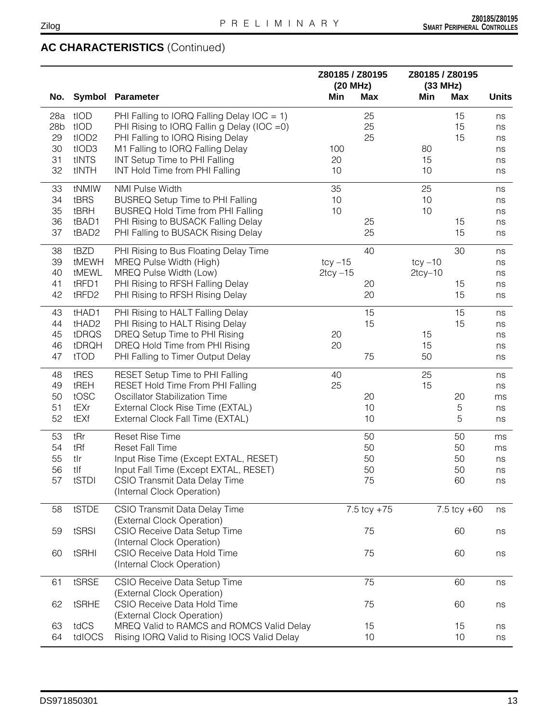| No.             |                   | <b>Symbol Parameter</b>                                           | Z80185 / Z80195<br>(20 MHz)<br>Min | <b>Max</b>      | Min           | Z80185 / Z80195<br>(33 MHz)<br><b>Max</b> | <b>Units</b> |
|-----------------|-------------------|-------------------------------------------------------------------|------------------------------------|-----------------|---------------|-------------------------------------------|--------------|
|                 |                   |                                                                   |                                    |                 |               |                                           |              |
| 28a             | tIOD              | PHI Falling to IORQ Falling Delay IOC = 1)                        |                                    | 25              |               | 15                                        | ns           |
| 28 <sub>b</sub> | tIOD              | PHI Rising to IORQ Fallin g Delay (IOC = 0)                       |                                    | 25              |               | 15                                        | ns           |
| 29              | tIOD <sub>2</sub> | PHI Falling to IORQ Rising Delay                                  |                                    | 25              |               | 15                                        | ns           |
| 30<br>31        | tIOD3<br>tINTS    | M1 Falling to IORQ Falling Delay<br>INT Setup Time to PHI Falling | 100<br>20                          |                 | 80<br>15      |                                           | ns           |
| 32              | tINTH             | INT Hold Time from PHI Falling                                    | 10                                 |                 | 10            |                                           | ns           |
|                 |                   |                                                                   |                                    |                 |               |                                           | ns           |
| 33              | tNMIW             | <b>NMI Pulse Width</b>                                            | 35                                 |                 | 25            |                                           | ns           |
| 34              | tBRS              | <b>BUSREQ Setup Time to PHI Falling</b>                           | 10                                 |                 | 10            |                                           | ns           |
| 35              | tBRH              | <b>BUSREQ Hold Time from PHI Falling</b>                          | 10                                 |                 | 10            |                                           | ns           |
| 36              | tBAD1             | PHI Rising to BUSACK Falling Delay                                |                                    | 25              |               | 15                                        | ns           |
| 37              | tBAD2             | PHI Falling to BUSACK Rising Delay                                |                                    | 25              |               | 15                                        | ns           |
| 38              | tBZD              | PHI Rising to Bus Floating Delay Time                             |                                    | 40              |               | 30                                        | ns           |
| 39              | tMEWH             | MREQ Pulse Width (High)                                           | $tcy - 15$                         |                 | $tcy - 10$    |                                           | ns           |
| 40              | tMEWL             | MREQ Pulse Width (Low)                                            | $2$ tcy $-15$                      |                 | $2$ tcy $-10$ |                                           | ns           |
| 41              | tRFD1             | PHI Rising to RFSH Falling Delay                                  |                                    | 20              |               | 15                                        | ns           |
| 42              | tRFD2             | PHI Rising to RFSH Rising Delay                                   |                                    | 20              |               | 15                                        | ns           |
| 43              | tHAD1             | PHI Rising to HALT Falling Delay                                  |                                    | 15              |               | 15                                        | ns           |
| 44              | tHAD2             | PHI Rising to HALT Rising Delay                                   |                                    | 15              |               | 15                                        | ns           |
| 45              | tDRQS             | DREQ Setup Time to PHI Rising                                     | 20                                 |                 | 15            |                                           | ns           |
| 46              | tDRQH             | DREQ Hold Time from PHI Rising                                    | 20                                 |                 | 15            |                                           | ns           |
| 47              | tTOD              | PHI Falling to Timer Output Delay                                 |                                    | 75              | 50            |                                           | ns           |
| 48              | tRES              | RESET Setup Time to PHI Falling                                   | 40                                 |                 | 25            |                                           | ns           |
| 49              | tREH              | RESET Hold Time From PHI Falling                                  | 25                                 |                 | 15            |                                           | ns           |
| 50              | tOSC              | Oscillator Stabilization Time                                     |                                    | 20              |               | 20                                        | ms           |
| 51              | tEXr              | External Clock Rise Time (EXTAL)                                  |                                    | 10              |               | $\mathbf 5$                               | ns           |
| 52              | tEXf              | External Clock Fall Time (EXTAL)                                  |                                    | 10              |               | $\mathbf 5$                               | ns           |
| 53              | tRr               | <b>Reset Rise Time</b>                                            |                                    | 50              |               | 50                                        | ms           |
| 54              | tRf               | <b>Reset Fall Time</b>                                            |                                    | 50              |               | 50                                        | ms           |
| 55              | tlr               | Input Rise Time (Except EXTAL, RESET)                             |                                    | 50              |               | 50                                        | ns           |
| 56              | tlf               | Input Fall Time (Except EXTAL, RESET)                             |                                    | 50              |               | 50                                        | ns           |
| 57              | tSTDI             | CSIO Transmit Data Delay Time<br>(Internal Clock Operation)       |                                    | 75              |               | 60                                        | ns           |
| 58              | tSTDE             | CSIO Transmit Data Delay Time                                     |                                    | $7.5$ tcy $+75$ |               | 7.5 tcy $+60$                             |              |
|                 |                   | (External Clock Operation)                                        |                                    |                 |               |                                           | ns           |
| 59              | tSRSI             | CSIO Receive Data Setup Time                                      |                                    | 75              |               | 60                                        | ns           |
|                 |                   | (Internal Clock Operation)                                        |                                    |                 |               |                                           |              |
| 60              | tSRHI             | CSIO Receive Data Hold Time                                       |                                    | 75              |               | 60                                        | ns           |
|                 |                   | (Internal Clock Operation)                                        |                                    |                 |               |                                           |              |
| 61              | tSRSE             | CSIO Receive Data Setup Time<br>(External Clock Operation)        |                                    | 75              |               | 60                                        | ns           |
| 62              | tSRHE             | CSIO Receive Data Hold Time                                       |                                    | 75              |               | 60                                        | ns           |
|                 |                   | (External Clock Operation)                                        |                                    |                 |               |                                           |              |
| 63              | tdCS              | MREQ Valid to RAMCS and ROMCS Valid Delay                         |                                    | 15              |               | 15                                        | ns           |
| 64              | tdIOCS            | Rising IORQ Valid to Rising IOCS Valid Delay                      |                                    | 10              |               | 10                                        | ns           |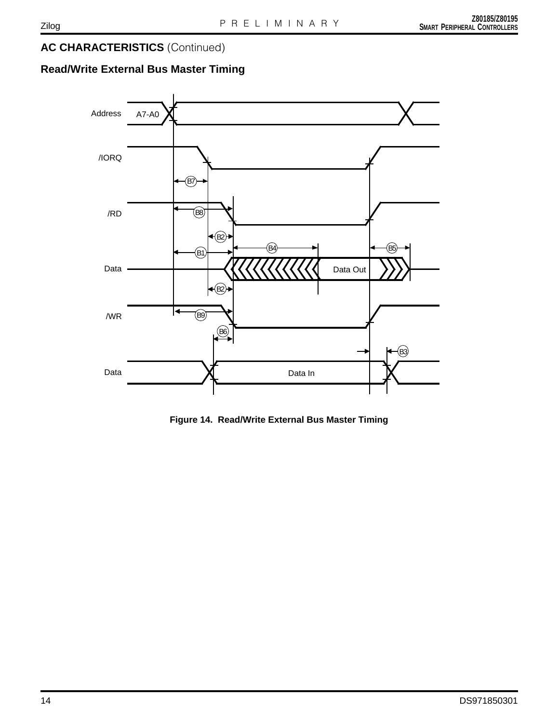# **Read/Write External Bus Master Timing**



**Figure 14. Read/Write External Bus Master Timing**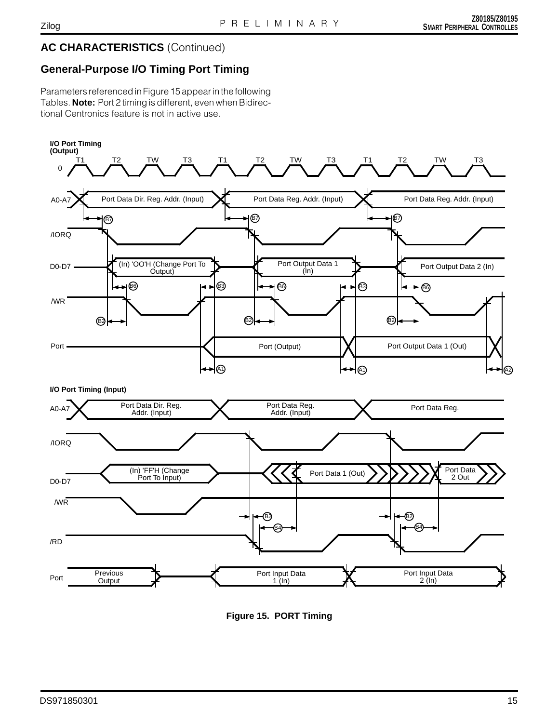# **General-Purpose I/O Timing Port Timing**

Parameters referenced in Figure 15 appear in the following Tables. **Note:** Port 2 timing is different, even when Bidirectional Centronics feature is not in active use.



**Figure 15. PORT Timing**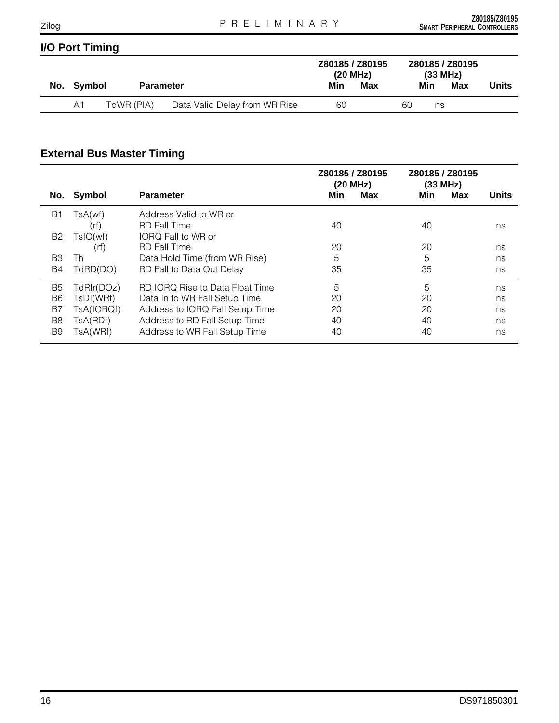# **I/O Port Timing**

|  |            |                  |                               | Z80185 / Z80195<br>(20 MHz) |     | Z80185 / Z80195<br>(33 MHz) |     |     |       |
|--|------------|------------------|-------------------------------|-----------------------------|-----|-----------------------------|-----|-----|-------|
|  | No. Symbol | <b>Parameter</b> |                               | Min                         | Max |                             | Min | Max | Units |
|  | A1         | TdWR (PIA)       | Data Valid Delay from WR Rise | 60                          |     | 60                          | ns  |     |       |

# **External Bus Master Timing**

|                |            |                                  | Z80185 / Z80195<br>(20 MHz) | Z80185 / Z80195<br>(33 MHz) |              |
|----------------|------------|----------------------------------|-----------------------------|-----------------------------|--------------|
| No.            | Symbol     | <b>Parameter</b>                 | Max<br>Min                  | Min<br>Max                  | <b>Units</b> |
| <b>B1</b>      | TsA(wf)    | Address Valid to WR or           |                             |                             |              |
|                | (rf)       | <b>RD</b> Fall Time              | 40                          | 40                          | ns           |
| B <sub>2</sub> | TsIO(wf)   | IORQ Fall to WR or               |                             |                             |              |
|                | (rf)       | <b>RD</b> Fall Time              | 20                          | 20                          | ns           |
| B3             | Th         | Data Hold Time (from WR Rise)    | 5                           | 5                           | ns           |
| B4             | TdRD(DO)   | RD Fall to Data Out Delay        | 35                          | 35                          | ns           |
| B5             | TdRIr(DOz) | RD, IORQ Rise to Data Float Time | 5                           | 5                           | ns           |
| B <sub>6</sub> | TsDI(WRf)  | Data In to WR Fall Setup Time    | 20                          | 20                          | ns           |
| B7             | TsA(IORQf) | Address to IORQ Fall Setup Time  | 20                          | 20                          | ns           |
| B8             | TsA(RDf)   | Address to RD Fall Setup Time    | 40                          | 40                          | ns           |
| B9             | TsA(WRf)   | Address to WR Fall Setup Time    | 40                          | 40                          | ns           |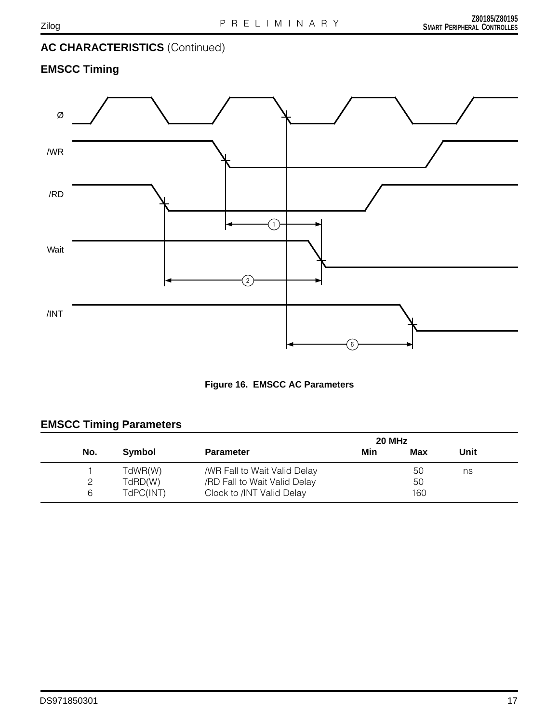# **EMSCC Timing**





# **EMSCC Timing Parameters**

|     |           | 20 MHz                       |     |     |      |  |  |
|-----|-----------|------------------------------|-----|-----|------|--|--|
| No. | Symbol    | <b>Parameter</b>             | Min | Max | Unit |  |  |
|     | TdWR(W)   | /WR Fall to Wait Valid Delay |     | 50  | ns   |  |  |
|     | TdRD(W)   | /RD Fall to Wait Valid Delay |     | 50  |      |  |  |
| 6   | TdPC(INT) | Clock to /INT Valid Delay    |     | 160 |      |  |  |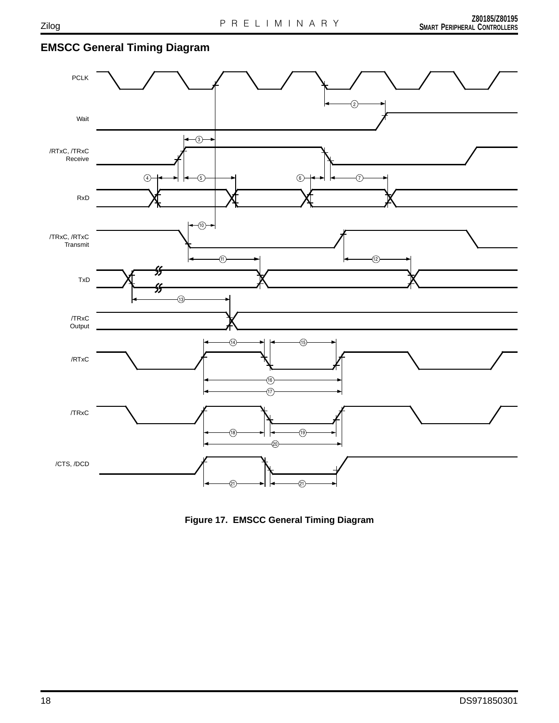# **EMSCC General Timing Diagram**



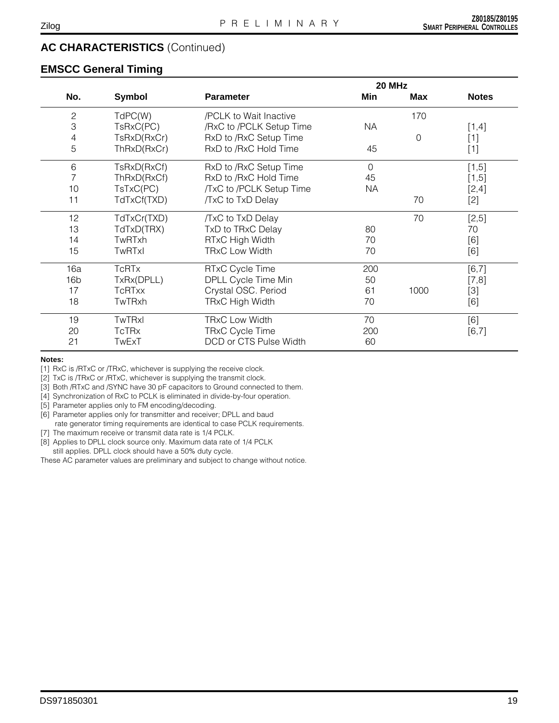#### **EMSCC General Timing**

|                 |               |                          | 20 MHz    |                |              |
|-----------------|---------------|--------------------------|-----------|----------------|--------------|
| No.             | Symbol        | <b>Parameter</b>         | Min       | Max            | <b>Notes</b> |
| $\mathbf{2}$    | TdPC(W)       | /PCLK to Wait Inactive   |           | 170            |              |
| 3               | TsRxC(PC)     | /RxC to /PCLK Setup Time | <b>NA</b> |                | $[1,4]$      |
| 4               | TsRxD(RxCr)   | RxD to /RxC Setup Time   |           | $\overline{0}$ | $[1]$        |
| 5               | ThRxD(RxCr)   | RxD to /RxC Hold Time    | 45        |                | $[1]$        |
| 6               | TsRxD(RxCf)   | RxD to /RxC Setup Time   | 0         |                | $[1,5]$      |
|                 | ThRxD(RxCf)   | RxD to /RxC Hold Time    | 45        |                | $[1,5]$      |
| 10              | TsTxC(PC)     | /TxC to /PCLK Setup Time | <b>NA</b> |                | $[2,4]$      |
| 11              | TdTxCf(TXD)   | /TxC to TxD Delay        |           | 70             | $[2]$        |
| 12              | TdTxCr(TXD)   | /TxC to TxD Delay        |           | 70             | $[2,5]$      |
| 13              | TdTxD(TRX)    | TxD to TRxC Delay        | 80        |                | 70           |
| 14              | TwRTxh        | RTxC High Width          | 70        |                | [6]          |
| 15              | TwRTxI        | <b>TRxC Low Width</b>    | 70        |                | [6]          |
| 16a             | <b>TcRTx</b>  | RTxC Cycle Time          | 200       |                | $[6,7]$      |
| 16 <sub>b</sub> | TxRx(DPLL)    | DPLL Cycle Time Min      | 50        |                | $[7,8]$      |
| 17              | <b>TcRTxx</b> | Crystal OSC. Period      | 61        | 1000           | $[3]$        |
| 18              | TwTRxh        | <b>TRxC High Width</b>   | 70        |                | [6]          |
| 19              | <b>TwTRxl</b> | <b>TRxC Low Width</b>    | 70        |                | [6]          |
| 20              | <b>TcTRx</b>  | <b>TRxC Cycle Time</b>   | 200       |                | $[6,7]$      |
| 21              | TwExT         | DCD or CTS Pulse Width   | 60        |                |              |

#### **Notes:**

[1] RxC is /RTxC or /TRxC, whichever is supplying the receive clock.

[2] TxC is /TRxC or /RTxC, whichever is supplying the transmit clock.

[3] Both /RTxC and /SYNC have 30 pF capacitors to Ground connected to them.

[4] Synchronization of RxC to PCLK is eliminated in divide-by-four operation.

[5] Parameter applies only to FM encoding/decoding.

[6] Parameter applies only for transmitter and receiver; DPLL and baud

rate generator timing requirements are identical to case PCLK requirements.

[7] The maximum receive or transmit data rate is 1/4 PCLK.

[8] Applies to DPLL clock source only. Maximum data rate of 1/4 PCLK

still applies. DPLL clock should have a 50% duty cycle.

These AC parameter values are preliminary and subject to change without notice.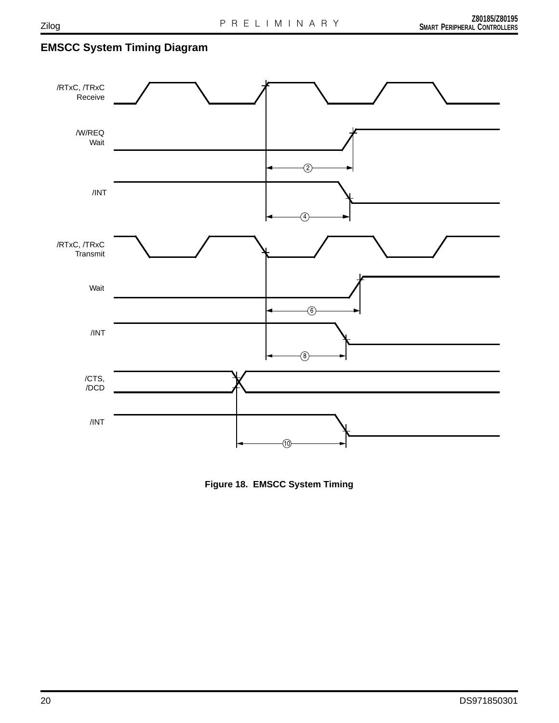# **EMSCC System Timing Diagram**



**Figure 18. EMSCC System Timing**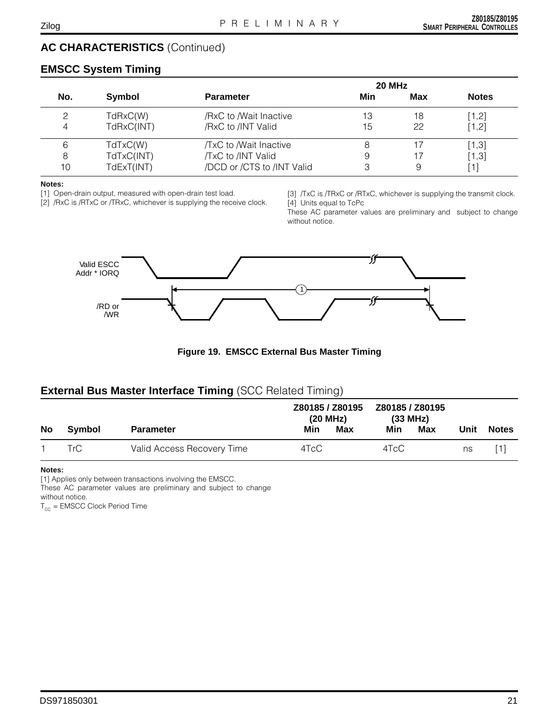# **EMSCC System Timing**

|     |            | 20 MHz                     |     |     |              |  |  |
|-----|------------|----------------------------|-----|-----|--------------|--|--|
| No. | Symbol     | <b>Parameter</b>           | Min | Max | <b>Notes</b> |  |  |
|     | TdRxC(W)   | /RxC to /Wait Inactive     | 13  | 18  | $[1,2]$      |  |  |
| 4   | TdRxC(INT) | /RxC to /INT Valid         | 15  | 22  | [1,2]        |  |  |
| 6   | TdTxC(W)   | /TxC to /Wait Inactive     | 8   |     | $[1,3]$      |  |  |
| 8   | TdTxC(INT) | /TxC to /INT Valid         | 9   |     | $[1,3]$      |  |  |
| 10  | TdExT(INT) | /DCD or /CTS to /INT Valid | З   | 9   | [1]          |  |  |

#### **Notes:**

[1] Open-drain output, measured with open-drain test load.

[2] /RxC is /RTxC or /TRxC, whichever is supplying the receive clock.

[3] /TxC is /TRxC or /RTxC, whichever is supplying the transmit clock. [4] Units equal to TcPc

These AC parameter values are preliminary and subject to change without notice.



**Figure 19. EMSCC External Bus Master Timing**

### **External Bus Master Interface Timing** (SCC Related Timing)

|           |        |                            | Z80185 / Z80195<br>(20 MHz) |     | Z80185 / Z80195<br>(33 MHz) |     |      |              |
|-----------|--------|----------------------------|-----------------------------|-----|-----------------------------|-----|------|--------------|
| <b>No</b> | Svmbol | <b>Parameter</b>           | Min                         | Max | Min                         | Max | Unit | <b>Notes</b> |
|           | TrC    | Valid Access Recovery Time | 4TcC                        |     | 4TcC                        |     | ns   | [1]          |

#### **Notes:**

[1] Applies only between transactions involving the EMSCC.

These AC parameter values are preliminary and subject to change

without notice.

 $T_{cc}$  = EMSCC Clock Period Time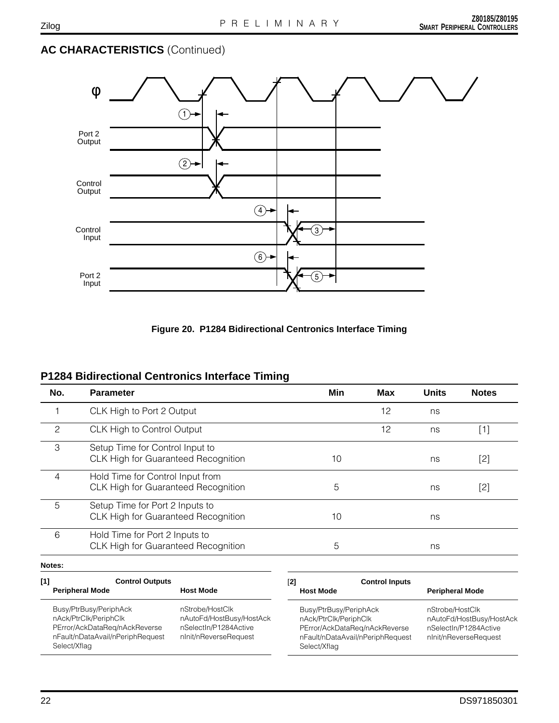



# **P1284 Bidirectional Centronics Interface Timing**

| No.           | <b>Parameter</b>                                                               | Min | Max | <b>Units</b> | <b>Notes</b> |
|---------------|--------------------------------------------------------------------------------|-----|-----|--------------|--------------|
|               | CLK High to Port 2 Output                                                      |     | 12  | ns           |              |
| $\mathcal{P}$ | CLK High to Control Output                                                     |     | 12  | ns           | [1]          |
| 3             | Setup Time for Control Input to<br><b>CLK High for Guaranteed Recognition</b>  | 10  |     | ns           | [2]          |
| 4             | Hold Time for Control Input from<br><b>CLK High for Guaranteed Recognition</b> | 5   |     | ns           | [2]          |
| 5             | Setup Time for Port 2 Inputs to<br><b>CLK High for Guaranteed Recognition</b>  | 10  |     | ns           |              |
| 6             | Hold Time for Port 2 Inputs to<br>CLK High for Guaranteed Recognition          | 5   |     | ns           |              |

#### **Notes:**

| [1]<br><b>Control Outputs</b><br><b>Peripheral Mode</b>                                                                              | <b>Host Mode</b>                                                                              | <b>Control Inputs</b><br>[2]<br><b>Host Mode</b>                                                                                     | <b>Peripheral Mode</b>                                                                        |
|--------------------------------------------------------------------------------------------------------------------------------------|-----------------------------------------------------------------------------------------------|--------------------------------------------------------------------------------------------------------------------------------------|-----------------------------------------------------------------------------------------------|
| Busy/PtrBusy/PeriphAck<br>nAck/PtrClk/PeriphClk<br>PError/AckDataReg/nAckReverse<br>nFault/nDataAvail/nPeriphRequest<br>Select/Xflag | nStrobe/HostClk<br>nAutoFd/HostBusy/HostAck<br>nSelectIn/P1284Active<br>nlnit/nReverseRequest | Busy/PtrBusy/PeriphAck<br>nAck/PtrClk/PeriphClk<br>PError/AckDataReg/nAckReverse<br>nFault/nDataAvail/nPeriphRequest<br>Select/Xflag | nStrobe/HostClk<br>nAutoFd/HostBusy/HostAck<br>nSelectIn/P1284Active<br>nlnit/nReverseRequest |

Zilog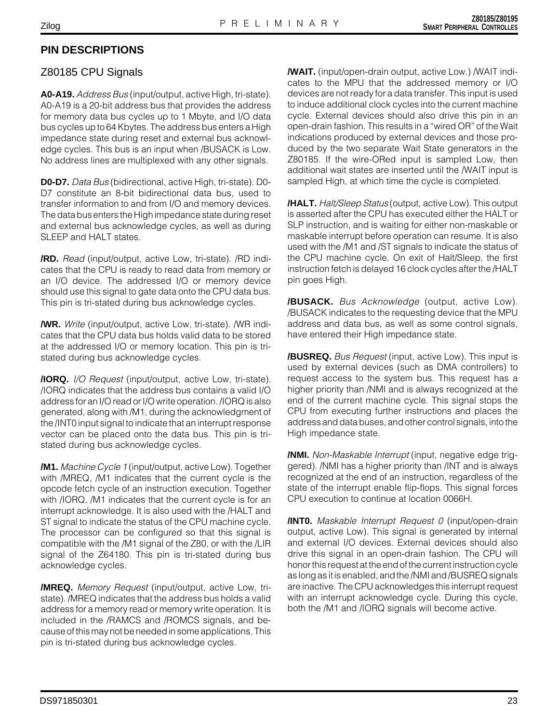# **PIN DESCRIPTIONS**

## Z80185 CPU Signals

**A0-A19.** Address Bus (input/output, active High, tri-state). A0-A19 is a 20-bit address bus that provides the address for memory data bus cycles up to 1 Mbyte, and I/O data bus cycles up to 64 Kbytes. The address bus enters a High impedance state during reset and external bus acknowledge cycles. This bus is an input when /BUSACK is Low. No address lines are multiplexed with any other signals.

**D0-D7.** Data Bus (bidirectional, active High, tri-state). D0- D7 constitute an 8-bit bidirectional data bus, used to transfer information to and from I/O and memory devices. The data bus enters the High impedance state during reset and external bus acknowledge cycles, as well as during SLEEP and HALT states.

**/RD.** Read (input/output, active Low, tri-state). /RD indicates that the CPU is ready to read data from memory or an I/O device. The addressed I/O or memory device should use this signal to gate data onto the CPU data bus. This pin is tri-stated during bus acknowledge cycles.

**/WR.** Write (input/output, active Low, tri-state). /WR indicates that the CPU data bus holds valid data to be stored at the addressed I/O or memory location. This pin is tristated during bus acknowledge cycles.

**/IORQ.** I/O Request (input/output, active Low, tri-state). /IORQ indicates that the address bus contains a valid I/O address for an I/O read or I/O write operation. /IORQ is also generated, along with /M1, during the acknowledgment of the /INT0 input signal to indicate that an interrupt response vector can be placed onto the data bus. This pin is tristated during bus acknowledge cycles.

**/M1.** Machine Cycle 1 (input/output, active Low). Together with /MREQ, /M1 indicates that the current cycle is the opcode fetch cycle of an instruction execution. Together with /IORQ, /M1 indicates that the current cycle is for an interrupt acknowledge. It is also used with the /HALT and ST signal to indicate the status of the CPU machine cycle. The processor can be configured so that this signal is compatible with the /M1 signal of the Z80, or with the /LIR signal of the Z64180. This pin is tri-stated during bus acknowledge cycles.

**/MREQ.** Memory Request (input/output, active Low, tristate). /MREQ indicates that the address bus holds a valid address for a memory read or memory write operation. It is included in the /RAMCS and /ROMCS signals, and because of this may not be needed in some applications. This pin is tri-stated during bus acknowledge cycles.

**/WAIT.** (input/open-drain output, active Low.) /WAIT indicates to the MPU that the addressed memory or I/O devices are not ready for a data transfer. This input is used to induce additional clock cycles into the current machine cycle. External devices should also drive this pin in an open-drain fashion. This results in a "wired OR" of the Wait indications produced by external devices and those produced by the two separate Wait State generators in the Z80185. If the wire-ORed input is sampled Low, then additional wait states are inserted until the /WAIT input is sampled High, at which time the cycle is completed.

**/HALT.** Halt/Sleep Status (output, active Low). This output is asserted after the CPU has executed either the HALT or SLP instruction, and is waiting for either non-maskable or maskable interrupt before operation can resume. It is also used with the /M1 and /ST signals to indicate the status of the CPU machine cycle. On exit of Halt/Sleep, the first instruction fetch is delayed 16 clock cycles after the /HALT pin goes High.

**/BUSACK.** Bus Acknowledge (output, active Low). /BUSACK indicates to the requesting device that the MPU address and data bus, as well as some control signals, have entered their High impedance state.

**/BUSREQ.** Bus Request (input, active Low). This input is used by external devices (such as DMA controllers) to request access to the system bus. This request has a higher priority than /NMI and is always recognized at the end of the current machine cycle. This signal stops the CPU from executing further instructions and places the address and data buses, and other control signals, into the High impedance state.

**/NMI.** Non-Maskable Interrupt (input, negative edge triggered). /NMI has a higher priority than /INT and is always recognized at the end of an instruction, regardless of the state of the interrupt enable flip-flops. This signal forces CPU execution to continue at location 0066H.

**/INT0.** Maskable Interrupt Request 0 (input/open-drain output, active Low). This signal is generated by internal and external I/O devices. External devices should also drive this signal in an open-drain fashion. The CPU will honor this request at the end of the current instruction cycle as long as it is enabled, and the /NMI and /BUSREQ signals are inactive. The CPU acknowledges this interrupt request with an interrupt acknowledge cycle. During this cycle, both the /M1 and /IORQ signals will become active.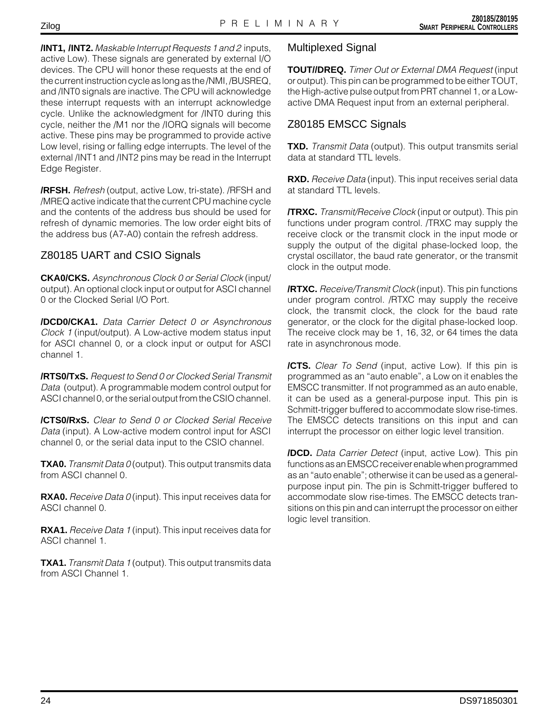**/INT1, /INT2.** Maskable Interrupt Requests 1 and 2 inputs, active Low). These signals are generated by external I/O devices. The CPU will honor these requests at the end of the current instruction cycle as long as the /NMI, /BUSREQ, and /INT0 signals are inactive. The CPU will acknowledge these interrupt requests with an interrupt acknowledge cycle. Unlike the acknowledgment for /INT0 during this cycle, neither the /M1 nor the /IORQ signals will become active. These pins may be programmed to provide active Low level, rising or falling edge interrupts. The level of the external /INT1 and /INT2 pins may be read in the Interrupt Edge Register.

**/RFSH.** Refresh (output, active Low, tri-state). /RFSH and /MREQ active indicate that the current CPU machine cycle and the contents of the address bus should be used for refresh of dynamic memories. The low order eight bits of the address bus (A7-A0) contain the refresh address.

# Z80185 UART and CSIO Signals

**CKA0/CKS.** Asynchronous Clock 0 or Serial Clock (input/ output). An optional clock input or output for ASCI channel 0 or the Clocked Serial I/O Port.

**/DCD0/CKA1.** Data Carrier Detect 0 or Asynchronous Clock 1 (input/output). A Low-active modem status input for ASCI channel 0, or a clock input or output for ASCI channel 1.

**/RTS0/TxS.** Request to Send 0 or Clocked Serial Transmit Data (output). A programmable modem control output for ASCI channel 0, or the serial output from the CSIO channel.

**/CTS0/RxS.** Clear to Send 0 or Clocked Serial Receive Data (input). A Low-active modem control input for ASCI channel 0, or the serial data input to the CSIO channel.

**TXA0.** Transmit Data 0 (output). This output transmits data from ASCI channel 0.

**RXA0.** Receive Data 0 (input). This input receives data for ASCI channel 0.

**RXA1.** Receive Data 1 (input). This input receives data for ASCI channel 1.

**TXA1.** Transmit Data 1 (output). This output transmits data from ASCI Channel 1.

# Multiplexed Signal

**TOUT//DREQ.** Timer Out or External DMA Request (input or output). This pin can be programmed to be either TOUT, the High-active pulse output from PRT channel 1, or a Lowactive DMA Request input from an external peripheral.

# Z80185 EMSCC Signals

**TXD.** Transmit Data (output). This output transmits serial data at standard TTL levels.

**RXD.** Receive Data (input). This input receives serial data at standard TTL levels.

**/TRXC.** Transmit/Receive Clock (input or output). This pin functions under program control. /TRXC may supply the receive clock or the transmit clock in the input mode or supply the output of the digital phase-locked loop, the crystal oscillator, the baud rate generator, or the transmit clock in the output mode.

**/RTXC.** Receive/Transmit Clock (input). This pin functions under program control. /RTXC may supply the receive clock, the transmit clock, the clock for the baud rate generator, or the clock for the digital phase-locked loop. The receive clock may be 1, 16, 32, or 64 times the data rate in asynchronous mode.

**/CTS.** Clear To Send (input, active Low). If this pin is programmed as an "auto enable", a Low on it enables the EMSCC transmitter. If not programmed as an auto enable, it can be used as a general-purpose input. This pin is Schmitt-trigger buffered to accommodate slow rise-times. The EMSCC detects transitions on this input and can interrupt the processor on either logic level transition.

**/DCD.** Data Carrier Detect (input, active Low). This pin functions as an EMSCC receiver enable when programmed as an "auto enable"; otherwise it can be used as a generalpurpose input pin. The pin is Schmitt-trigger buffered to accommodate slow rise-times. The EMSCC detects transitions on this pin and can interrupt the processor on either logic level transition.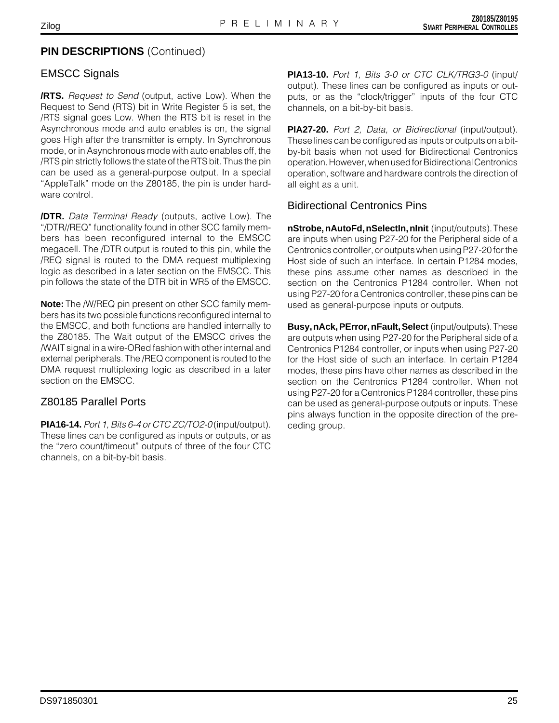### **PIN DESCRIPTIONS (Continued)**

#### EMSCC Signals

**/RTS.** Request to Send (output, active Low). When the Request to Send (RTS) bit in Write Register 5 is set, the /RTS signal goes Low. When the RTS bit is reset in the Asynchronous mode and auto enables is on, the signal goes High after the transmitter is empty. In Synchronous mode, or in Asynchronous mode with auto enables off, the /RTS pin strictly follows the state of the RTS bit. Thus the pin can be used as a general-purpose output. In a special "AppleTalk" mode on the Z80185, the pin is under hardware control.

**/DTR.** Data Terminal Ready (outputs, active Low). The "/DTR//REQ" functionality found in other SCC family members has been reconfigured internal to the EMSCC megacell. The /DTR output is routed to this pin, while the /REQ signal is routed to the DMA request multiplexing logic as described in a later section on the EMSCC. This pin follows the state of the DTR bit in WR5 of the EMSCC.

**Note:** The /W/REQ pin present on other SCC family members has its two possible functions reconfigured internal to the EMSCC, and both functions are handled internally to the Z80185. The Wait output of the EMSCC drives the /WAIT signal in a wire-ORed fashion with other internal and external peripherals. The /REQ component is routed to the DMA request multiplexing logic as described in a later section on the EMSCC.

#### Z80185 Parallel Ports

**PIA16-14.** Port 1, Bits 6-4 or CTC ZC/TO2-0 (input/output). These lines can be configured as inputs or outputs, or as the "zero count/timeout" outputs of three of the four CTC channels, on a bit-by-bit basis.

**PIA13-10.** Port 1, Bits 3-0 or CTC CLK/TRG3-0 (input/ output). These lines can be configured as inputs or outputs, or as the "clock/trigger" inputs of the four CTC channels, on a bit-by-bit basis.

**PIA27-20.** Port 2, Data, or Bidirectional (input/output). These lines can be configured as inputs or outputs on a bitby-bit basis when not used for Bidirectional Centronics operation. However, when used for Bidirectional Centronics operation, software and hardware controls the direction of all eight as a unit.

#### Bidirectional Centronics Pins

**nStrobe, nAutoFd, nSelectIn, nInit** (input/outputs). These are inputs when using P27-20 for the Peripheral side of a Centronics controller, or outputs when using P27-20 for the Host side of such an interface. In certain P1284 modes, these pins assume other names as described in the section on the Centronics P1284 controller. When not using P27-20 for a Centronics controller, these pins can be used as general-purpose inputs or outputs.

**Busy, nAck, PError, nFault, Select** (input/outputs). These are outputs when using P27-20 for the Peripheral side of a Centronics P1284 controller, or inputs when using P27-20 for the Host side of such an interface. In certain P1284 modes, these pins have other names as described in the section on the Centronics P1284 controller. When not using P27-20 for a Centronics P1284 controller, these pins can be used as general-purpose outputs or inputs. These pins always function in the opposite direction of the preceding group.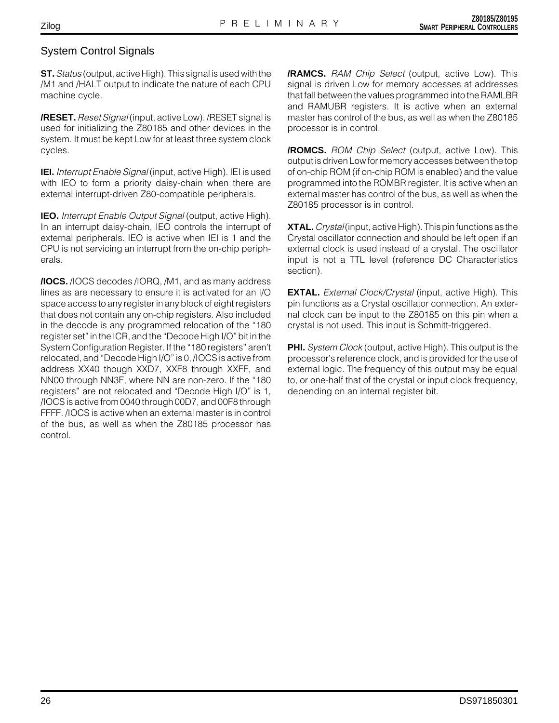### System Control Signals

**ST.** Status (output, active High). This signal is used with the /M1 and /HALT output to indicate the nature of each CPU machine cycle.

**/RESET.**Reset Signal (input, active Low). /RESET signal is used for initializing the Z80185 and other devices in the system. It must be kept Low for at least three system clock cycles.

**IEI.** Interrupt Enable Signal (input, active High). IEI is used with IEO to form a priority daisy-chain when there are external interrupt-driven Z80-compatible peripherals.

**IEO.** Interrupt Enable Output Signal (output, active High). In an interrupt daisy-chain, IEO controls the interrupt of external peripherals. IEO is active when IEI is 1 and the CPU is not servicing an interrupt from the on-chip peripherals.

**/IOCS.** /IOCS decodes /IORQ, /M1, and as many address lines as are necessary to ensure it is activated for an I/O space access to any register in any block of eight registers that does not contain any on-chip registers. Also included in the decode is any programmed relocation of the "180 register set" in the ICR, and the "Decode High I/O" bit in the System Configuration Register. If the "180 registers" aren't relocated, and "Decode High I/O" is 0, /IOCS is active from address XX40 though XXD7, XXF8 through XXFF, and NN00 through NN3F, where NN are non-zero. If the "180 registers" are not relocated and "Decode High I/O" is 1, /IOCS is active from 0040 through 00D7, and 00F8 through FFFF. /IOCS is active when an external master is in control of the bus, as well as when the Z80185 processor has control.

**/RAMCS.** RAM Chip Select (output, active Low). This signal is driven Low for memory accesses at addresses that fall between the values programmed into the RAMLBR and RAMUBR registers. It is active when an external master has control of the bus, as well as when the Z80185 processor is in control.

**/ROMCS.** ROM Chip Select (output, active Low). This output is driven Low for memory accesses between the top of on-chip ROM (if on-chip ROM is enabled) and the value programmed into the ROMBR register. It is active when an external master has control of the bus, as well as when the Z80185 processor is in control.

**XTAL.** Crystal (input, active High). This pin functions as the Crystal oscillator connection and should be left open if an external clock is used instead of a crystal. The oscillator input is not a TTL level (reference DC Characteristics section).

**EXTAL.** External Clock/Crystal (input, active High). This pin functions as a Crystal oscillator connection. An external clock can be input to the Z80185 on this pin when a crystal is not used. This input is Schmitt-triggered.

**PHI.** System Clock (output, active High). This output is the processor's reference clock, and is provided for the use of external logic. The frequency of this output may be equal to, or one-half that of the crystal or input clock frequency, depending on an internal register bit.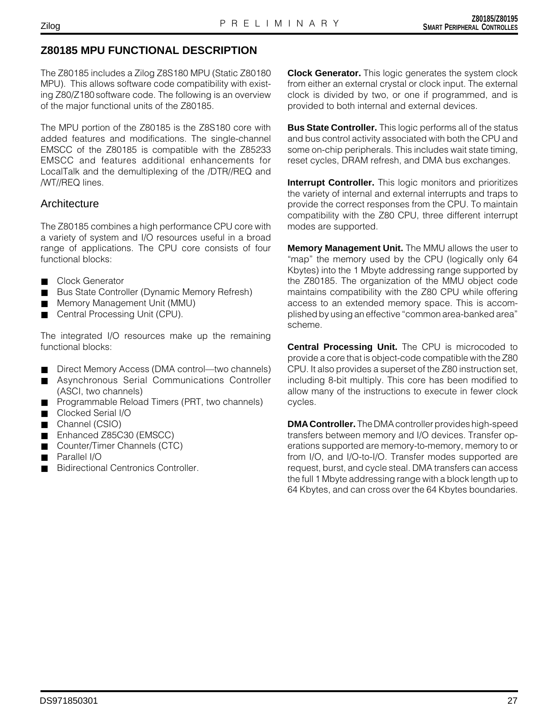# **Z80185 MPU FUNCTIONAL DESCRIPTION**

The Z80185 includes a Zilog Z8S180 MPU (Static Z80180 MPU). This allows software code compatibility with existing Z80/Z180 software code. The following is an overview of the major functional units of the Z80185.

The MPU portion of the Z80185 is the Z8S180 core with added features and modifications. The single-channel EMSCC of the Z80185 is compatible with the Z85233 EMSCC and features additional enhancements for LocalTalk and the demultiplexing of the /DTR//REQ and /WT//REQ lines.

#### **Architecture**

The Z80185 combines a high performance CPU core with a variety of system and I/O resources useful in a broad range of applications. The CPU core consists of four functional blocks:

- Clock Generator
- Bus State Controller (Dynamic Memory Refresh)
- Memory Management Unit (MMU)
- Central Processing Unit (CPU).

The integrated I/O resources make up the remaining functional blocks:

- Direct Memory Access (DMA control—two channels)
- Asynchronous Serial Communications Controller (ASCI, two channels)
- Programmable Reload Timers (PRT, two channels)
- Clocked Serial I/O
- Channel (CSIO)
- Enhanced Z85C30 (EMSCC)
- Counter/Timer Channels (CTC)
- Parallel I/O
- Bidirectional Centronics Controller.

**Clock Generator.** This logic generates the system clock from either an external crystal or clock input. The external clock is divided by two, or one if programmed, and is provided to both internal and external devices.

**Bus State Controller.** This logic performs all of the status and bus control activity associated with both the CPU and some on-chip peripherals. This includes wait state timing, reset cycles, DRAM refresh, and DMA bus exchanges.

**Interrupt Controller.** This logic monitors and prioritizes the variety of internal and external interrupts and traps to provide the correct responses from the CPU. To maintain compatibility with the Z80 CPU, three different interrupt modes are supported.

**Memory Management Unit.** The MMU allows the user to "map" the memory used by the CPU (logically only 64 Kbytes) into the 1 Mbyte addressing range supported by the Z80185. The organization of the MMU object code maintains compatibility with the Z80 CPU while offering access to an extended memory space. This is accomplished by using an effective "common area-banked area" scheme.

**Central Processing Unit.** The CPU is microcoded to provide a core that is object-code compatible with the Z80 CPU. It also provides a superset of the Z80 instruction set, including 8-bit multiply. This core has been modified to allow many of the instructions to execute in fewer clock cycles.

**DMA Controller.** The DMA controller provides high-speed transfers between memory and I/O devices. Transfer operations supported are memory-to-memory, memory to or from I/O, and I/O-to-I/O. Transfer modes supported are request, burst, and cycle steal. DMA transfers can access the full 1 Mbyte addressing range with a block length up to 64 Kbytes, and can cross over the 64 Kbytes boundaries.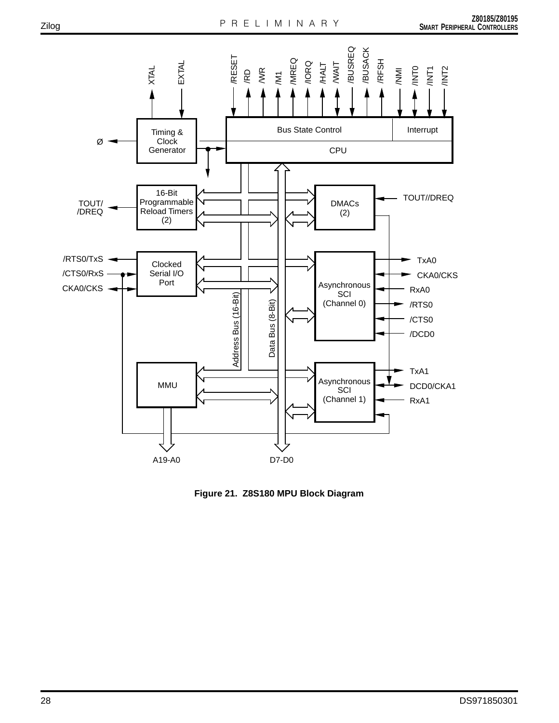

**Figure 21. Z8S180 MPU Block Diagram**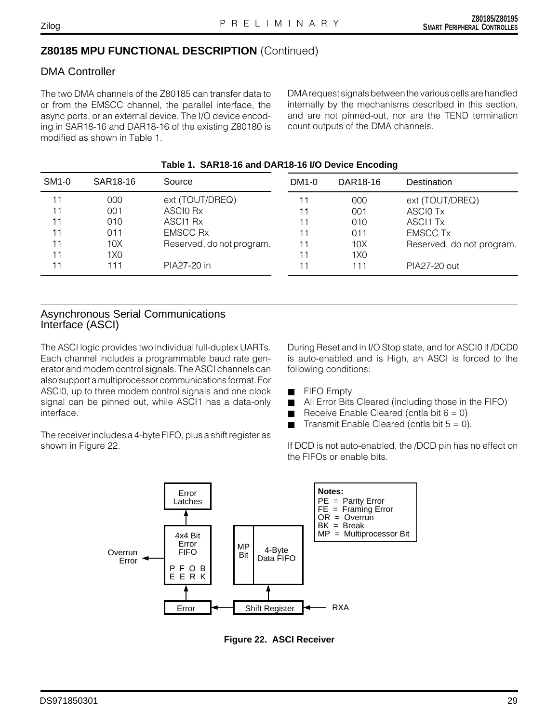# Zilog

#### **Z80185 MPU FUNCTIONAL DESCRIPTION** (Continued)

### DMA Controller

The two DMA channels of the Z80185 can transfer data to or from the EMSCC channel, the parallel interface, the async ports, or an external device. The I/O device encoding in SAR18-16 and DAR18-16 of the existing Z80180 is modified as shown in Table 1.

DMA request signals between the various cells are handled internally by the mechanisms described in this section, and are not pinned-out, nor are the TEND termination count outputs of the DMA channels.

|       | Table 1. SAR18-16 and DAR18-16 I/O Device Encoding |                           |       |                 |                           |  |  |  |  |
|-------|----------------------------------------------------|---------------------------|-------|-----------------|---------------------------|--|--|--|--|
| SM1-0 | SAR18-16                                           | Source                    | DM1-0 | DAR18-16        | Destination               |  |  |  |  |
| 11    | 000                                                | ext (TOUT/DREQ)           |       | 000             | ext (TOUT/DREQ)           |  |  |  |  |
| 11    | 001                                                | ASCIO Rx                  |       | 001             | ASCIO Tx                  |  |  |  |  |
| 11    | 010                                                | ASCI1 Rx                  |       | 010             | ASCI1 Tx                  |  |  |  |  |
| 11    | 011                                                | <b>EMSCC Rx</b>           |       | 011             | <b>EMSCC Tx</b>           |  |  |  |  |
| 11    | 10X                                                | Reserved, do not program. |       | 10X             | Reserved, do not program. |  |  |  |  |
| 11    | 1X0                                                |                           |       | 1X <sub>0</sub> |                           |  |  |  |  |
| 11    | 111                                                | PIA27-20 in               |       | 111             | PIA27-20 out              |  |  |  |  |
|       |                                                    |                           |       |                 |                           |  |  |  |  |

#### **Table 1. SAR18-16 and DAR18-16 I/O Device Encoding**

#### Asynchronous Serial Communications Interface (ASCI)

The ASCI logic provides two individual full-duplex UARTs. Each channel includes a programmable baud rate generator and modem control signals. The ASCI channels can also support a multiprocessor communications format. For ASCI0, up to three modem control signals and one clock signal can be pinned out, while ASCI1 has a data-only interface.

The receiver includes a 4-byte FIFO, plus a shift register as shown in Figure 22.

During Reset and in I/O Stop state, and for ASCI0 if /DCD0 is auto-enabled and is High, an ASCI is forced to the following conditions:

- FIFO Empty
- All Error Bits Cleared (including those in the FIFO)
- Receive Enable Cleared (cntla bit  $6 = 0$ )
- Transmit Enable Cleared (cntla bit  $5 = 0$ ).

If DCD is not auto-enabled, the /DCD pin has no effect on the FIFOs or enable bits.



**Figure 22. ASCI Receiver**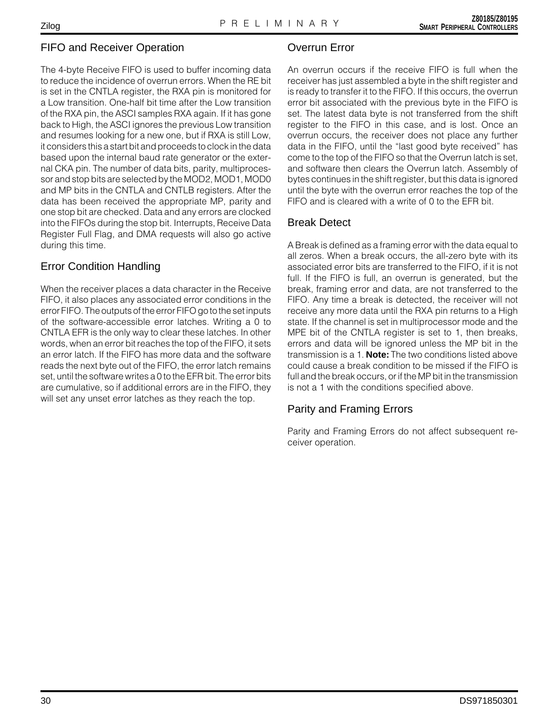## FIFO and Receiver Operation

The 4-byte Receive FIFO is used to buffer incoming data to reduce the incidence of overrun errors. When the RE bit is set in the CNTLA register, the RXA pin is monitored for a Low transition. One-half bit time after the Low transition of the RXA pin, the ASCI samples RXA again. If it has gone back to High, the ASCI ignores the previous Low transition and resumes looking for a new one, but if RXA is still Low, it considers this a start bit and proceeds to clock in the data based upon the internal baud rate generator or the external CKA pin. The number of data bits, parity, multiprocessor and stop bits are selected by the MOD2, MOD1, MOD0 and MP bits in the CNTLA and CNTLB registers. After the data has been received the appropriate MP, parity and one stop bit are checked. Data and any errors are clocked into the FIFOs during the stop bit. Interrupts, Receive Data Register Full Flag, and DMA requests will also go active during this time.

# Error Condition Handling

When the receiver places a data character in the Receive FIFO, it also places any associated error conditions in the error FIFO. The outputs of the error FIFO go to the set inputs of the software-accessible error latches. Writing a 0 to CNTLA EFR is the only way to clear these latches. In other words, when an error bit reaches the top of the FIFO, it sets an error latch. If the FIFO has more data and the software reads the next byte out of the FIFO, the error latch remains set, until the software writes a 0 to the EFR bit. The error bits are cumulative, so if additional errors are in the FIFO, they will set any unset error latches as they reach the top.

# Overrun Error

An overrun occurs if the receive FIFO is full when the receiver has just assembled a byte in the shift register and is ready to transfer it to the FIFO. If this occurs, the overrun error bit associated with the previous byte in the FIFO is set. The latest data byte is not transferred from the shift register to the FIFO in this case, and is lost. Once an overrun occurs, the receiver does not place any further data in the FIFO, until the "last good byte received" has come to the top of the FIFO so that the Overrun latch is set, and software then clears the Overrun latch. Assembly of bytes continues in the shift register, but this data is ignored until the byte with the overrun error reaches the top of the FIFO and is cleared with a write of 0 to the EFR bit.

# Break Detect

A Break is defined as a framing error with the data equal to all zeros. When a break occurs, the all-zero byte with its associated error bits are transferred to the FIFO, if it is not full. If the FIFO is full, an overrun is generated, but the break, framing error and data, are not transferred to the FIFO. Any time a break is detected, the receiver will not receive any more data until the RXA pin returns to a High state. If the channel is set in multiprocessor mode and the MPE bit of the CNTLA register is set to 1, then breaks, errors and data will be ignored unless the MP bit in the transmission is a 1. **Note:** The two conditions listed above could cause a break condition to be missed if the FIFO is full and the break occurs, or if the MP bit in the transmission is not a 1 with the conditions specified above.

# Parity and Framing Errors

Parity and Framing Errors do not affect subsequent receiver operation.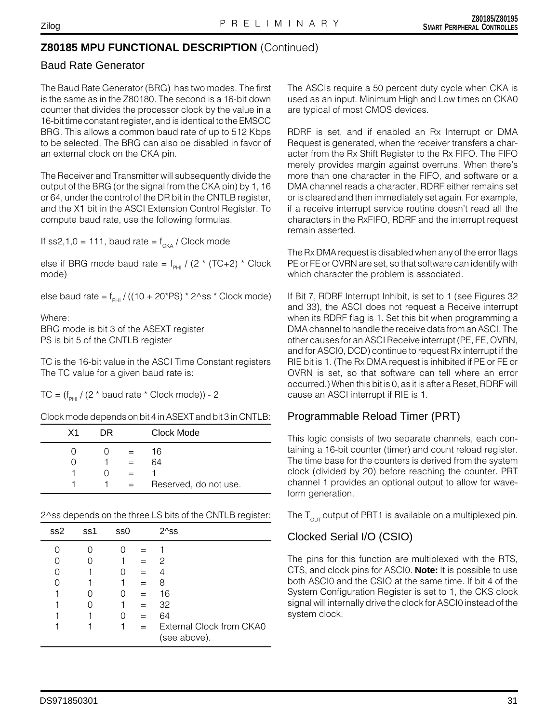## **Z80185 MPU FUNCTIONAL DESCRIPTION** (Continued)

#### Baud Rate Generator

The Baud Rate Generator (BRG) has two modes. The first is the same as in the Z80180. The second is a 16-bit down counter that divides the processor clock by the value in a 16-bit time constant register, and is identical to the EMSCC BRG. This allows a common baud rate of up to 512 Kbps to be selected. The BRG can also be disabled in favor of an external clock on the CKA pin.

The Receiver and Transmitter will subsequently divide the output of the BRG (or the signal from the CKA pin) by 1, 16 or 64, under the control of the DR bit in the CNTLB register, and the X1 bit in the ASCI Extension Control Register. To compute baud rate, use the following formulas.

If ss2,1,0 = 111, baud rate =  $f_{CKA}$  / Clock mode

else if BRG mode baud rate =  $f_{p+1}$  / (2 \* (TC+2) \* Clock mode)

else baud rate =  $f_{PHI}$  / ((10 + 20\*PS) \* 2^ss \* Clock mode)

Where: BRG mode is bit 3 of the ASEXT register PS is bit 5 of the CNTLB register

TC is the 16-bit value in the ASCI Time Constant registers The TC value for a given baud rate is:

TC =  $(f_{PHI} / (2 * baud rate * Clock mode)) - 2$ 

Clock mode depends on bit 4 in ASEXT and bit 3 in CNTLB:

| X1 | DR. |     | Clock Mode            |
|----|-----|-----|-----------------------|
|    |     |     | 16                    |
|    |     | $=$ | 64                    |
|    |     |     |                       |
|    |     | $=$ | Reserved, do not use. |
|    |     |     |                       |

2^ss depends on the three LS bits of the CNTLB register:

| ss2 | ss1 | ss0 |     | 2^ss                                     |
|-----|-----|-----|-----|------------------------------------------|
|     |     |     |     |                                          |
|     |     |     | $=$ | 2                                        |
|     |     |     |     |                                          |
|     |     |     |     | 8                                        |
|     |     |     | $=$ | 16                                       |
|     |     |     | $=$ | 32                                       |
|     |     |     |     | 64                                       |
|     |     |     |     | External Clock from CKA0<br>(see above). |

The ASCIs require a 50 percent duty cycle when CKA is used as an input. Minimum High and Low times on CKA0 are typical of most CMOS devices.

RDRF is set, and if enabled an Rx Interrupt or DMA Request is generated, when the receiver transfers a character from the Rx Shift Register to the Rx FIFO. The FIFO merely provides margin against overruns. When there's more than one character in the FIFO, and software or a DMA channel reads a character, RDRF either remains set or is cleared and then immediately set again. For example, if a receive interrupt service routine doesn't read all the characters in the RxFIFO, RDRF and the interrupt request remain asserted.

The Rx DMA request is disabled when any of the error flags PE or FE or OVRN are set, so that software can identify with which character the problem is associated.

If Bit 7, RDRF Interrupt Inhibit, is set to 1 (see Figures 32 and 33), the ASCI does not request a Receive interrupt when its RDRF flag is 1. Set this bit when programming a DMA channel to handle the receive data from an ASCI. The other causes for an ASCI Receive interrupt (PE, FE, OVRN, and for ASCI0, DCD) continue to request Rx interrupt if the RIE bit is 1. (The Rx DMA request is inhibited if PE or FE or OVRN is set, so that software can tell where an error occurred.) When this bit is 0, as it is after a Reset, RDRF will cause an ASCI interrupt if RIE is 1.

#### Programmable Reload Timer (PRT)

This logic consists of two separate channels, each containing a 16-bit counter (timer) and count reload register. The time base for the counters is derived from the system clock (divided by 20) before reaching the counter. PRT channel 1 provides an optional output to allow for waveform generation.

The  $T_{\text{out}}$  output of PRT1 is available on a multiplexed pin.

#### Clocked Serial I/O (CSIO)

The pins for this function are multiplexed with the RTS, CTS, and clock pins for ASCI0. **Note:** It is possible to use both ASCI0 and the CSIO at the same time. If bit 4 of the System Configuration Register is set to 1, the CKS clock signal will internally drive the clock for ASCI0 instead of the system clock.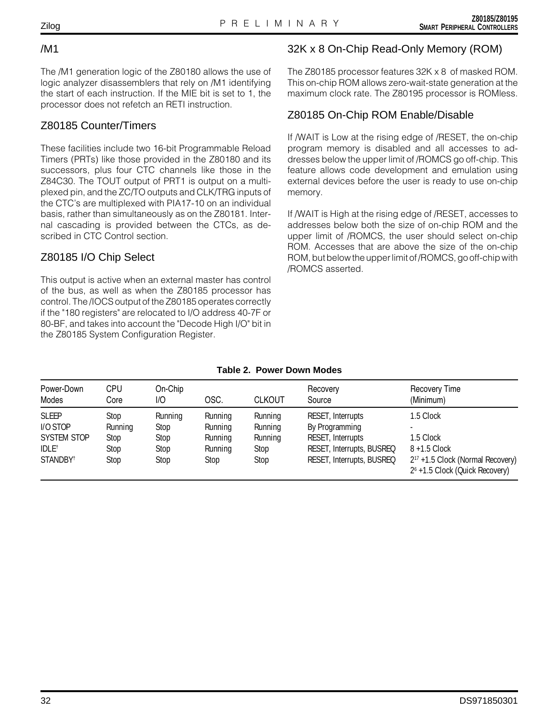#### /M1

The /M1 generation logic of the Z80180 allows the use of logic analyzer disassemblers that rely on /M1 identifying the start of each instruction. If the MIE bit is set to 1, the processor does not refetch an RETI instruction.

# Z80185 Counter/Timers

These facilities include two 16-bit Programmable Reload Timers (PRTs) like those provided in the Z80180 and its successors, plus four CTC channels like those in the Z84C30. The TOUT output of PRT1 is output on a multiplexed pin, and the ZC/TO outputs and CLK/TRG inputs of the CTC's are multiplexed with PIA17-10 on an individual basis, rather than simultaneously as on the Z80181. Internal cascading is provided between the CTCs, as described in CTC Control section.

# Z80185 I/O Chip Select

This output is active when an external master has control of the bus, as well as when the Z80185 processor has control. The /IOCS output of the Z80185 operates correctly if the "180 registers" are relocated to I/O address 40-7F or 80-BF, and takes into account the "Decode High I/O" bit in the Z80185 System Configuration Register.

# 32K x 8 On-Chip Read-Only Memory (ROM)

The Z80185 processor features 32K x 8 of masked ROM. This on-chip ROM allows zero-wait-state generation at the maximum clock rate. The Z80195 processor is ROMless.

# Z80185 On-Chip ROM Enable/Disable

If /WAIT is Low at the rising edge of /RESET, the on-chip program memory is disabled and all accesses to addresses below the upper limit of /ROMCS go off-chip. This feature allows code development and emulation using external devices before the user is ready to use on-chip memory.

If /WAIT is High at the rising edge of /RESET, accesses to addresses below both the size of on-chip ROM and the upper limit of /ROMCS, the user should select on-chip ROM. Accesses that are above the size of the on-chip ROM, but below the upper limit of /ROMCS, go off-chip with /ROMCS asserted.

| Table 2. Power Down Modes |  |  |
|---------------------------|--|--|
|                           |  |  |

| Power-Down<br>Modes      | <b>CPU</b><br>Core | On-Chip<br>I/O  | OSC.               | <b>CLKOUT</b>      | Recovery<br>Source                  | <b>Recovery Time</b><br>(Minimum)                                                          |
|--------------------------|--------------------|-----------------|--------------------|--------------------|-------------------------------------|--------------------------------------------------------------------------------------------|
| <b>SLEEP</b><br>I/O STOP | Stop<br>Running    | Running<br>Stop | Running<br>Running | Running<br>Running | RESET, Interrupts<br>By Programming | 1.5 Clock                                                                                  |
| SYSTEM STOP              | Stop               | Stop            | Running            | Running            | RESET, Interrupts                   | 1.5 Clock                                                                                  |
| IDLE <sup>†</sup>        | Stop               | Stop            | Running            | Stop               | RESET, Interrupts, BUSREQ           | $8 + 1.5$ Clock                                                                            |
| STANDBY <sup>t</sup>     | Stop               | Stop            | Stop               | Stop               | RESET, Interrupts, BUSREQ           | 2 <sup>17</sup> +1.5 Clock (Normal Recovery)<br>2 <sup>6</sup> +1.5 Clock (Quick Recovery) |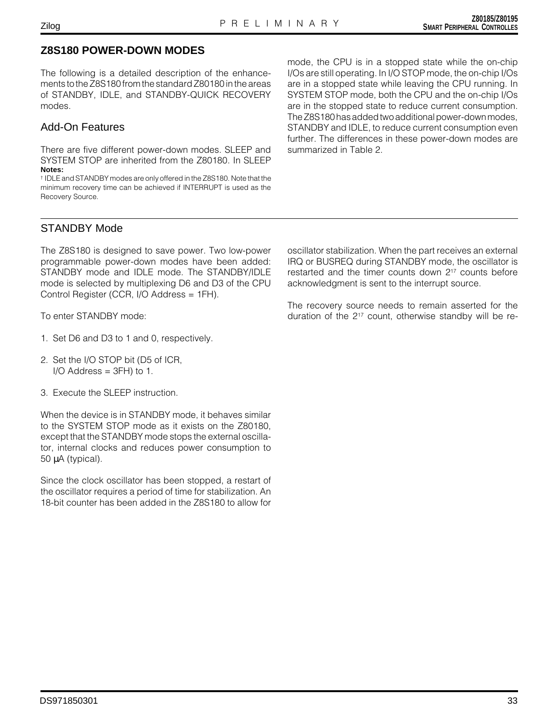#### **Z8S180 POWER-DOWN MODES**

The following is a detailed description of the enhancements to the Z8S180 from the standard Z80180 in the areas of STANDBY, IDLE, and STANDBY-QUICK RECOVERY modes.

#### Add-On Features

There are five different power-down modes. SLEEP and SYSTEM STOP are inherited from the Z80180. In SLEEP **Notes:**

† IDLE and STANDBY modes are only offered in the Z8S180. Note that the minimum recovery time can be achieved if INTERRUPT is used as the Recovery Source.

mode, the CPU is in a stopped state while the on-chip I/Os are still operating. In I/O STOP mode, the on-chip I/Os are in a stopped state while leaving the CPU running. In SYSTEM STOP mode, both the CPU and the on-chip I/Os are in the stopped state to reduce current consumption. The Z8S180 has added two additional power-down modes, STANDBY and IDLE, to reduce current consumption even further. The differences in these power-down modes are summarized in Table 2.

### STANDBY Mode

The Z8S180 is designed to save power. Two low-power programmable power-down modes have been added: STANDBY mode and IDLE mode. The STANDBY/IDLE mode is selected by multiplexing D6 and D3 of the CPU Control Register (CCR, I/O Address = 1FH).

To enter STANDBY mode:

- 1. Set D6 and D3 to 1 and 0, respectively.
- 2. Set the I/O STOP bit (D5 of ICR,  $I/O$  Address = 3FH) to 1.
- 3. Execute the SLEEP instruction.

When the device is in STANDBY mode, it behaves similar to the SYSTEM STOP mode as it exists on the Z80180, except that the STANDBY mode stops the external oscillator, internal clocks and reduces power consumption to 50 µA (typical).

Since the clock oscillator has been stopped, a restart of the oscillator requires a period of time for stabilization. An 18-bit counter has been added in the Z8S180 to allow for

oscillator stabilization. When the part receives an external IRQ or BUSREQ during STANDBY mode, the oscillator is restarted and the timer counts down 217 counts before acknowledgment is sent to the interrupt source.

The recovery source needs to remain asserted for the duration of the 217 count, otherwise standby will be re-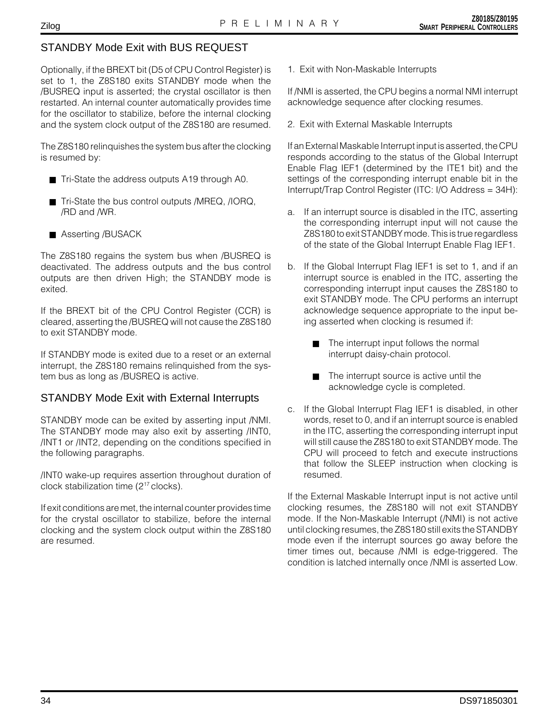# STANDBY Mode Exit with BUS REQUEST

Optionally, if the BREXT bit (D5 of CPU Control Register) is set to 1, the Z8S180 exits STANDBY mode when the /BUSREQ input is asserted; the crystal oscillator is then restarted. An internal counter automatically provides time for the oscillator to stabilize, before the internal clocking and the system clock output of the Z8S180 are resumed.

The Z8S180 relinquishes the system bus after the clocking is resumed by:

- Tri-State the address outputs A19 through A0.
- Tri-State the bus control outputs /MREQ, /IORQ, /RD and /WR.
- Asserting /BUSACK

The Z8S180 regains the system bus when /BUSREQ is deactivated. The address outputs and the bus control outputs are then driven High; the STANDBY mode is exited.

If the BREXT bit of the CPU Control Register (CCR) is cleared, asserting the /BUSREQ will not cause the Z8S180 to exit STANDBY mode.

If STANDBY mode is exited due to a reset or an external interrupt, the Z8S180 remains relinquished from the system bus as long as /BUSREQ is active.

#### STANDBY Mode Exit with External Interrupts

STANDBY mode can be exited by asserting input /NMI. The STANDBY mode may also exit by asserting /INT0, /INT1 or /INT2, depending on the conditions specified in the following paragraphs.

/INT0 wake-up requires assertion throughout duration of clock stabilization time (217 clocks).

If exit conditions are met, the internal counter provides time for the crystal oscillator to stabilize, before the internal clocking and the system clock output within the Z8S180 are resumed.

1. Exit with Non-Maskable Interrupts

If /NMI is asserted, the CPU begins a normal NMI interrupt acknowledge sequence after clocking resumes.

2. Exit with External Maskable Interrupts

If an External Maskable Interrupt input is asserted, the CPU responds according to the status of the Global Interrupt Enable Flag IEF1 (determined by the ITE1 bit) and the settings of the corresponding interrupt enable bit in the Interrupt/Trap Control Register (ITC: I/O Address = 34H):

- a. If an interrupt source is disabled in the ITC, asserting the corresponding interrupt input will not cause the Z8S180 to exit STANDBY mode. This is true regardless of the state of the Global Interrupt Enable Flag IEF1.
- b. If the Global Interrupt Flag IEF1 is set to 1, and if an interrupt source is enabled in the ITC, asserting the corresponding interrupt input causes the Z8S180 to exit STANDBY mode. The CPU performs an interrupt acknowledge sequence appropriate to the input being asserted when clocking is resumed if:
	- The interrupt input follows the normal interrupt daisy-chain protocol.
	- The interrupt source is active until the acknowledge cycle is completed.
- c. If the Global Interrupt Flag IEF1 is disabled, in other words, reset to 0, and if an interrupt source is enabled in the ITC, asserting the corresponding interrupt input will still cause the Z8S180 to exit STANDBY mode. The CPU will proceed to fetch and execute instructions that follow the SLEEP instruction when clocking is resumed.

If the External Maskable Interrupt input is not active until clocking resumes, the Z8S180 will not exit STANDBY mode. If the Non-Maskable Interrupt (/NMI) is not active until clocking resumes, the Z8S180 still exits the STANDBY mode even if the interrupt sources go away before the timer times out, because /NMI is edge-triggered. The condition is latched internally once /NMI is asserted Low.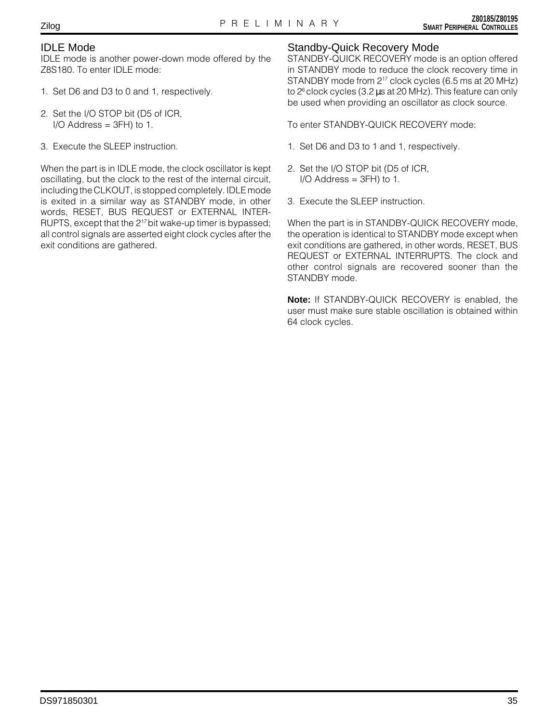# Zilog

#### IDLE Mode

IDLE mode is another power-down mode offered by the Z8S180. To enter IDLE mode:

- 1. Set D6 and D3 to 0 and 1, respectively.
- 2. Set the I/O STOP bit (D5 of ICR, I/O Address =  $3FH$ ) to 1.
- 3. Execute the SLEEP instruction.

When the part is in IDLE mode, the clock oscillator is kept oscillating, but the clock to the rest of the internal circuit, including the CLKOUT, is stopped completely. IDLE mode is exited in a similar way as STANDBY mode, in other words, RESET, BUS REQUEST or EXTERNAL INTER-RUPTS, except that the 2<sup>17</sup> bit wake-up timer is bypassed; all control signals are asserted eight clock cycles after the exit conditions are gathered.

### Standby-Quick Recovery Mode

STANDBY-QUICK RECOVERY mode is an option offered in STANDBY mode to reduce the clock recovery time in STANDBY mode from 217 clock cycles (6.5 ms at 20 MHz) to 2<sup>6</sup> clock cycles (3.2 µs at 20 MHz). This feature can only be used when providing an oscillator as clock source.

To enter STANDBY-QUICK RECOVERY mode:

- 1. Set D6 and D3 to 1 and 1, respectively.
- 2. Set the I/O STOP bit (D5 of ICR,  $I/O$  Address = 3FH) to 1.
- 3. Execute the SLEEP instruction.

When the part is in STANDBY-QUICK RECOVERY mode, the operation is identical to STANDBY mode except when exit conditions are gathered, in other words, RESET, BUS REQUEST or EXTERNAL INTERRUPTS. The clock and other control signals are recovered sooner than the STANDBY mode.

**Note:** If STANDBY-QUICK RECOVERY is enabled, the user must make sure stable oscillation is obtained within 64 clock cycles.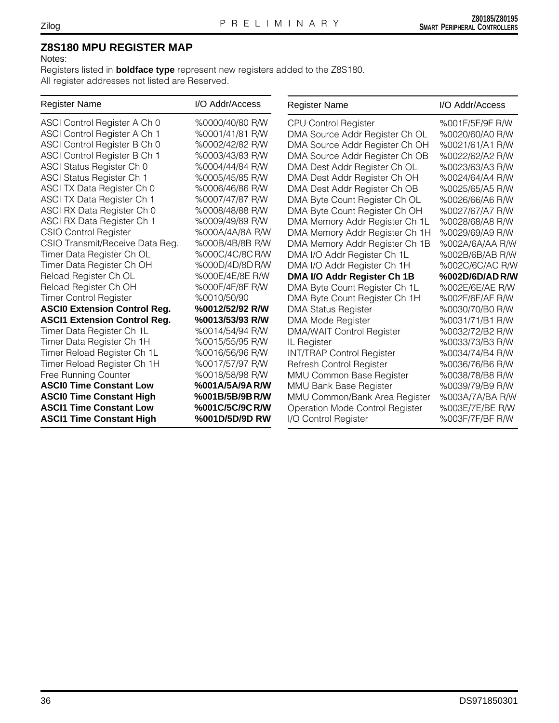## **Z8S180 MPU REGISTER MAP**

#### Notes:

Registers listed in **boldface type** represent new registers added to the Z8S180. All register addresses not listed are Reserved.

| <b>Register Name</b>                | I/O Addr/Access | <b>Register Name</b>             | I/O Addr/Access |
|-------------------------------------|-----------------|----------------------------------|-----------------|
| ASCI Control Register A Ch 0        | %0000/40/80 R/W | <b>CPU Control Register</b>      | %001F/5F/9F R/W |
| ASCI Control Register A Ch 1        | %0001/41/81 R/W | DMA Source Addr Register Ch OL   | %0020/60/A0 R/W |
| ASCI Control Register B Ch 0        | %0002/42/82 R/W | DMA Source Addr Register Ch OH   | %0021/61/A1 R/W |
| ASCI Control Register B Ch 1        | %0003/43/83 R/W | DMA Source Addr Register Ch OB   | %0022/62/A2 R/W |
| ASCI Status Register Ch 0           | %0004/44/84 R/W | DMA Dest Addr Register Ch OL     | %0023/63/A3 R/W |
| <b>ASCI Status Register Ch 1</b>    | %0005/45/85 R/W | DMA Dest Addr Register Ch OH     | %0024/64/A4 R/W |
| ASCI TX Data Register Ch 0          | %0006/46/86 R/W | DMA Dest Addr Register Ch OB     | %0025/65/A5 R/W |
| ASCI TX Data Register Ch 1          | %0007/47/87 R/W | DMA Byte Count Register Ch OL    | %0026/66/A6 R/W |
| ASCI RX Data Register Ch 0          | %0008/48/88 R/W | DMA Byte Count Register Ch OH    | %0027/67/A7 R/W |
| ASCI RX Data Register Ch 1          | %0009/49/89 R/W | DMA Memory Addr Register Ch 1L   | %0028/68/A8 R/W |
| <b>CSIO Control Register</b>        | %000A/4A/8A R/W | DMA Memory Addr Register Ch 1H   | %0029/69/A9 R/W |
| CSIO Transmit/Receive Data Reg.     | %000B/4B/8B R/W | DMA Memory Addr Register Ch 1B   | %002A/6A/AA R/W |
| Timer Data Register Ch OL           | %000C/4C/8CR/W  | DMA I/O Addr Register Ch 1L      | %002B/6B/AB R/W |
| Timer Data Register Ch OH           | %000D/4D/8DR/W  | DMA I/O Addr Register Ch 1H      | %002C/6C/AC R/W |
| Reload Register Ch OL               | %000E/4E/8E R/W | DMA I/O Addr Register Ch 1B      | %002D/6D/ADR/W  |
| Reload Register Ch OH               | %000F/4F/8F R/W | DMA Byte Count Register Ch 1L    | %002E/6E/AE R/W |
| <b>Timer Control Register</b>       | %0010/50/90     | DMA Byte Count Register Ch 1H    | %002F/6F/AF R/W |
| <b>ASCIO Extension Control Reg.</b> | %0012/52/92 R/W | <b>DMA Status Register</b>       | %0030/70/B0 R/W |
| <b>ASCI1 Extension Control Reg.</b> | %0013/53/93 R/W | DMA Mode Register                | %0031/71/B1 R/W |
| Timer Data Register Ch 1L           | %0014/54/94 R/W | <b>DMA/WAIT Control Register</b> | %0032/72/B2 R/W |
| Timer Data Register Ch 1H           | %0015/55/95 R/W | IL Register                      | %0033/73/B3 R/W |
| Timer Reload Register Ch 1L         | %0016/56/96 R/W | <b>INT/TRAP Control Register</b> | %0034/74/B4 R/W |
| Timer Reload Register Ch 1H         | %0017/57/97 R/W | Refresh Control Register         | %0036/76/B6 R/W |
| Free Running Counter                | %0018/58/98 R/W | MMU Common Base Register         | %0038/78/B8 R/W |
| <b>ASCIO Time Constant Low</b>      | %001A/5A/9AR/W  | <b>MMU Bank Base Register</b>    | %0039/79/B9 R/W |
| <b>ASCIO Time Constant High</b>     | %001B/5B/9BR/W  | MMU Common/Bank Area Register    | %003A/7A/BA R/W |
| <b>ASCI1 Time Constant Low</b>      | %001C/5C/9CR/W  | Operation Mode Control Register  | %003E/7E/BE R/W |
| <b>ASCI1 Time Constant High</b>     | %001D/5D/9D RW  | I/O Control Register             | %003F/7F/BF R/W |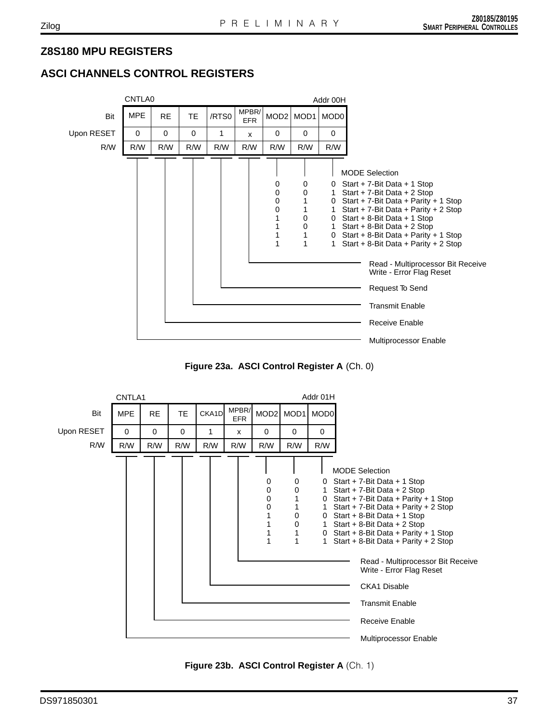# **Z8S180 MPU REGISTERS**

# **ASCI CHANNELS CONTROL REGISTERS**



**Figure 23a. ASCI Control Register A** (Ch. 0)



**Figure 23b. ASCI Control Register A** (Ch. 1)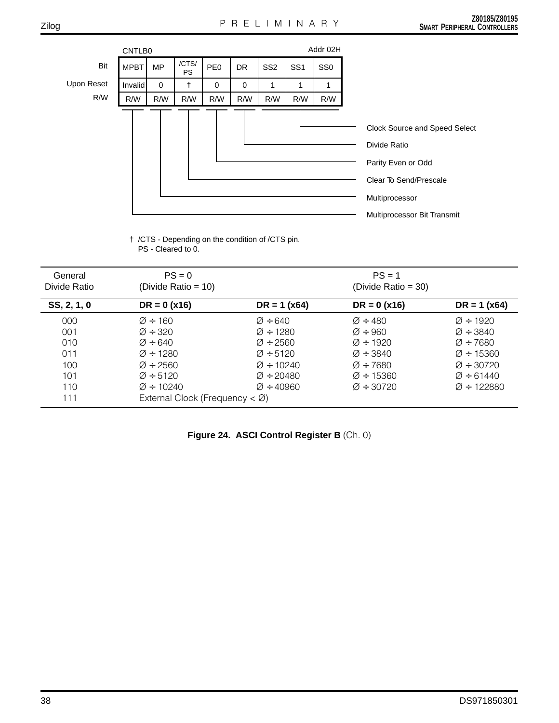|            | CNTLB0      |             |                    |                 |           |                 |                 | Addr 02H        |                                                                                                                                                |
|------------|-------------|-------------|--------------------|-----------------|-----------|-----------------|-----------------|-----------------|------------------------------------------------------------------------------------------------------------------------------------------------|
| Bit        | <b>MPBT</b> | <b>MP</b>   | /CTS/<br><b>PS</b> | PE <sub>0</sub> | <b>DR</b> | SS <sub>2</sub> | SS <sub>1</sub> | SS <sub>0</sub> |                                                                                                                                                |
| Upon Reset | Invalid     | $\mathbf 0$ | +                  | 0               | 0         | 1               |                 | 1               |                                                                                                                                                |
| R/W        | R/W         | R/W         | R/W                | R/W             | R/W       | R/W             | R/W             | R/W             |                                                                                                                                                |
|            |             |             |                    |                 |           |                 |                 |                 | Clock Source and Speed Select<br>Divide Ratio<br>Parity Even or Odd<br>Clear To Send/Prescale<br>Multiprocessor<br>Multiprocessor Bit Transmit |

† /CTS - Depending on the condition of /CTS pin. PS - Cleared to 0.

| General<br>Divide Ratio                       | $PS = 0$<br>(Divide Ratio = $10$ )                                                                                                                                 |                                                                                                                                                                         | $PS = 1$<br>(Divide Ratio = $30$ )                                                                                                                                   |                                                                                                                                                                           |
|-----------------------------------------------|--------------------------------------------------------------------------------------------------------------------------------------------------------------------|-------------------------------------------------------------------------------------------------------------------------------------------------------------------------|----------------------------------------------------------------------------------------------------------------------------------------------------------------------|---------------------------------------------------------------------------------------------------------------------------------------------------------------------------|
| SS, 2, 1, 0                                   | $DR = 0 (x16)$                                                                                                                                                     | $DR = 1 (x64)$                                                                                                                                                          | $DR = 0 (x16)$                                                                                                                                                       | $DR = 1 (x64)$                                                                                                                                                            |
| 000<br>001<br>010<br>011<br>100<br>101<br>110 | $\varnothing$ ÷ 160<br>$\varnothing$ ÷ 320<br>$\varnothing$ ÷ 640<br>$\varnothing$ ÷ 1280<br>$\varnothing$ ÷ 2560<br>$\varnothing$ ÷ 5120<br>$\varnothing$ ÷ 10240 | $\varnothing$ ÷ 640<br>$\varnothing$ ÷ 1280<br>$\varnothing$ ÷ 2560<br>$\varnothing$ ÷ 5120<br>$\varnothing$ ÷ 10240<br>$\varnothing$ ÷ 20480<br>$\varnothing$ ÷ 40.960 | $\varnothing$ ÷ 480<br>$\varnothing$ ÷ 960<br>$\varnothing$ ÷ 1920<br>$\varnothing$ ÷ 3840<br>$\varnothing$ ÷ 7680<br>$\varnothing$ ÷ 15360<br>$\varnothing$ ÷ 30720 | $\varnothing$ ÷ 1920<br>$\varnothing$ ÷ 3840<br>$\varnothing$ ÷ 7680<br>$\varnothing$ ÷ 15360<br>$\varnothing$ ÷ 30720<br>$\varnothing$ ÷ 61440<br>$\varnothing$ ÷ 122880 |

| Figure 24. ASCI Control Register B (Ch. 0) |  |  |  |  |  |  |
|--------------------------------------------|--|--|--|--|--|--|
|--------------------------------------------|--|--|--|--|--|--|

Zilog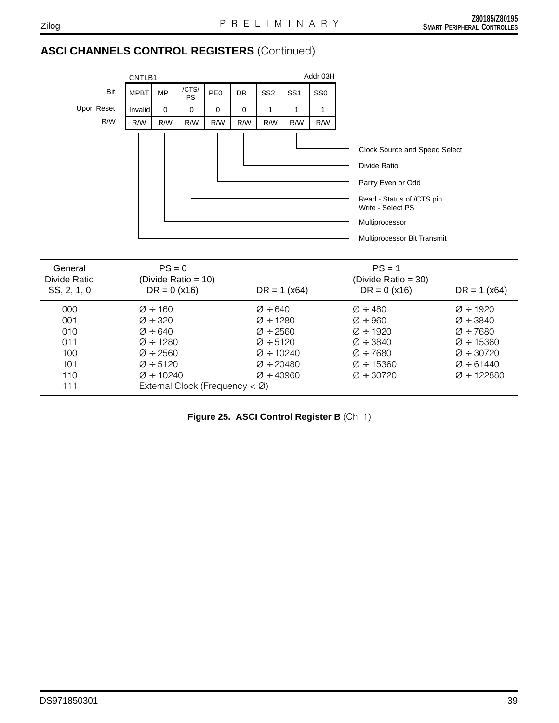# **ASCI CHANNELS CONTROL REGISTERS** (Continued)

|                                                      |             | Addr 03H<br>CNTLB1                                                                                                         |                                             |                 |           |                                                                                                                                          |                 |                 |                                                                                                                                                                        |                                                                                                                            |
|------------------------------------------------------|-------------|----------------------------------------------------------------------------------------------------------------------------|---------------------------------------------|-----------------|-----------|------------------------------------------------------------------------------------------------------------------------------------------|-----------------|-----------------|------------------------------------------------------------------------------------------------------------------------------------------------------------------------|----------------------------------------------------------------------------------------------------------------------------|
| Bit                                                  | <b>MPBT</b> | <b>MP</b>                                                                                                                  | /CTS/<br><b>PS</b>                          | PE <sub>0</sub> | <b>DR</b> | SS <sub>2</sub>                                                                                                                          | SS <sub>1</sub> | SS <sub>0</sub> |                                                                                                                                                                        |                                                                                                                            |
| Upon Reset                                           | Invalid     | $\Omega$                                                                                                                   | 0                                           | 0               | 0         | 1                                                                                                                                        | 1               | 1               |                                                                                                                                                                        |                                                                                                                            |
| R/W                                                  | R/W         | R/W                                                                                                                        | R/W                                         | R/W             | R/W       | R/W                                                                                                                                      | R/W             | R/W             |                                                                                                                                                                        |                                                                                                                            |
|                                                      |             |                                                                                                                            |                                             |                 |           |                                                                                                                                          |                 |                 | Clock Source and Speed Select<br>Divide Ratio<br>Parity Even or Odd<br>Read - Status of /CTS pin<br>Write - Select PS<br>Multiprocessor<br>Multiprocessor Bit Transmit |                                                                                                                            |
| General<br>Divide Ratio<br>SS, 2, 1, 0               |             | $PS = 0$<br>$DR = 0 (x16)$                                                                                                 | (Divide Ratio = 10)                         |                 |           | $DR = 1 (x64)$                                                                                                                           |                 |                 | $PS = 1$<br>(Divide Ratio = 30)<br>$DR = 0 (x16)$                                                                                                                      | $DR = 1 (x64)$                                                                                                             |
| 000<br>001<br>010<br>011<br>100<br>101<br>110<br>111 |             | $\varnothing$ ÷ 160<br>$\varnothing$ ÷ 320<br>$\varnothing$ ÷ 640<br>$Ø + 1280$<br>$Ø + 2560$<br>$Ø + 5120$<br>$Ø + 10240$ | External Clock (Frequency $\lt \emptyset$ ) |                 |           | $\varnothing$ ÷ 640<br>$Ø + 1280$<br>$\varnothing$ ÷ 2560<br>$Ø + 5120$<br>$Ø + 10240$<br>$\varnothing$ ÷ 20480<br>$\varnothing$ ÷ 40960 |                 |                 | $\varnothing$ ÷ 480<br>$\varnothing$ ÷ 960<br>$\varnothing$ ÷ 1920<br>$\varnothing$ ÷ 3840<br>$Ø + 7680$<br>$Ø + 15360$<br>$\varnothing$ ÷ 30720                       | $Ø + 1920$<br>$Ø + 3840$<br>$Ø + 7680$<br>$Ø + 15360$<br>$\varnothing$ ÷ 30720<br>$\varnothing$ ÷ 61440<br>$Ø \div 122880$ |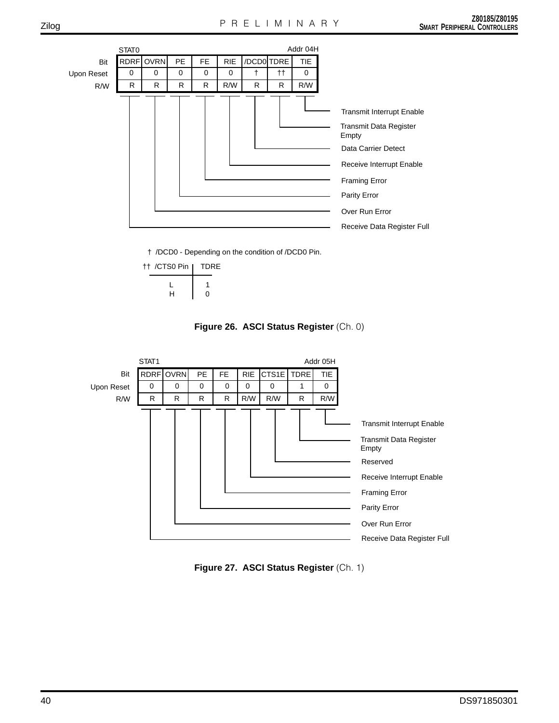

† /DCD0 - Depending on the condition of /DCD0 Pin.

| tt /CTS0 Pin | TDRE |
|--------------|------|
| н            | n    |

**Figure 26. ASCI Status Register** (Ch. 0)



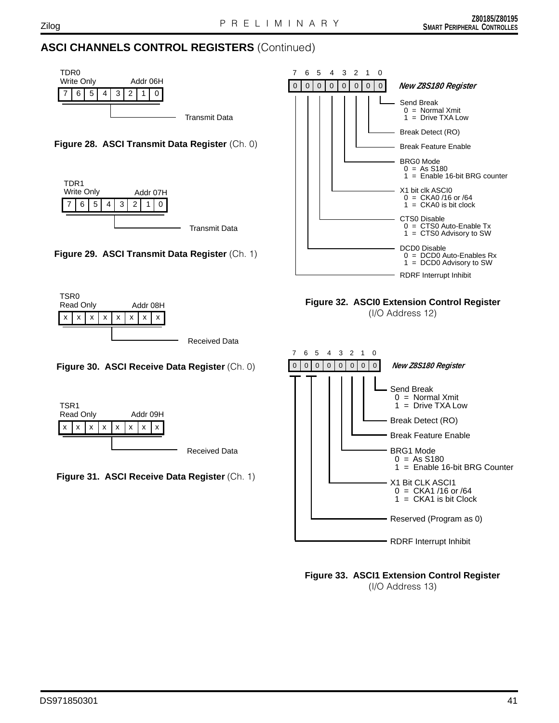# **ASCI CHANNELS CONTROL REGISTERS** (Continued)











**Figure 30. ASCI Receive Data Register** (Ch. 0)



**Figure 31. ASCI Receive Data Register** (Ch. 1)



**Figure 32. ASCI0 Extension Control Register**

(I/O Address 12)



**Figure 33. ASCI1 Extension Control Register** (I/O Address 13)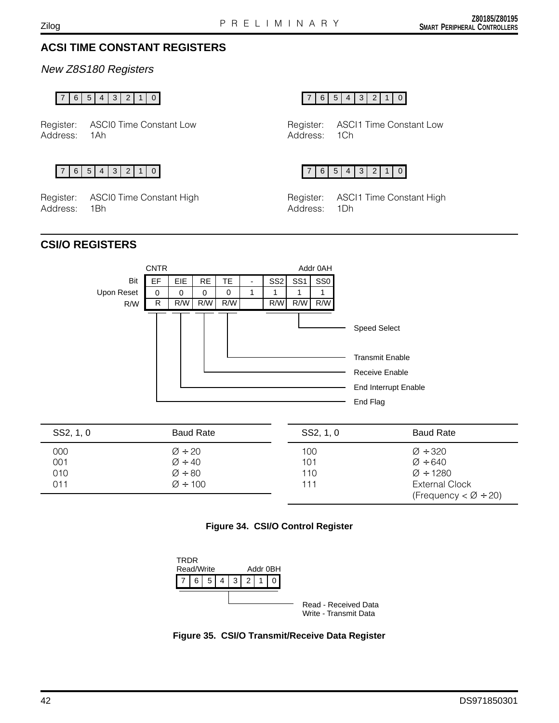# **ACSI TIME CONSTANT REGISTERS**

New Z8S180 Registers

Register: ASCI0 Time Constant Low Address: 1Ah

Register: ASCI0 Time Constant High Address: 1Bh

76543210 76543210

Register: ASCI1 Time Constant Low Address: 1Ch



Register: ASCI1 Time Constant High Address: 1Dh

# **CSI/O REGISTERS**



| SS2, 1, 0 | <b>Baud Rate</b>    | SS2, 1, 0 | <b>Baud Rate</b>       |
|-----------|---------------------|-----------|------------------------|
| 000       | $\varnothing$ ÷ 20  | 100       | $\varnothing$ ÷ 320    |
| 001       | $\varnothing$ ÷ 40  | 101       | $\varnothing$ ÷ 640    |
| 010       | $\varnothing$ ÷ 80  | 110       | $\varnothing$ ÷ 1280   |
| 011       | $\varnothing$ ÷ 100 | 111       | <b>External Clock</b>  |
|           |                     |           | (Frequency $<$ Ø ÷ 20) |





**Figure 35. CSI/O Transmit/Receive Data Register**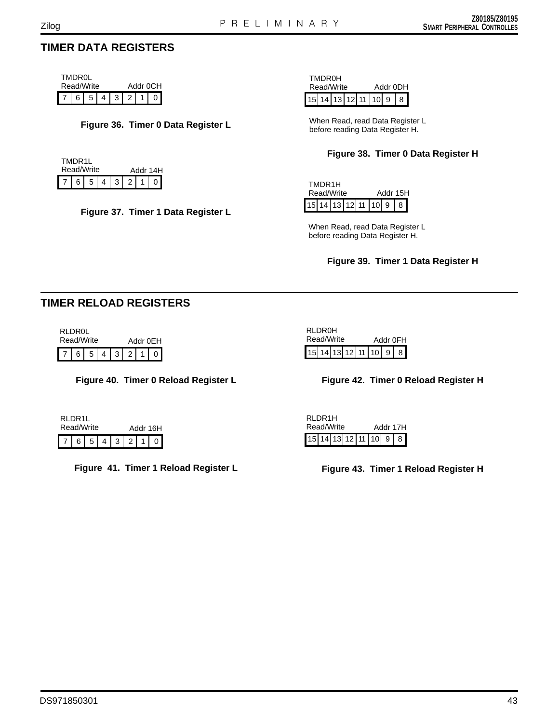# **TIMER DATA REGISTERS**

|                                                                                                 | TMDR0I |            |          |  |  |  |  |
|-------------------------------------------------------------------------------------------------|--------|------------|----------|--|--|--|--|
|                                                                                                 |        | Read/Write | Addr 0CH |  |  |  |  |
| $\boxed{7}$ $\boxed{6}$ $\boxed{5}$ $\boxed{4}$ $\boxed{3}$ $\boxed{2}$ $\boxed{1}$ $\boxed{0}$ |        |            |          |  |  |  |  |

### **Figure 36. Timer 0 Data Register L**

| TMDR11 | Read/Write |                                |                 | Addr 14H |  |
|--------|------------|--------------------------------|-----------------|----------|--|
|        | 65         | $+4$ <sup><math>+</math></sup> | $3 \mid 2 \mid$ |          |  |

**Figure 37. Timer 1 Data Register L**

|            | <b>TMDR0H</b> |  |  |  |                                   |  |  |  |
|------------|---------------|--|--|--|-----------------------------------|--|--|--|
| Read/Write |               |  |  |  | Addr 0DH<br>15 14 13 12 11 10 9 8 |  |  |  |

When Read, read Data Register L before reading Data Register H.

### **Figure 38. Timer 0 Data Register H**

| TMDR1H | Read/Write            |  | Addr 15H |  |
|--------|-----------------------|--|----------|--|
|        | 15 14 13 12 11 10 9 8 |  |          |  |

When Read, read Data Register L before reading Data Register H.

#### **Figure 39. Timer 1 Data Register H**

# **TIMER RELOAD REGISTERS**

| <b>RLDR0L</b> | Read/Write |  |  | Addr 0FH        |  |
|---------------|------------|--|--|-----------------|--|
|               |            |  |  | 7 6 5 4 3 2 1 0 |  |

**Figure 40. Timer 0 Reload Register L**

|  | Figure 42. Timer 0 Reload Register H |
|--|--------------------------------------|
|  |                                      |

 $15$  14 13 12 11 10 9 8

Read/Write Addr 0FH

RLDR0H

| RI DR11<br>Read/Write |  |     |                |  |     | Addr 16H |  |
|-----------------------|--|-----|----------------|--|-----|----------|--|
|                       |  | 6 5 | 4 <sub>1</sub> |  | 3 2 |          |  |

**Figure 41. Timer 1 Reload Register L Figure 43. Timer 1 Reload Register H**

|                         | RI DR1H<br>Read/Write |  | Addr 17H |  |  |  |  |
|-------------------------|-----------------------|--|----------|--|--|--|--|
| $15$ 14 13 12 11 10 9 8 |                       |  |          |  |  |  |  |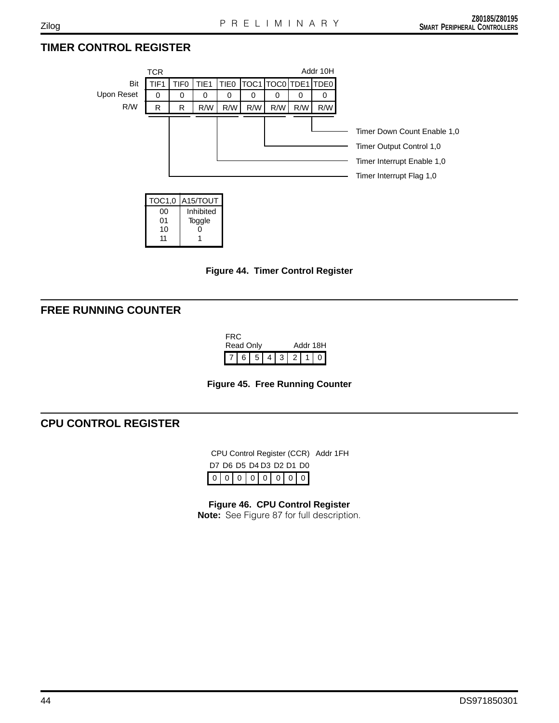# **TIMER CONTROL REGISTER**







# **FREE RUNNING COUNTER**

11 1

| FRC.<br>Read Only |  |                 |  |  | Addr 18H |  |  |  |  |
|-------------------|--|-----------------|--|--|----------|--|--|--|--|
|                   |  | 7 6 5 4 3 2 1 0 |  |  |          |  |  |  |  |



# **CPU CONTROL REGISTER**

00000000 CPU Control Register (CCR) Addr 1FH D7 D6 D5 D4 D3 D2 D1 D0

**Figure 46. CPU Control Register Note:** See Figure 87 for full description.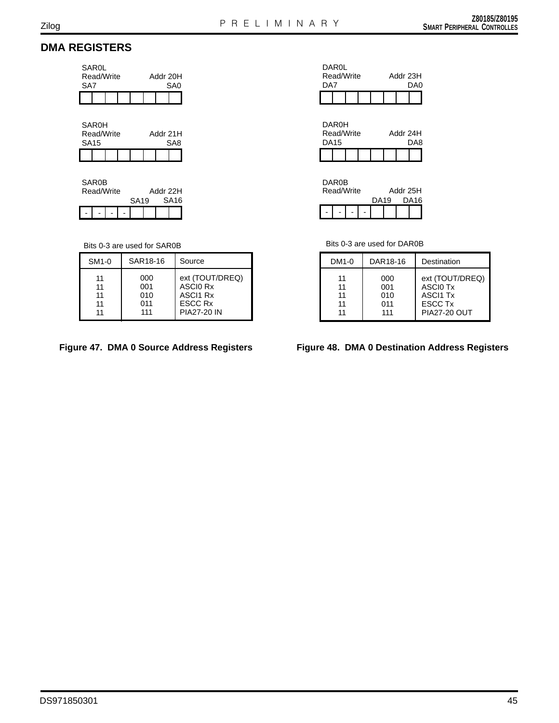# **DMA REGISTERS**

| SAROL<br>Read/Write<br>SA7 |  |  |  |  | Addr 20H<br>SA0 |
|----------------------------|--|--|--|--|-----------------|
|                            |  |  |  |  |                 |

| <b>SAR0H</b><br>Read/Write<br><b>SA15</b> |  |  |  | Addr 21H<br>SA <sub>8</sub> |  |  |  |  |
|-------------------------------------------|--|--|--|-----------------------------|--|--|--|--|
|                                           |  |  |  |                             |  |  |  |  |

|  | <b>SAR0B</b><br>Read/Write |  | Addr 22H         |  |  |                  |  |
|--|----------------------------|--|------------------|--|--|------------------|--|
|  |                            |  | SA <sub>19</sub> |  |  | SA <sub>16</sub> |  |
|  |                            |  |                  |  |  |                  |  |

#### Bits 0-3 are used for SAR0B

| SM <sub>1</sub> -0 | SAR18-16 | Source             |
|--------------------|----------|--------------------|
| 11                 | 000      | ext (TOUT/DREQ)    |
| 11                 | 001      | ASCI0 Rx           |
| 11                 | 010      | <b>ASCI1 Rx</b>    |
| 11                 | 011      | ESCC Rx            |
| 11                 | 111      | <b>PIA27-20 IN</b> |

| <b>DAR0L</b><br>Read/Write |  |  | Addr 23H |     |
|----------------------------|--|--|----------|-----|
| DA7                        |  |  |          | DA0 |
|                            |  |  |          |     |

|      | DAR0H      |  |  |          |  |  |     |  |
|------|------------|--|--|----------|--|--|-----|--|
|      | Read/Write |  |  | Addr 24H |  |  |     |  |
| DA15 |            |  |  |          |  |  | DA8 |  |
|      |            |  |  |          |  |  |     |  |

| DAR0B      |  |          |  |  |                  |
|------------|--|----------|--|--|------------------|
| Read/Write |  | Addr 25H |  |  |                  |
|            |  | DA19     |  |  | DA <sub>16</sub> |
|            |  |          |  |  |                  |

Bits 0-3 are used for DAR0B

| DM1-0 | DAR18-16 | Destination         |
|-------|----------|---------------------|
| 11    | 000      | ext (TOUT/DREQ)     |
| 11    | 001      | ASCI0 Tx            |
| 11    | 010      | <b>ASCI1 Tx</b>     |
| 11    | 011      | <b>ESCC Tx</b>      |
| 11    | 111      | <b>PIA27-20 OUT</b> |

## Figure 47. DMA 0 Source Address Registers Figure 48. DMA 0 Destination Address Registers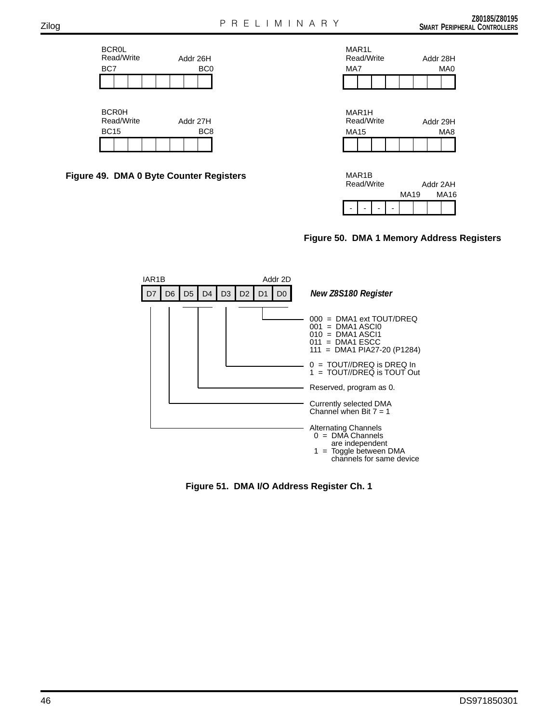





|  | MAR IB<br>Read/Write |  |  | Addr 2AH |  |  |      |  |
|--|----------------------|--|--|----------|--|--|------|--|
|  |                      |  |  | MA19     |  |  | MA16 |  |
|  |                      |  |  |          |  |  |      |  |

**Figure 50. DMA 1 Memory Address Registers**



**Figure 51. DMA I/O Address Register Ch. 1**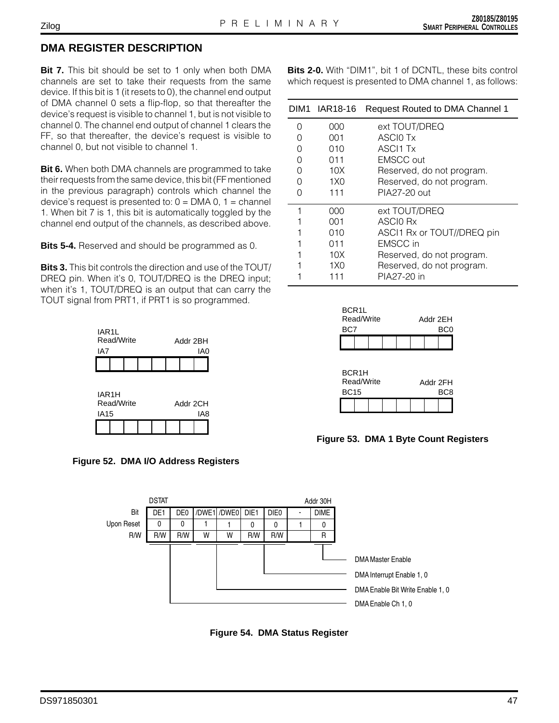# **DMA REGISTER DESCRIPTION**

**Bit 7.** This bit should be set to 1 only when both DMA channels are set to take their requests from the same device. If this bit is 1 (it resets to 0), the channel end output of DMA channel 0 sets a flip-flop, so that thereafter the device's request is visible to channel 1, but is not visible to channel 0. The channel end output of channel 1 clears the FF, so that thereafter, the device's request is visible to channel 0, but not visible to channel 1.

**Bit 6.** When both DMA channels are programmed to take their requests from the same device, this bit (FF mentioned in the previous paragraph) controls which channel the device's request is presented to:  $0 = DMA$  0, 1 = channel 1. When bit 7 is 1, this bit is automatically toggled by the channel end output of the channels, as described above.

**Bits 5-4.** Reserved and should be programmed as 0.

**Bits 3.** This bit controls the direction and use of the TOUT/ DREQ pin. When it's 0, TOUT/DREQ is the DREQ input; when it's 1, TOUT/DREQ is an output that can carry the TOUT signal from PRT1, if PRT1 is so programmed.





**Bits 2-0.** With "DIM1", bit 1 of DCNTL, these bits control which request is presented to DMA channel 1, as follows:

|   | DIM1 IAR18-16   | <b>Request Routed to DMA Channel 1</b> |
|---|-----------------|----------------------------------------|
| Ω | 000             | ext TOUT/DREQ                          |
|   | 001             | ASCIO Tx                               |
| Ω | 010             | <b>ASCI1 Tx</b>                        |
| O | 011             | <b>EMSCC</b> out                       |
| O | 10X             | Reserved, do not program.              |
| O | 1X <sub>0</sub> | Reserved, do not program.              |
|   | 111             | PIA27-20 out                           |
| 1 | 000             | ext TOUT/DREQ                          |
|   | 001             | ASCIO Rx                               |
|   | 010             | ASCI1 Rx or TOUT//DREQ pin             |
|   | 011             | <b>EMSCC</b> in                        |
|   | 10X             | Reserved, do not program.              |
|   | 1X <sub>0</sub> | Reserved, do not program.              |
|   | 111             | PIA27-20 in                            |

| BCR <sub>1</sub> L<br>Read/Write<br>Addr 2FH |     |  |  |  |  |  |     |  |
|----------------------------------------------|-----|--|--|--|--|--|-----|--|
|                                              | BC7 |  |  |  |  |  | BC0 |  |
|                                              |     |  |  |  |  |  |     |  |

| BCR <sub>1</sub> H<br>Read/Write<br>Addr 2FH |  |  |  |  |  |  |      |
|----------------------------------------------|--|--|--|--|--|--|------|
| <b>BC15</b>                                  |  |  |  |  |  |  | BC.8 |
|                                              |  |  |  |  |  |  |      |

## **Figure 53. DMA 1 Byte Count Registers**



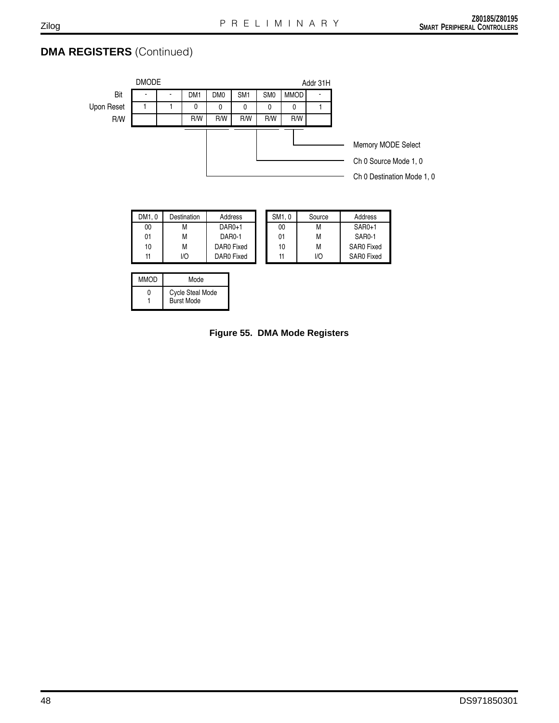# **DMA REGISTERS** (Continued)



| <b>Cycle Steal Mode</b> | wiwi∪ | MUUC              |
|-------------------------|-------|-------------------|
|                         |       | <b>Burst Mode</b> |

**Figure 55. DMA Mode Registers**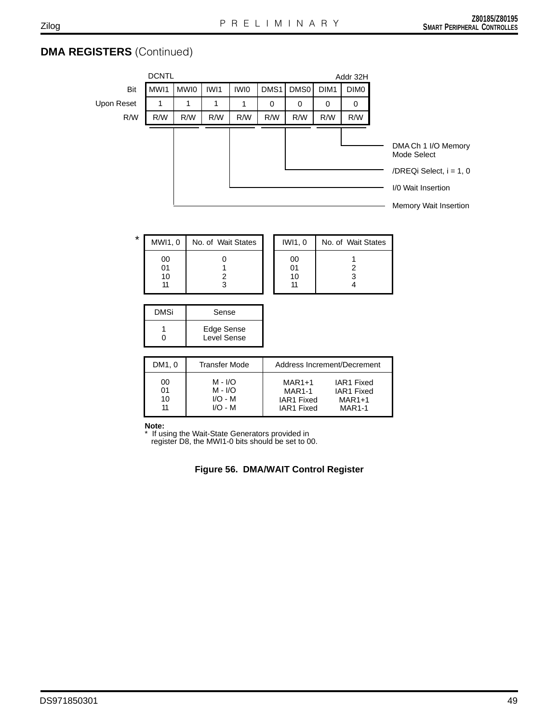# **DMA REGISTERS** (Continued)

|  | Bit |
|--|-----|
|  |     |

| ы          |
|------------|
| Upon Reset |

| <b>DCNTL</b> | Addr 32F                                              |  |  |  |  |  |  |  |
|--------------|-------------------------------------------------------|--|--|--|--|--|--|--|
|              | MWI1   MWI0   IWI1   IWI0   DMS1   DMS0   DIM1   DIM0 |  |  |  |  |  |  |  |
|              |                                                       |  |  |  |  |  |  |  |

Addr 32H

| R/W     | R/W                  | R/W | R/W         | R/W                | R/W | R/W                      | R/W | R/W                                            |                                                                                                              |
|---------|----------------------|-----|-------------|--------------------|-----|--------------------------|-----|------------------------------------------------|--------------------------------------------------------------------------------------------------------------|
|         |                      |     |             |                    |     |                          |     |                                                | DMA Ch 1 I/O Memory<br>Mode Select<br>/DREQi Select, i = 1, 0<br>I/0 Wait Insertion<br>Memory Wait Insertion |
| $\star$ | MWI1, 0              |     |             | No. of Wait States |     | IWI1, 0                  |     | No. of Wait States                             |                                                                                                              |
|         | 00<br>01<br>10<br>11 |     | 0<br>2<br>3 |                    |     | $00\,$<br>01<br>10<br>11 |     | $\overline{\mathbf{c}}$<br>3<br>$\overline{4}$ |                                                                                                              |

| <b>DMSi</b> | Sense                     |
|-------------|---------------------------|
| n           | Edge Sense<br>Level Sense |

| DM1, 0 | <b>Transfer Mode</b> |               | Address Increment/Decrement |
|--------|----------------------|---------------|-----------------------------|
| 00     | M - I/O              | $MAR1+1$      | IAR1 Fixed                  |
| 01     | $M - I/O$            | <b>MAR1-1</b> | IAR1 Fixed                  |
| 10     | $I/O - M$            | IAR1 Fixed    | $MAR1+1$                    |
| 11     | $I/O - M$            | IAR1 Fixed    | <b>MAR1-1</b>               |

**Note:**

\* If using the Wait-State Generators provided in register D8, the MWI1-0 bits should be set to 00.

**Figure 56. DMA/WAIT Control Register**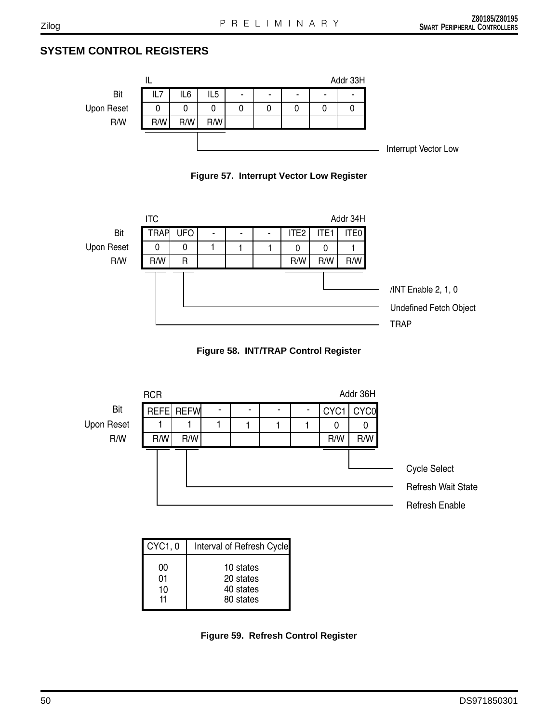# **SYSTEM CONTROL REGISTERS**











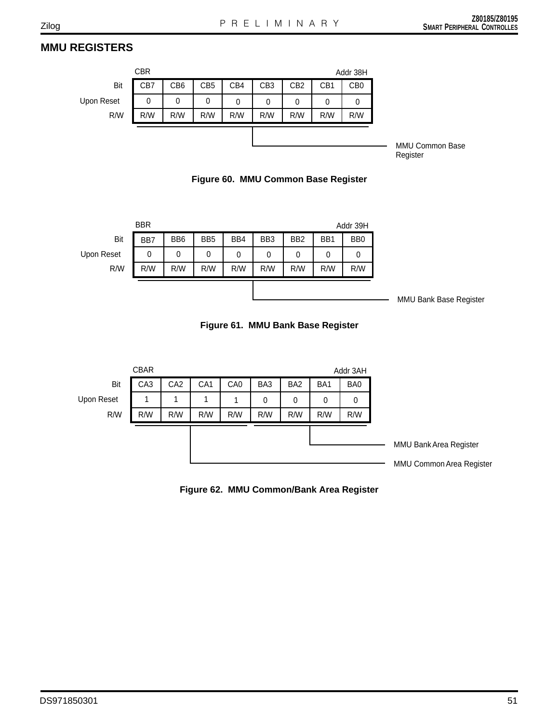# **MMU REGISTERS**

|            | <b>CBR</b> |     |                 |     |                 |                 |                 | Addr 38H        |
|------------|------------|-----|-----------------|-----|-----------------|-----------------|-----------------|-----------------|
| Bit        | CB7        | CB6 | CB <sub>5</sub> | CB4 | CB <sub>3</sub> | CB <sub>2</sub> | CB <sub>1</sub> | CB <sub>0</sub> |
| Upon Reset | 0          | 0   | 0               | 0   | 0               | 0               | 0               | 0               |
| R/W        | R/W        | R/W | R/W             | R/W | R/W             | R/W             | R/W             | R/W             |
|            |            |     |                 |     |                 |                 |                 |                 |
|            |            |     |                 |     |                 |                 |                 |                 |

MMU Common Base Register





**Figure 61. MMU Bank Base Register**



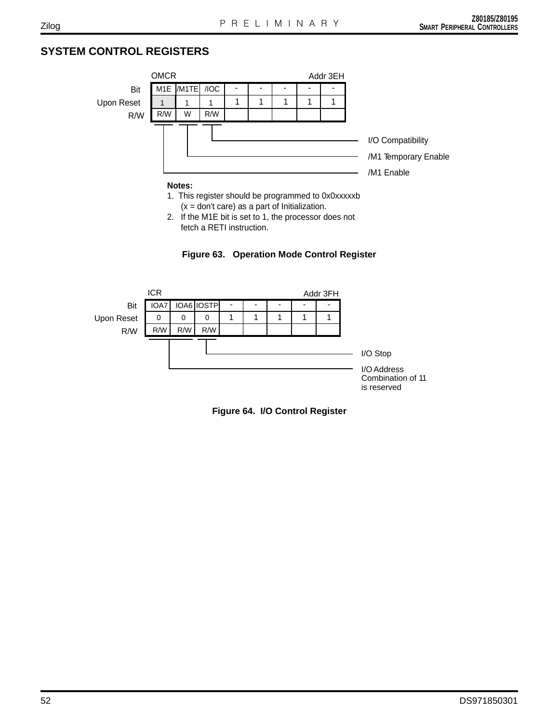# **SYSTEM CONTROL REGISTERS**



1. This register should be programmed to 0x0xxxxxb  $(x = don't care)$  as a part of Initialization.

2. If the M1E bit is set to 1, the processor does not fetch a RETI instruction.





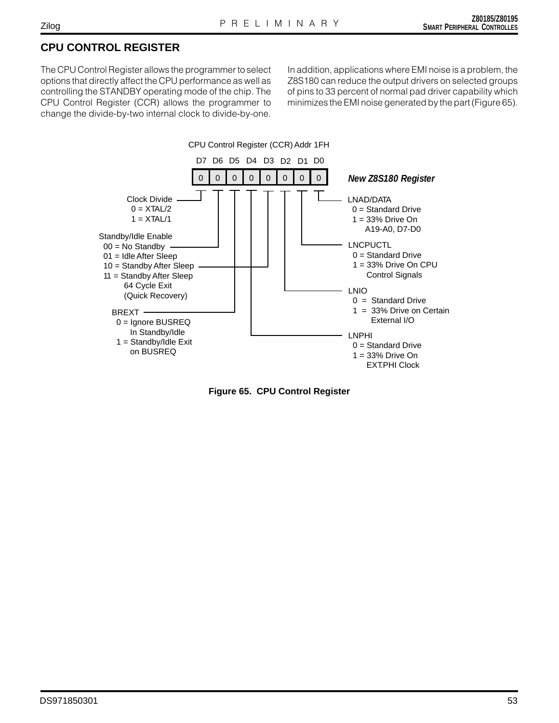# **CPU CONTROL REGISTER**

The CPU Control Register allows the programmer to select options that directly affect the CPU performance as well as controlling the STANDBY operating mode of the chip. The CPU Control Register (CCR) allows the programmer to change the divide-by-two internal clock to divide-by-one. In addition, applications where EMI noise is a problem, the Z8S180 can reduce the output drivers on selected groups of pins to 33 percent of normal pad driver capability which minimizes the EMI noise generated by the part (Figure 65).



**Figure 65. CPU Control Register**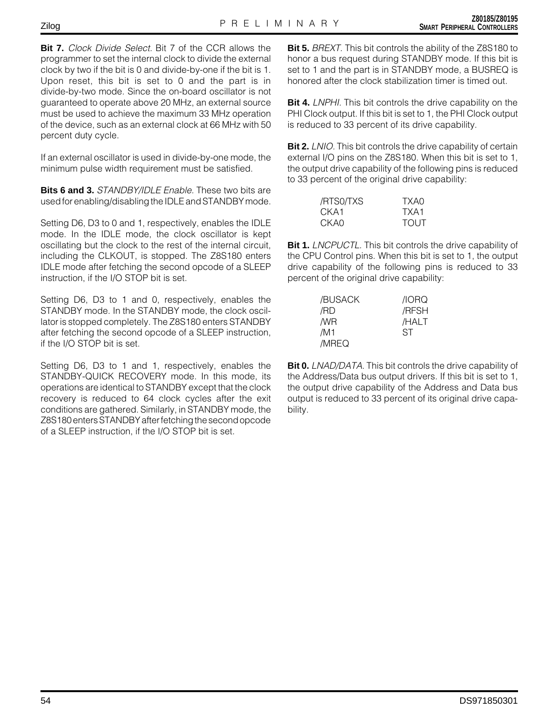**Bit 7.** Clock Divide Select. Bit 7 of the CCR allows the programmer to set the internal clock to divide the external clock by two if the bit is 0 and divide-by-one if the bit is 1. Upon reset, this bit is set to 0 and the part is in divide-by-two mode. Since the on-board oscillator is not guaranteed to operate above 20 MHz, an external source must be used to achieve the maximum 33 MHz operation of the device, such as an external clock at 66 MHz with 50 percent duty cycle.

If an external oscillator is used in divide-by-one mode, the minimum pulse width requirement must be satisfied.

**Bits 6 and 3.** STANDBY/IDLE Enable. These two bits are used for enabling/disabling the IDLE and STANDBY mode.

Setting D6, D3 to 0 and 1, respectively, enables the IDLE mode. In the IDLE mode, the clock oscillator is kept oscillating but the clock to the rest of the internal circuit, including the CLKOUT, is stopped. The Z8S180 enters IDLE mode after fetching the second opcode of a SLEEP instruction, if the I/O STOP bit is set.

Setting D6, D3 to 1 and 0, respectively, enables the STANDBY mode. In the STANDBY mode, the clock oscillator is stopped completely. The Z8S180 enters STANDBY after fetching the second opcode of a SLEEP instruction, if the I/O STOP bit is set.

Setting D6, D3 to 1 and 1, respectively, enables the STANDBY-QUICK RECOVERY mode. In this mode, its operations are identical to STANDBY except that the clock recovery is reduced to 64 clock cycles after the exit conditions are gathered. Similarly, in STANDBY mode, the Z8S180 enters STANDBY after fetching the second opcode of a SLEEP instruction, if the I/O STOP bit is set.

**Bit 5.** BREXT. This bit controls the ability of the Z8S180 to honor a bus request during STANDBY mode. If this bit is set to 1 and the part is in STANDBY mode, a BUSREQ is honored after the clock stabilization timer is timed out.

**Bit 4.** *LNPHI*. This bit controls the drive capability on the PHI Clock output. If this bit is set to 1, the PHI Clock output is reduced to 33 percent of its drive capability.

**Bit 2.** *LNIO.* This bit controls the drive capability of certain external I/O pins on the Z8S180. When this bit is set to 1, the output drive capability of the following pins is reduced to 33 percent of the original drive capability:

| /RTS0/TXS | TXA0        |
|-----------|-------------|
| CKA1      | TXA1        |
| CKAO      | <b>TOUT</b> |

**Bit 1.** LNCPUCTL. This bit controls the drive capability of the CPU Control pins. When this bit is set to 1, the output drive capability of the following pins is reduced to 33 percent of the original drive capability:

| /BUSACK | /IORQ |
|---------|-------|
| /RD     | /RFSH |
| /WR     | /HALT |
| /M1     | ST    |
| /MREQ   |       |

**Bit 0.** *LNAD/DATA*. This bit controls the drive capability of the Address/Data bus output drivers. If this bit is set to 1, the output drive capability of the Address and Data bus output is reduced to 33 percent of its original drive capability.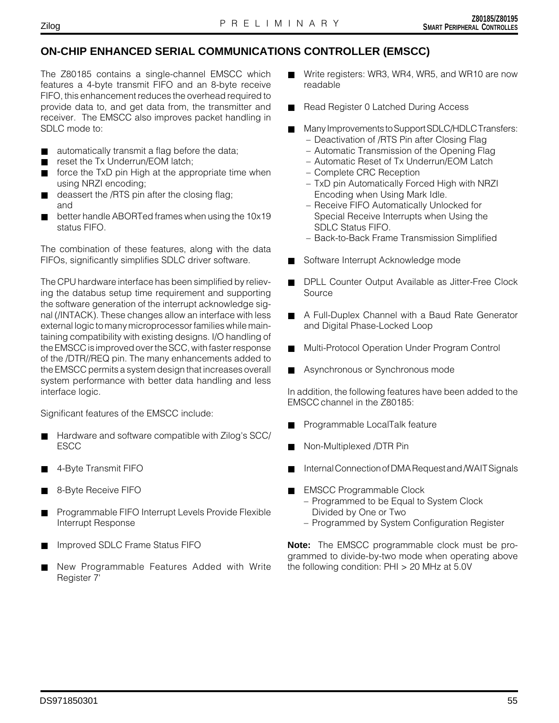# **ON-CHIP ENHANCED SERIAL COMMUNICATIONS CONTROLLER (EMSCC)**

The Z80185 contains a single-channel EMSCC which features a 4-byte transmit FIFO and an 8-byte receive FIFO, this enhancement reduces the overhead required to provide data to, and get data from, the transmitter and receiver. The EMSCC also improves packet handling in SDLC mode to:

- automatically transmit a flag before the data;
- reset the Tx Underrun/EOM latch;
- force the TxD pin High at the appropriate time when using NRZI encoding;
- deassert the /RTS pin after the closing flag; and
- better handle ABORTed frames when using the 10x19 status FIFO.

The combination of these features, along with the data FIFOs, significantly simplifies SDLC driver software.

The CPU hardware interface has been simplified by relieving the databus setup time requirement and supporting the software generation of the interrupt acknowledge signal (/INTACK). These changes allow an interface with less external logic to many microprocessor families while maintaining compatibility with existing designs. I/O handling of the EMSCC is improved over the SCC, with faster response of the /DTR//REQ pin. The many enhancements added to the EMSCC permits a system design that increases overall system performance with better data handling and less interface logic.

Significant features of the EMSCC include:

- Hardware and software compatible with Zilog's SCC/ ESCC
- 4-Byte Transmit FIFO
- 8-Byte Receive FIFO
- Programmable FIFO Interrupt Levels Provide Flexible Interrupt Response
- Improved SDLC Frame Status FIFO
- New Programmable Features Added with Write Register 7'
- Write registers: WR3, WR4, WR5, and WR10 are now readable
- Read Register 0 Latched During Access
- Many Improvements to Support SDLC/HDLC Transfers:
	- Deactivation of /RTS Pin after Closing Flag
	- Automatic Transmission of the Opening Flag
	- Automatic Reset of Tx Underrun/EOM Latch
	- Complete CRC Reception
	- TxD pin Automatically Forced High with NRZI Encoding when Using Mark Idle.
	- Receive FIFO Automatically Unlocked for Special Receive Interrupts when Using the SDLC Status FIFO.
	- Back-to-Back Frame Transmission Simplified
- Software Interrupt Acknowledge mode
- DPLL Counter Output Available as Jitter-Free Clock Source
- A Full-Duplex Channel with a Baud Rate Generator and Digital Phase-Locked Loop
- Multi-Protocol Operation Under Program Control
- Asynchronous or Synchronous mode

In addition, the following features have been added to the EMSCC channel in the Z80185:

- Programmable LocalTalk feature
- Non-Multiplexed /DTR Pin
- Internal Connection of DMA Request and /WAIT Signals
- **EMSCC Programmable Clock** 
	- Programmed to be Equal to System Clock Divided by One or Two
	- Programmed by System Configuration Register

**Note:** The EMSCC programmable clock must be programmed to divide-by-two mode when operating above the following condition: PHI > 20 MHz at 5.0V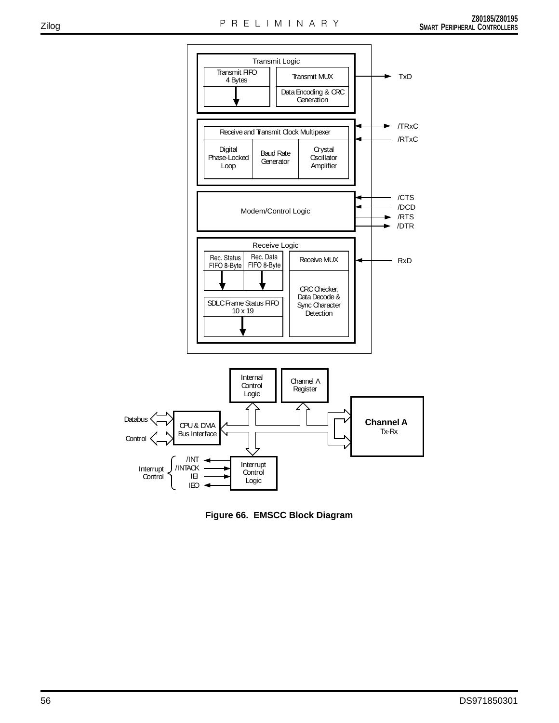

**Figure 66. EMSCC Block Diagram**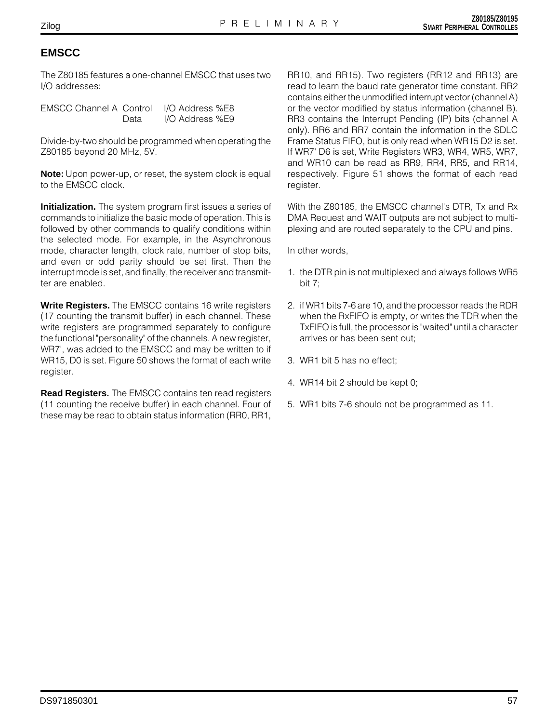# **EMSCC**

The Z80185 features a one-channel EMSCC that uses two I/O addresses:

| EMSCC Channel A Control |      | I/O Address %E8 |
|-------------------------|------|-----------------|
|                         | Data | I/O Address %E9 |

Divide-by-two should be programmed when operating the Z80185 beyond 20 MHz, 5V.

**Note:** Upon power-up, or reset, the system clock is equal to the EMSCC clock.

**Initialization.** The system program first issues a series of commands to initialize the basic mode of operation. This is followed by other commands to qualify conditions within the selected mode. For example, in the Asynchronous mode, character length, clock rate, number of stop bits, and even or odd parity should be set first. Then the interrupt mode is set, and finally, the receiver and transmitter are enabled.

**Write Registers.** The EMSCC contains 16 write registers (17 counting the transmit buffer) in each channel. These write registers are programmed separately to configure the functional "personality" of the channels. A new register, WR7', was added to the EMSCC and may be written to if WR15, D0 is set. Figure 50 shows the format of each write register.

**Read Registers.** The EMSCC contains ten read registers (11 counting the receive buffer) in each channel. Four of these may be read to obtain status information (RR0, RR1,

RR10, and RR15). Two registers (RR12 and RR13) are read to learn the baud rate generator time constant. RR2 contains either the unmodified interrupt vector (channel A) or the vector modified by status information (channel B). RR3 contains the Interrupt Pending (IP) bits (channel A only). RR6 and RR7 contain the information in the SDLC Frame Status FIFO, but is only read when WR15 D2 is set. If WR7' D6 is set, Write Registers WR3, WR4, WR5, WR7, and WR10 can be read as RR9, RR4, RR5, and RR14, respectively. Figure 51 shows the format of each read register.

With the Z80185, the EMSCC channel's DTR, Tx and Rx DMA Request and WAIT outputs are not subject to multiplexing and are routed separately to the CPU and pins.

In other words,

- 1. the DTR pin is not multiplexed and always follows WR5 bit 7;
- 2. if WR1 bits 7-6 are 10, and the processor reads the RDR when the RxFIFO is empty, or writes the TDR when the TxFIFO is full, the processor is "waited" until a character arrives or has been sent out;
- 3. WR1 bit 5 has no effect;
- 4. WR14 bit 2 should be kept 0;
- 5. WR1 bits 7-6 should not be programmed as 11.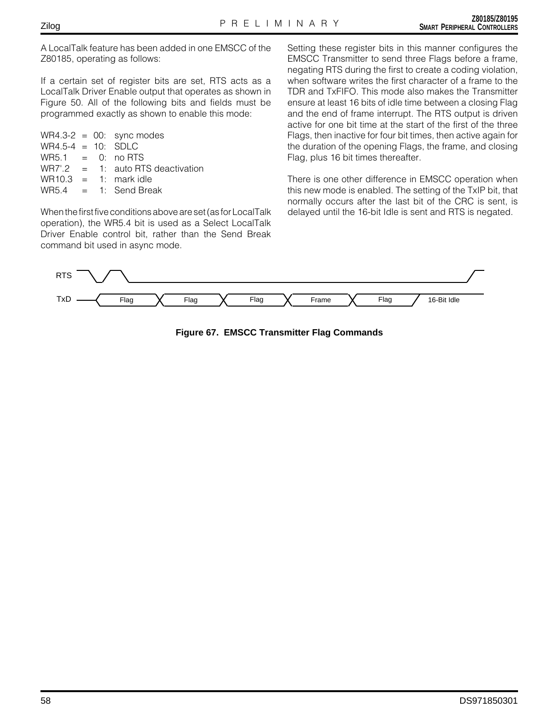A LocalTalk feature has been added in one EMSCC of the Z80185, operating as follows:

If a certain set of register bits are set, RTS acts as a LocalTalk Driver Enable output that operates as shown in Figure 50. All of the following bits and fields must be programmed exactly as shown to enable this mode:

|                       |  | $WR4.3-2 = 00$ : sync modes         |
|-----------------------|--|-------------------------------------|
| $WR4.5-4 = 10$ : SDLC |  |                                     |
| $WRS.1 = 0$ : no RTS  |  |                                     |
|                       |  | $WR7'.2 = 1:$ auto RTS deactivation |
|                       |  | $WR10.3 = 1$ : mark idle            |
|                       |  | $WRS.4 = 1$ : Send Break            |
|                       |  |                                     |

When the first five conditions above are set (as for LocalTalk operation), the WR5.4 bit is used as a Select LocalTalk Driver Enable control bit, rather than the Send Break command bit used in async mode.

Setting these register bits in this manner configures the EMSCC Transmitter to send three Flags before a frame, negating RTS during the first to create a coding violation, when software writes the first character of a frame to the TDR and TxFIFO. This mode also makes the Transmitter ensure at least 16 bits of idle time between a closing Flag and the end of frame interrupt. The RTS output is driven active for one bit time at the start of the first of the three Flags, then inactive for four bit times, then active again for the duration of the opening Flags, the frame, and closing Flag, plus 16 bit times thereafter.

There is one other difference in EMSCC operation when this new mode is enabled. The setting of the TxIP bit, that normally occurs after the last bit of the CRC is sent, is delayed until the 16-bit Idle is sent and RTS is negated.



**Figure 67. EMSCC Transmitter Flag Commands**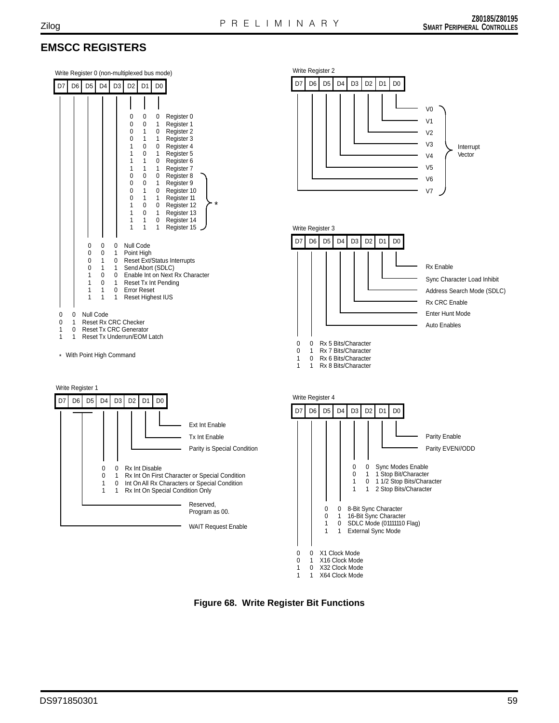# **EMSCC REGISTERS**



**Figure 68. Write Register Bit Functions**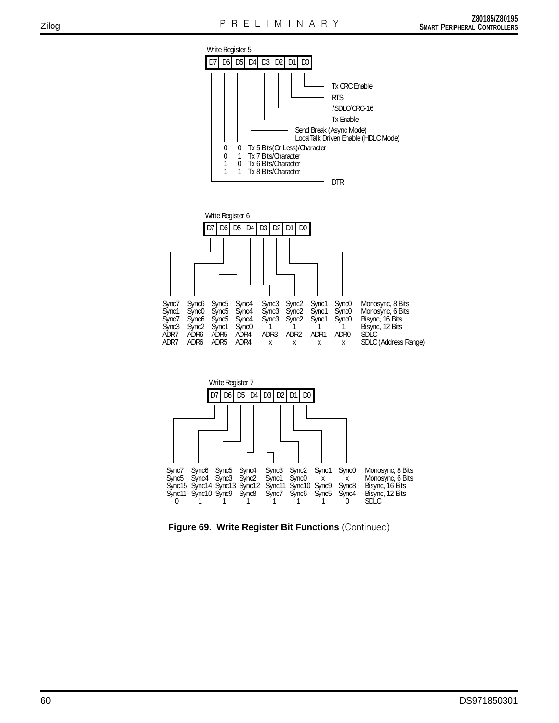





**Figure 69. Write Register Bit Functions** (Continued)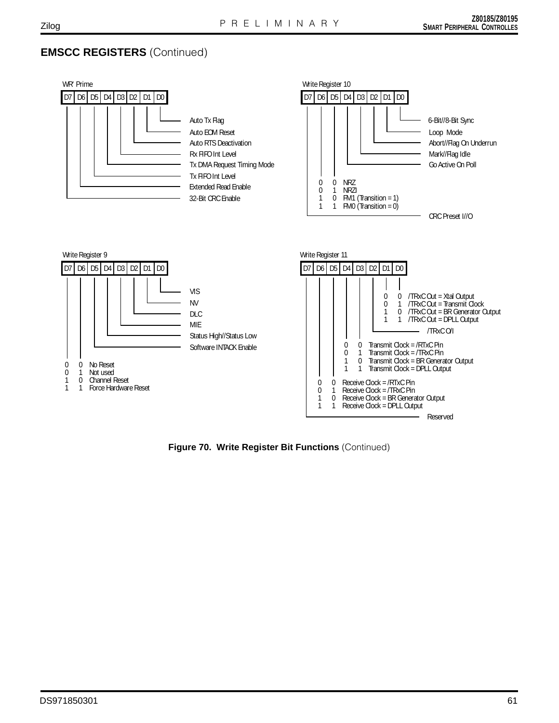# **EMSCC REGISTERS** (Continued)



**Figure 70. Write Register Bit Functions** (Continued)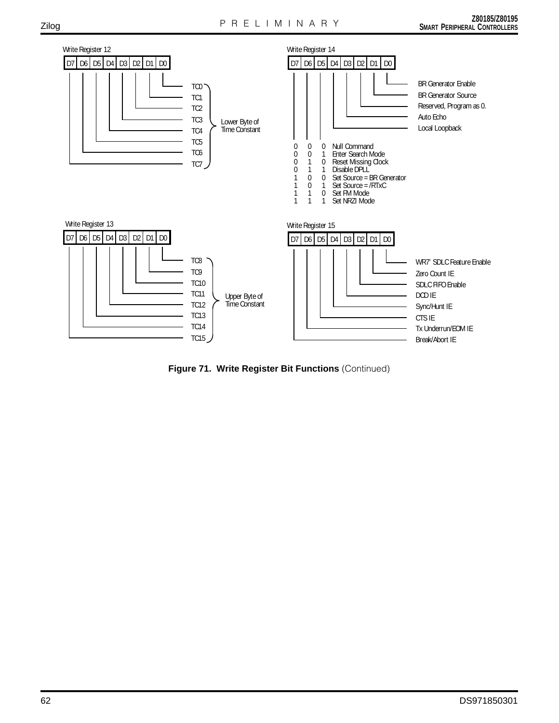

**Figure 71. Write Register Bit Functions** (Continued)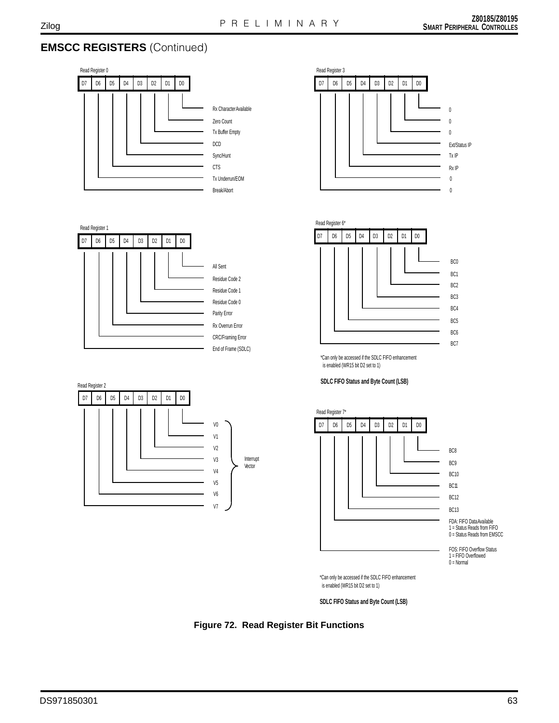# **EMSCC REGISTERS** (Continued)







Residue Code 2 Residue Code 1 Residue Code 0 Parity Error Rx Overrun Error CRC/Framing Error End of Frame (SDLC)







\*Can only be accessed if the SDLC FIFO enhancement is enabled (WR15 bit D2 set to 1)

#### **SDLC FIFO Status and Byte Count (LSB)**



\*Can only be accessed if the SDLC FIFO enhancement is enabled (WR15 bit D2 set to 1)

**SDLC FIFO Status and Byte Count (LSB)**

**Figure 72. Read Register Bit Functions**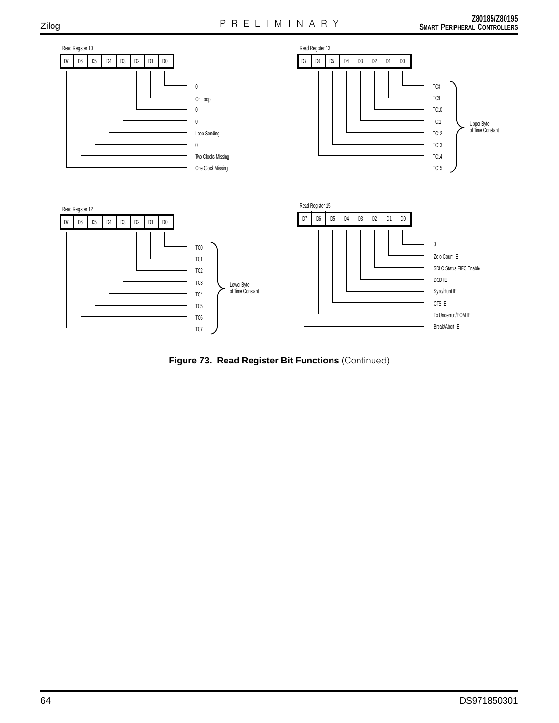

**Figure 73. Read Register Bit Functions** (Continued)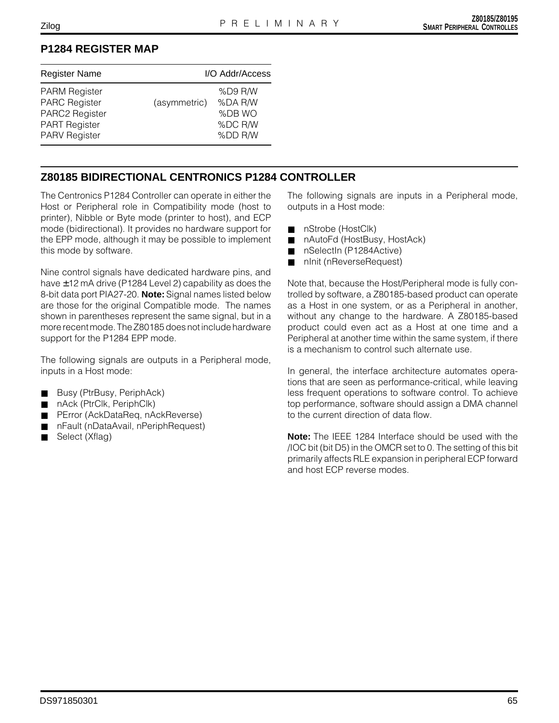# **P1284 REGISTER MAP**

| <b>Register Name</b>                                                                                           |              | I/O Addr/Access                                    |
|----------------------------------------------------------------------------------------------------------------|--------------|----------------------------------------------------|
| <b>PARM Register</b><br><b>PARC Register</b><br>PARC2 Register<br><b>PART Register</b><br><b>PARV Register</b> | (asymmetric) | %D9 R/W<br>%DA R/W<br>%DB WO<br>%DC R/W<br>%DD R/W |

## **Z80185 BIDIRECTIONAL CENTRONICS P1284 CONTROLLER**

The Centronics P1284 Controller can operate in either the Host or Peripheral role in Compatibility mode (host to printer), Nibble or Byte mode (printer to host), and ECP mode (bidirectional). It provides no hardware support for the EPP mode, although it may be possible to implement this mode by software.

Nine control signals have dedicated hardware pins, and have ±12 mA drive (P1284 Level 2) capability as does the 8-bit data port PIA27-20. **Note:** Signal names listed below are those for the original Compatible mode. The names shown in parentheses represent the same signal, but in a more recent mode. The Z80185 does not include hardware support for the P1284 EPP mode.

The following signals are outputs in a Peripheral mode, inputs in a Host mode:

- Busy (PtrBusy, PeriphAck)
- nAck (PtrClk, PeriphClk)
- PError (AckDataReq, nAckReverse)
- nFault (nDataAvail, nPeriphRequest)
- Select (Xflag)

The following signals are inputs in a Peripheral mode, outputs in a Host mode:

- nStrobe (HostClk)
- nAutoFd (HostBusy, HostAck)
- nSelectIn (P1284Active)
- nInit (nReverseRequest)

Note that, because the Host/Peripheral mode is fully controlled by software, a Z80185-based product can operate as a Host in one system, or as a Peripheral in another, without any change to the hardware. A Z80185-based product could even act as a Host at one time and a Peripheral at another time within the same system, if there is a mechanism to control such alternate use.

In general, the interface architecture automates operations that are seen as performance-critical, while leaving less frequent operations to software control. To achieve top performance, software should assign a DMA channel to the current direction of data flow.

**Note:** The IEEE 1284 Interface should be used with the /IOC bit (bit D5) in the OMCR set to 0. The setting of this bit primarily affects RLE expansion in peripheral ECP forward and host ECP reverse modes.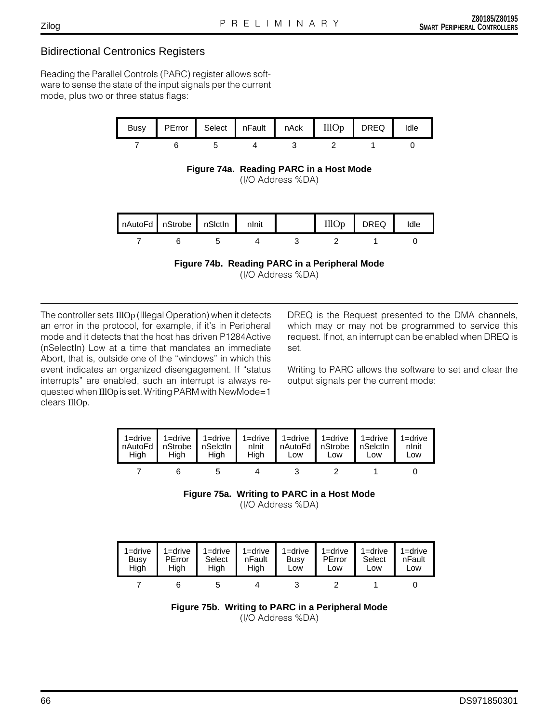# Bidirectional Centronics Registers

Reading the Parallel Controls (PARC) register allows software to sense the state of the input signals per the current mode, plus two or three status flags:



**Figure 74a. Reading PARC in a Host Mode** (I/O Address %DA)



**Figure 74b. Reading PARC in a Peripheral Mode** (I/O Address %DA)

The controller sets IllOp (Illegal Operation) when it detects an error in the protocol, for example, if it's in Peripheral mode and it detects that the host has driven P1284Active (nSelectIn) Low at a time that mandates an immediate Abort, that is, outside one of the "windows" in which this event indicates an organized disengagement. If "status interrupts" are enabled, such an interrupt is always requested when IllOp is set. Writing PARM with NewMode=1 clears IllOp.

DREQ is the Request presented to the DMA channels, which may or may not be programmed to service this request. If not, an interrupt can be enabled when DREQ is set.

Writing to PARC allows the software to set and clear the output signals per the current mode:



**Figure 75a. Writing to PARC in a Host Mode**

<sup>(</sup>I/O Address %DA)

| 1=drive | $1 =$ drive | $1 =$ drive | $1 =$ drive | $1 =$ drive | $1 =$ drive | $1 =$ drive | $1 =$ drive |
|---------|-------------|-------------|-------------|-------------|-------------|-------------|-------------|
| Busy    | PError      | Select      | nFault      | Busy        | PError      | Select      | nFault      |
| Hiah    | High        | Hiah        | Hiah        | Low         | Low         | Low         | Low         |
|         |             |             |             |             |             |             |             |



Zilog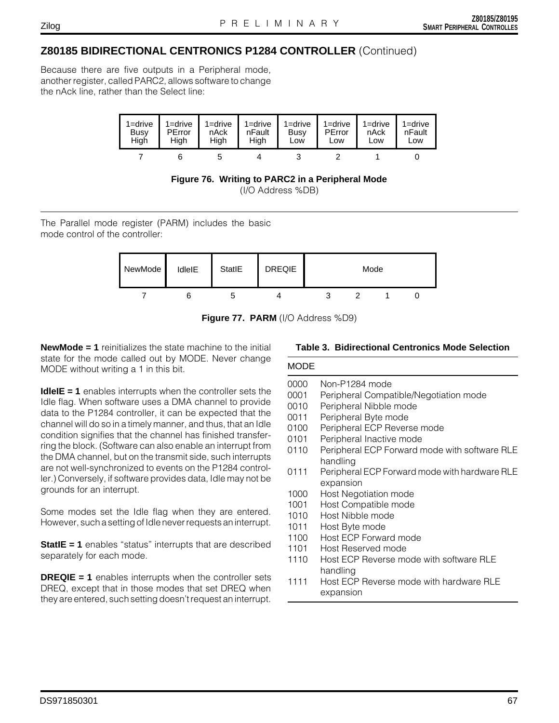### Zilog

# **Z80185 BIDIRECTIONAL CENTRONICS P1284 CONTROLLER** (Continued)

Because there are five outputs in a Peripheral mode, another register, called PARC2, allows software to change the nAck line, rather than the Select line:





The Parallel mode register (PARM) includes the basic mode control of the controller:



**Figure 77. PARM** (I/O Address %D9)

**NewMode = 1** reinitializes the state machine to the initial state for the mode called out by MODE. Never change MODE without writing a 1 in this bit.

**IdleIE = 1** enables interrupts when the controller sets the Idle flag. When software uses a DMA channel to provide data to the P1284 controller, it can be expected that the channel will do so in a timely manner, and thus, that an Idle condition signifies that the channel has finished transferring the block. (Software can also enable an interrupt from the DMA channel, but on the transmit side, such interrupts are not well-synchronized to events on the P1284 controller.) Conversely, if software provides data, Idle may not be grounds for an interrupt.

Some modes set the Idle flag when they are entered. However, such a setting of Idle never requests an interrupt.

**StatIE = 1** enables "status" interrupts that are described separately for each mode.

**DREQIE = 1** enables interrupts when the controller sets DREQ, except that in those modes that set DREQ when they are entered, such setting doesn't request an interrupt.

## **Table 3. Bidirectional Centronics Mode Selection**

# MODE

- 0000 Non-P1284 mode
- 0001 Peripheral Compatible/Negotiation mode
- 0010 Peripheral Nibble mode
- 0011 Peripheral Byte mode
- 0100 Peripheral ECP Reverse mode
- 0101 Peripheral Inactive mode
- 0110 Peripheral ECP Forward mode with software RLE handling
- 0111 Peripheral ECP Forward mode with hardware RLE expansion
- 1000 Host Negotiation mode
- 1001 Host Compatible mode
- 1010 Host Nibble mode
- 1011 Host Byte mode
- 1100 Host ECP Forward mode
- 1101 Host Reserved mode
- 1110 Host FCP Reverse mode with software RLF handling
- 1111 Host ECP Reverse mode with hardware RLE expansion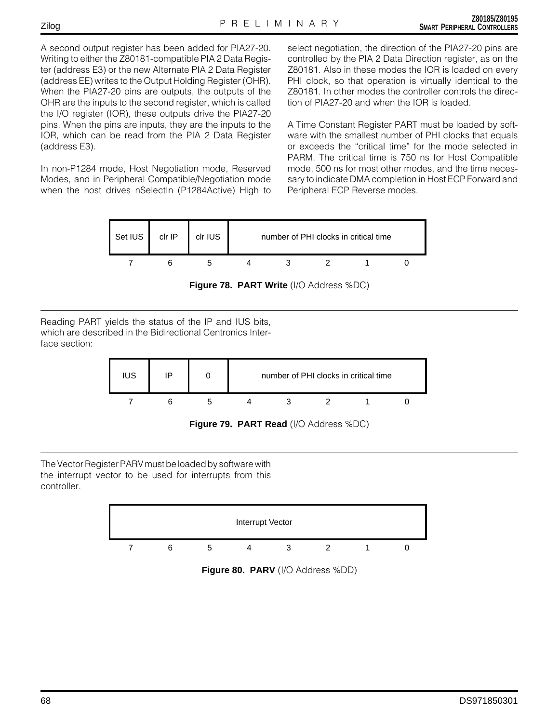A second output register has been added for PIA27-20. Writing to either the Z80181-compatible PIA 2 Data Register (address E3) or the new Alternate PIA 2 Data Register (address EE) writes to the Output Holding Register (OHR). When the PIA27-20 pins are outputs, the outputs of the OHR are the inputs to the second register, which is called the I/O register (IOR), these outputs drive the PIA27-20 pins. When the pins are inputs, they are the inputs to the IOR, which can be read from the PIA 2 Data Register (address E3).

In non-P1284 mode, Host Negotiation mode, Reserved Modes, and in Peripheral Compatible/Negotiation mode when the host drives nSelectIn (P1284Active) High to

select negotiation, the direction of the PIA27-20 pins are controlled by the PIA 2 Data Direction register, as on the Z80181. Also in these modes the IOR is loaded on every PHI clock, so that operation is virtually identical to the Z80181. In other modes the controller controls the direction of PIA27-20 and when the IOR is loaded.

A Time Constant Register PART must be loaded by software with the smallest number of PHI clocks that equals or exceeds the "critical time" for the mode selected in PARM. The critical time is 750 ns for Host Compatible mode, 500 ns for most other modes, and the time necessary to indicate DMA completion in Host ECP Forward and Peripheral ECP Reverse modes.



**Figure 78. PART Write** (I/O Address %DC)

Reading PART yields the status of the IP and IUS bits, which are described in the Bidirectional Centronics Interface section:



**Figure 79. PART Read** (I/O Address %DC)

The Vector Register PARV must be loaded by software with the interrupt vector to be used for interrupts from this controller.

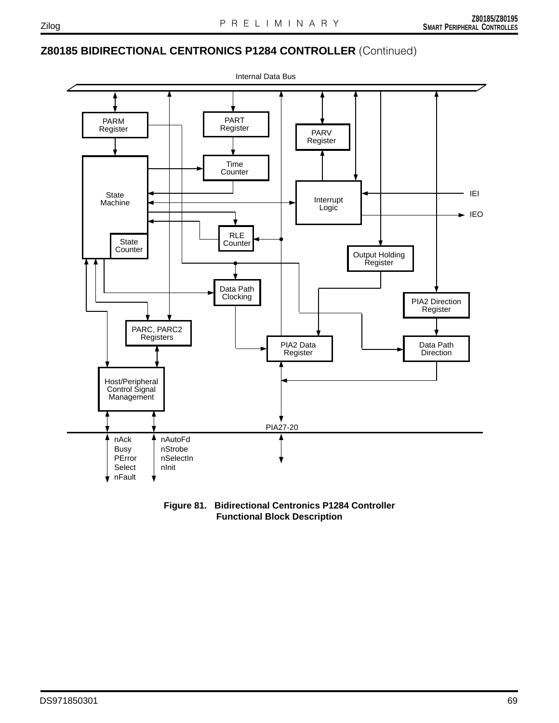# **Z80185 BIDIRECTIONAL CENTRONICS P1284 CONTROLLER** (Continued)



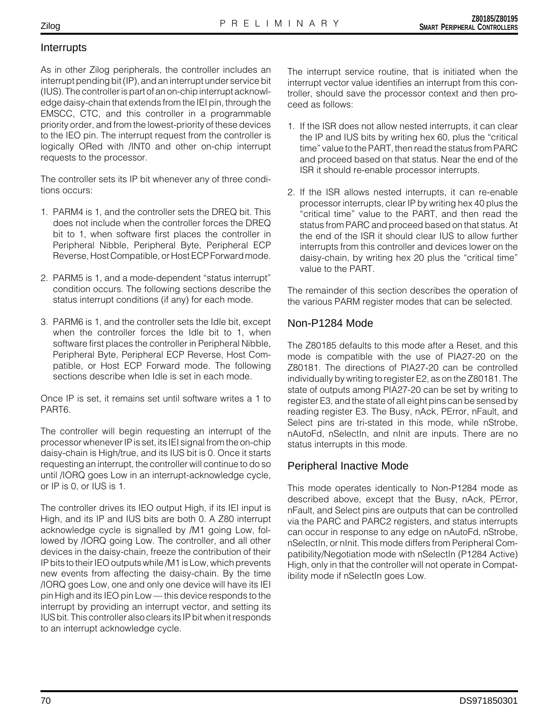# Interrupts

As in other Zilog peripherals, the controller includes an interrupt pending bit (IP), and an interrupt under service bit (IUS). The controller is part of an on-chip interrupt acknowledge daisy-chain that extends from the IEI pin, through the EMSCC, CTC, and this controller in a programmable priority order, and from the lowest-priority of these devices to the IEO pin. The interrupt request from the controller is logically ORed with /INT0 and other on-chip interrupt requests to the processor.

The controller sets its IP bit whenever any of three conditions occurs:

- 1. PARM4 is 1, and the controller sets the DREQ bit. This does not include when the controller forces the DREQ bit to 1, when software first places the controller in Peripheral Nibble, Peripheral Byte, Peripheral ECP Reverse, Host Compatible, or Host ECP Forward mode.
- 2. PARM5 is 1, and a mode-dependent "status interrupt" condition occurs. The following sections describe the status interrupt conditions (if any) for each mode.
- 3. PARM6 is 1, and the controller sets the Idle bit, except when the controller forces the Idle bit to 1, when software first places the controller in Peripheral Nibble, Peripheral Byte, Peripheral ECP Reverse, Host Compatible, or Host ECP Forward mode. The following sections describe when Idle is set in each mode.

Once IP is set, it remains set until software writes a 1 to PART6.

The controller will begin requesting an interrupt of the processor whenever IP is set, its IEI signal from the on-chip daisy-chain is High/true, and its IUS bit is 0. Once it starts requesting an interrupt, the controller will continue to do so until /IORQ goes Low in an interrupt-acknowledge cycle, or IP is 0, or IUS is 1.

The controller drives its IEO output High, if its IEI input is High, and its IP and IUS bits are both 0. A Z80 interrupt acknowledge cycle is signalled by /M1 going Low, followed by /IORQ going Low. The controller, and all other devices in the daisy-chain, freeze the contribution of their IP bits to their IEO outputs while /M1 is Low, which prevents new events from affecting the daisy-chain. By the time /IORQ goes Low, one and only one device will have its IEI pin High and its IEO pin Low — this device responds to the interrupt by providing an interrupt vector, and setting its IUS bit. This controller also clears its IP bit when it responds to an interrupt acknowledge cycle.

The interrupt service routine, that is initiated when the interrupt vector value identifies an interrupt from this controller, should save the processor context and then proceed as follows:

- 1. If the ISR does not allow nested interrupts, it can clear the IP and IUS bits by writing hex 60, plus the "critical time" value to the PART, then read the status from PARC and proceed based on that status. Near the end of the ISR it should re-enable processor interrupts.
- 2. If the ISR allows nested interrupts, it can re-enable processor interrupts, clear IP by writing hex 40 plus the "critical time" value to the PART, and then read the status from PARC and proceed based on that status. At the end of the ISR it should clear IUS to allow further interrupts from this controller and devices lower on the daisy-chain, by writing hex 20 plus the "critical time" value to the PART.

The remainder of this section describes the operation of the various PARM register modes that can be selected.

# Non-P1284 Mode

The Z80185 defaults to this mode after a Reset, and this mode is compatible with the use of PIA27-20 on the Z80181. The directions of PIA27-20 can be controlled individually by writing to register E2, as on the Z80181. The state of outputs among PIA27-20 can be set by writing to register E3, and the state of all eight pins can be sensed by reading register E3. The Busy, nAck, PError, nFault, and Select pins are tri-stated in this mode, while nStrobe, nAutoFd, nSelectIn, and nInit are inputs. There are no status interrupts in this mode.

# Peripheral Inactive Mode

This mode operates identically to Non-P1284 mode as described above, except that the Busy, nAck, PError, nFault, and Select pins are outputs that can be controlled via the PARC and PARC2 registers, and status interrupts can occur in response to any edge on nAutoFd, nStrobe, nSelectIn, or nInit. This mode differs from Peripheral Compatibility/Negotiation mode with nSelectIn (P1284 Active) High, only in that the controller will not operate in Compatibility mode if nSelectIn goes Low.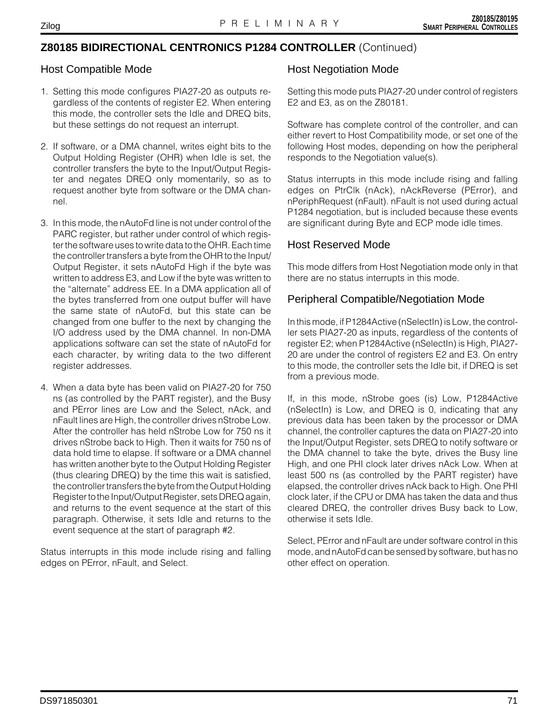# **Z80185 BIDIRECTIONAL CENTRONICS P1284 CONTROLLER** (Continued)

# Host Compatible Mode

- 1. Setting this mode configures PIA27-20 as outputs regardless of the contents of register E2. When entering this mode, the controller sets the Idle and DREQ bits, but these settings do not request an interrupt.
- 2. If software, or a DMA channel, writes eight bits to the Output Holding Register (OHR) when Idle is set, the controller transfers the byte to the Input/Output Register and negates DREQ only momentarily, so as to request another byte from software or the DMA channel.
- 3. In this mode, the nAutoFd line is not under control of the PARC register, but rather under control of which register the software uses to write data to the OHR. Each time the controller transfers a byte from the OHR to the Input/ Output Register, it sets nAutoFd High if the byte was written to address E3, and Low if the byte was written to the "alternate" address EE. In a DMA application all of the bytes transferred from one output buffer will have the same state of nAutoFd, but this state can be changed from one buffer to the next by changing the I/O address used by the DMA channel. In non-DMA applications software can set the state of nAutoFd for each character, by writing data to the two different register addresses.
- 4. When a data byte has been valid on PIA27-20 for 750 ns (as controlled by the PART register), and the Busy and PError lines are Low and the Select, nAck, and nFault lines are High, the controller drives nStrobe Low. After the controller has held nStrobe Low for 750 ns it drives nStrobe back to High. Then it waits for 750 ns of data hold time to elapse. If software or a DMA channel has written another byte to the Output Holding Register (thus clearing DREQ) by the time this wait is satisfied, the controller transfers the byte from the Output Holding Register to the Input/Output Register, sets DREQ again, and returns to the event sequence at the start of this paragraph. Otherwise, it sets Idle and returns to the event sequence at the start of paragraph #2.

Status interrupts in this mode include rising and falling edges on PError, nFault, and Select.

# Host Negotiation Mode

Setting this mode puts PIA27-20 under control of registers E2 and E3, as on the Z80181.

Software has complete control of the controller, and can either revert to Host Compatibility mode, or set one of the following Host modes, depending on how the peripheral responds to the Negotiation value(s).

Status interrupts in this mode include rising and falling edges on PtrClk (nAck), nAckReverse (PError), and nPeriphRequest (nFault). nFault is not used during actual P1284 negotiation, but is included because these events are significant during Byte and ECP mode idle times.

# Host Reserved Mode

This mode differs from Host Negotiation mode only in that there are no status interrupts in this mode.

# Peripheral Compatible/Negotiation Mode

In this mode, if P1284Active (nSelectIn) is Low, the controller sets PIA27-20 as inputs, regardless of the contents of register E2; when P1284Active (nSelectIn) is High, PIA27- 20 are under the control of registers E2 and E3. On entry to this mode, the controller sets the Idle bit, if DREQ is set from a previous mode.

If, in this mode, nStrobe goes (is) Low, P1284Active (nSelectIn) is Low, and DREQ is 0, indicating that any previous data has been taken by the processor or DMA channel, the controller captures the data on PIA27-20 into the Input/Output Register, sets DREQ to notify software or the DMA channel to take the byte, drives the Busy line High, and one PHI clock later drives nAck Low. When at least 500 ns (as controlled by the PART register) have elapsed, the controller drives nAck back to High. One PHI clock later, if the CPU or DMA has taken the data and thus cleared DREQ, the controller drives Busy back to Low, otherwise it sets Idle.

Select, PError and nFault are under software control in this mode, and nAutoFd can be sensed by software, but has no other effect on operation.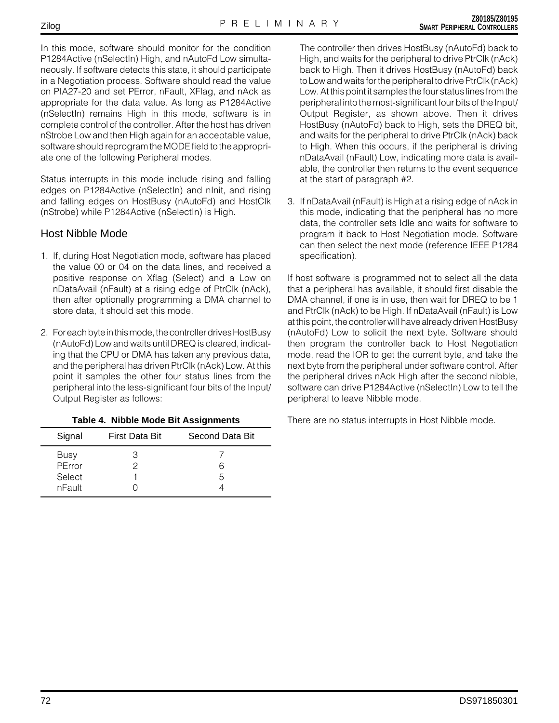In this mode, software should monitor for the condition P1284Active (nSelectIn) High, and nAutoFd Low simultaneously. If software detects this state, it should participate in a Negotiation process. Software should read the value on PIA27-20 and set PError, nFault, XFlag, and nAck as appropriate for the data value. As long as P1284Active (nSelectIn) remains High in this mode, software is in complete control of the controller. After the host has driven nStrobe Low and then High again for an acceptable value, software should reprogram the MODE field to the appropriate one of the following Peripheral modes.

Status interrupts in this mode include rising and falling edges on P1284Active (nSelectIn) and nInit, and rising and falling edges on HostBusy (nAutoFd) and HostClk (nStrobe) while P1284Active (nSelectIn) is High.

# Host Nibble Mode

- 1. If, during Host Negotiation mode, software has placed the value 00 or 04 on the data lines, and received a positive response on Xflag (Select) and a Low on nDataAvail (nFault) at a rising edge of PtrClk (nAck), then after optionally programming a DMA channel to store data, it should set this mode.
- 2. For each byte in this mode, the controller drives HostBusy (nAutoFd) Low and waits until DREQ is cleared, indicating that the CPU or DMA has taken any previous data, and the peripheral has driven PtrClk (nAck) Low. At this point it samples the other four status lines from the peripheral into the less-significant four bits of the Input/ Output Register as follows:

| Signal                                    | <b>First Data Bit</b> | Second Data Bit |
|-------------------------------------------|-----------------------|-----------------|
| <b>Busy</b><br>PError<br>Select<br>nFault |                       | 6<br>5          |

## **Table 4. Nibble Mode Bit Assignments**

The controller then drives HostBusy (nAutoFd) back to High, and waits for the peripheral to drive PtrClk (nAck) back to High. Then it drives HostBusy (nAutoFd) back to Low and waits for the peripheral to drive PtrClk (nAck) Low. At this point it samples the four status lines from the peripheral into the most-significant four bits of the Input/ Output Register, as shown above. Then it drives HostBusy (nAutoFd) back to High, sets the DREQ bit, and waits for the peripheral to drive PtrClk (nAck) back to High. When this occurs, if the peripheral is driving nDataAvail (nFault) Low, indicating more data is available, the controller then returns to the event sequence at the start of paragraph #2.

3. If nDataAvail (nFault) is High at a rising edge of nAck in this mode, indicating that the peripheral has no more data, the controller sets Idle and waits for software to program it back to Host Negotiation mode. Software can then select the next mode (reference IEEE P1284 specification).

If host software is programmed not to select all the data that a peripheral has available, it should first disable the DMA channel, if one is in use, then wait for DREQ to be 1 and PtrClk (nAck) to be High. If nDataAvail (nFault) is Low at this point, the controller will have already driven HostBusy (nAutoFd) Low to solicit the next byte. Software should then program the controller back to Host Negotiation mode, read the IOR to get the current byte, and take the next byte from the peripheral under software control. After the peripheral drives nAck High after the second nibble, software can drive P1284Active (nSelectIn) Low to tell the peripheral to leave Nibble mode.

There are no status interrupts in Host Nibble mode.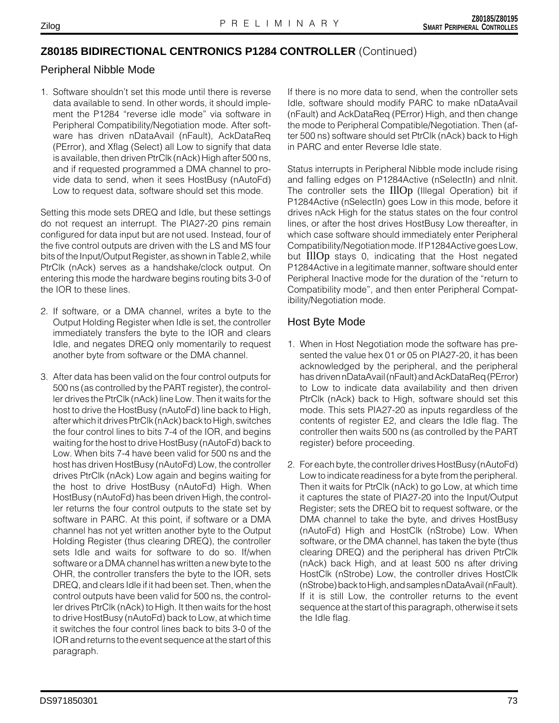# **Z80185 BIDIRECTIONAL CENTRONICS P1284 CONTROLLER** (Continued)

### Peripheral Nibble Mode

1. Software shouldn't set this mode until there is reverse data available to send. In other words, it should implement the P1284 "reverse idle mode" via software in Peripheral Compatibility/Negotiation mode. After software has driven nDataAvail (nFault), AckDataReq (PError), and Xflag (Select) all Low to signify that data is available, then driven PtrClk (nAck) High after 500 ns, and if requested programmed a DMA channel to provide data to send, when it sees HostBusy (nAutoFd) Low to request data, software should set this mode.

Setting this mode sets DREQ and Idle, but these settings do not request an interrupt. The PIA27-20 pins remain configured for data input but are not used. Instead, four of the five control outputs are driven with the LS and MS four bits of the Input/Output Register, as shown in Table 2, while PtrClk (nAck) serves as a handshake/clock output. On entering this mode the hardware begins routing bits 3-0 of the IOR to these lines.

- 2. If software, or a DMA channel, writes a byte to the Output Holding Register when Idle is set, the controller immediately transfers the byte to the IOR and clears Idle, and negates DREQ only momentarily to request another byte from software or the DMA channel.
- 3. After data has been valid on the four control outputs for 500 ns (as controlled by the PART register), the controller drives the PtrClk (nAck) line Low. Then it waits for the host to drive the HostBusy (nAutoFd) line back to High, after which it drives PtrClk (nAck) back to High, switches the four control lines to bits 7-4 of the IOR, and begins waiting for the host to drive HostBusy (nAutoFd) back to Low. When bits 7-4 have been valid for 500 ns and the host has driven HostBusy (nAutoFd) Low, the controller drives PtrClk (nAck) Low again and begins waiting for the host to drive HostBusy (nAutoFd) High. When HostBusy (nAutoFd) has been driven High, the controller returns the four control outputs to the state set by software in PARC. At this point, if software or a DMA channel has not yet written another byte to the Output Holding Register (thus clearing DREQ), the controller sets Idle and waits for software to do so. If/when software or a DMA channel has written a new byte to the OHR, the controller transfers the byte to the IOR, sets DREQ, and clears Idle if it had been set. Then, when the control outputs have been valid for 500 ns, the controller drives PtrClk (nAck) to High. It then waits for the host to drive HostBusy (nAutoFd) back to Low, at which time it switches the four control lines back to bits 3-0 of the IOR and returns to the event sequence at the start of this paragraph.

If there is no more data to send, when the controller sets Idle, software should modify PARC to make nDataAvail (nFault) and AckDataReq (PError) High, and then change the mode to Peripheral Compatible/Negotiation. Then (after 500 ns) software should set PtrClk (nAck) back to High in PARC and enter Reverse Idle state.

Status interrupts in Peripheral Nibble mode include rising and falling edges on P1284Active (nSelectIn) and nInit. The controller sets the IllOp (Illegal Operation) bit if P1284Active (nSelectIn) goes Low in this mode, before it drives nAck High for the status states on the four control lines, or after the host drives HostBusy Low thereafter, in which case software should immediately enter Peripheral Compatibility/Negotiation mode. If P1284Active goes Low, but IllOp stays 0, indicating that the Host negated P1284Active in a legitimate manner, software should enter Peripheral Inactive mode for the duration of the "return to Compatibility mode", and then enter Peripheral Compatibility/Negotiation mode.

# Host Byte Mode

- 1. When in Host Negotiation mode the software has presented the value hex 01 or 05 on PIA27-20, it has been acknowledged by the peripheral, and the peripheral has driven nDataAvail (nFault) and AckDataReq (PError) to Low to indicate data availability and then driven PtrClk (nAck) back to High, software should set this mode. This sets PIA27-20 as inputs regardless of the contents of register E2, and clears the Idle flag. The controller then waits 500 ns (as controlled by the PART register) before proceeding.
- 2. For each byte, the controller drives HostBusy (nAutoFd) Low to indicate readiness for a byte from the peripheral. Then it waits for PtrClk (nAck) to go Low, at which time it captures the state of PIA27-20 into the Input/Output Register; sets the DREQ bit to request software, or the DMA channel to take the byte, and drives HostBusy (nAutoFd) High and HostClk (nStrobe) Low. When software, or the DMA channel, has taken the byte (thus clearing DREQ) and the peripheral has driven PtrClk (nAck) back High, and at least 500 ns after driving HostClk (nStrobe) Low, the controller drives HostClk (nStrobe) back to High, and samples nDataAvail (nFault). If it is still Low, the controller returns to the event sequence at the start of this paragraph, otherwise it sets the Idle flag.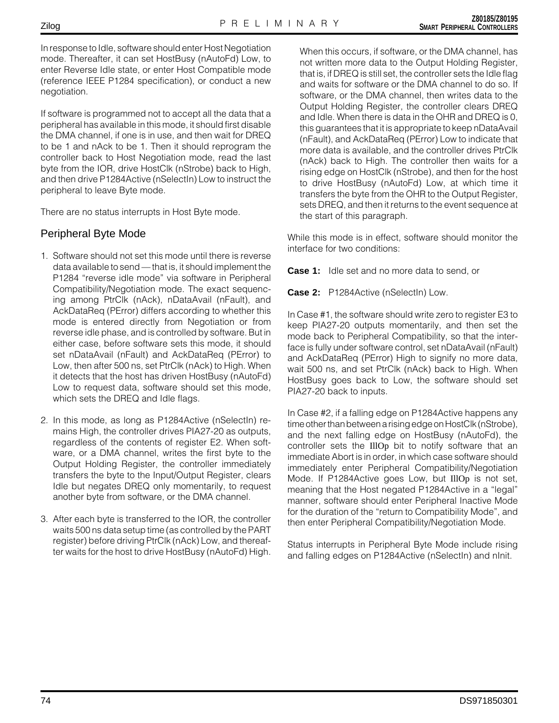In response to Idle, software should enter Host Negotiation mode. Thereafter, it can set HostBusy (nAutoFd) Low, to enter Reverse Idle state, or enter Host Compatible mode (reference IEEE P1284 specification), or conduct a new negotiation.

If software is programmed not to accept all the data that a peripheral has available in this mode, it should first disable the DMA channel, if one is in use, and then wait for DREQ to be 1 and nAck to be 1. Then it should reprogram the controller back to Host Negotiation mode, read the last byte from the IOR, drive HostClk (nStrobe) back to High, and then drive P1284Active (nSelectIn) Low to instruct the peripheral to leave Byte mode.

There are no status interrupts in Host Byte mode.

### Peripheral Byte Mode

- 1. Software should not set this mode until there is reverse data available to send — that is, it should implement the P1284 "reverse idle mode" via software in Peripheral Compatibility/Negotiation mode. The exact sequencing among PtrClk (nAck), nDataAvail (nFault), and AckDataReq (PError) differs according to whether this mode is entered directly from Negotiation or from reverse idle phase, and is controlled by software. But in either case, before software sets this mode, it should set nDataAvail (nFault) and AckDataReq (PError) to Low, then after 500 ns, set PtrClk (nAck) to High. When it detects that the host has driven HostBusy (nAutoFd) Low to request data, software should set this mode, which sets the DREQ and Idle flags.
- 2. In this mode, as long as P1284Active (nSelectIn) remains High, the controller drives PIA27-20 as outputs, regardless of the contents of register E2. When software, or a DMA channel, writes the first byte to the Output Holding Register, the controller immediately transfers the byte to the Input/Output Register, clears Idle but negates DREQ only momentarily, to request another byte from software, or the DMA channel.
- 3. After each byte is transferred to the IOR, the controller waits 500 ns data setup time (as controlled by the PART register) before driving PtrClk (nAck) Low, and thereafter waits for the host to drive HostBusy (nAutoFd) High.

When this occurs, if software, or the DMA channel, has not written more data to the Output Holding Register, that is, if DREQ is still set, the controller sets the Idle flag and waits for software or the DMA channel to do so. If software, or the DMA channel, then writes data to the Output Holding Register, the controller clears DREQ and Idle. When there is data in the OHR and DREQ is 0, this guarantees that it is appropriate to keep nDataAvail (nFault), and AckDataReq (PError) Low to indicate that more data is available, and the controller drives PtrClk (nAck) back to High. The controller then waits for a rising edge on HostClk (nStrobe), and then for the host to drive HostBusy (nAutoFd) Low, at which time it transfers the byte from the OHR to the Output Register, sets DREQ, and then it returns to the event sequence at the start of this paragraph.

While this mode is in effect, software should monitor the interface for two conditions:

**Case 1:** Idle set and no more data to send, or

**Case 2:** P1284Active (nSelectIn) Low.

In Case #1, the software should write zero to register E3 to keep PIA27-20 outputs momentarily, and then set the mode back to Peripheral Compatibility, so that the interface is fully under software control, set nDataAvail (nFault) and AckDataReq (PError) High to signify no more data, wait 500 ns, and set PtrClk (nAck) back to High. When HostBusy goes back to Low, the software should set PIA27-20 back to inputs.

In Case #2, if a falling edge on P1284Active happens any time other than between a rising edge on HostClk (nStrobe), and the next falling edge on HostBusy (nAutoFd), the controller sets the IllOp bit to notify software that an immediate Abort is in order, in which case software should immediately enter Peripheral Compatibility/Negotiation Mode. If P1284Active goes Low, but IllOp is not set, meaning that the Host negated P1284Active in a "legal" manner, software should enter Peripheral Inactive Mode for the duration of the "return to Compatibility Mode", and then enter Peripheral Compatibility/Negotiation Mode.

Status interrupts in Peripheral Byte Mode include rising and falling edges on P1284Active (nSelectIn) and nInit.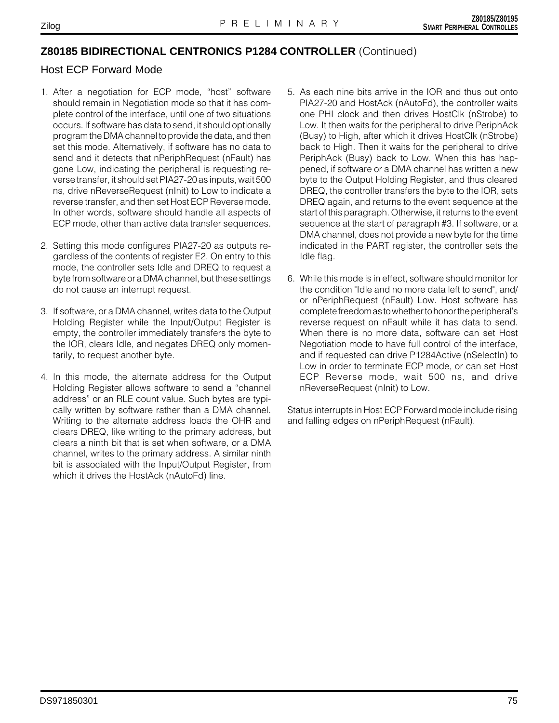# **Z80185 BIDIRECTIONAL CENTRONICS P1284 CONTROLLER** (Continued)

### Host ECP Forward Mode

- 1. After a negotiation for ECP mode, "host" software should remain in Negotiation mode so that it has complete control of the interface, until one of two situations occurs. If software has data to send, it should optionally program the DMA channel to provide the data, and then set this mode. Alternatively, if software has no data to send and it detects that nPeriphRequest (nFault) has gone Low, indicating the peripheral is requesting reverse transfer, it should set PIA27-20 as inputs, wait 500 ns, drive nReverseRequest (nInit) to Low to indicate a reverse transfer, and then set Host ECP Reverse mode. In other words, software should handle all aspects of ECP mode, other than active data transfer sequences.
- 2. Setting this mode configures PIA27-20 as outputs regardless of the contents of register E2. On entry to this mode, the controller sets Idle and DREQ to request a byte from software or a DMA channel, but these settings do not cause an interrupt request.
- 3. If software, or a DMA channel, writes data to the Output Holding Register while the Input/Output Register is empty, the controller immediately transfers the byte to the IOR, clears Idle, and negates DREQ only momentarily, to request another byte.
- 4. In this mode, the alternate address for the Output Holding Register allows software to send a "channel address" or an RLE count value. Such bytes are typically written by software rather than a DMA channel. Writing to the alternate address loads the OHR and clears DREQ, like writing to the primary address, but clears a ninth bit that is set when software, or a DMA channel, writes to the primary address. A similar ninth bit is associated with the Input/Output Register, from which it drives the HostAck (nAutoFd) line.
- 5. As each nine bits arrive in the IOR and thus out onto PIA27-20 and HostAck (nAutoFd), the controller waits one PHI clock and then drives HostClk (nStrobe) to Low. It then waits for the peripheral to drive PeriphAck (Busy) to High, after which it drives HostClk (nStrobe) back to High. Then it waits for the peripheral to drive PeriphAck (Busy) back to Low. When this has happened, if software or a DMA channel has written a new byte to the Output Holding Register, and thus cleared DREQ, the controller transfers the byte to the IOR, sets DREQ again, and returns to the event sequence at the start of this paragraph. Otherwise, it returns to the event sequence at the start of paragraph #3. If software, or a DMA channel, does not provide a new byte for the time indicated in the PART register, the controller sets the Idle flag.
- 6. While this mode is in effect, software should monitor for the condition "Idle and no more data left to send", and/ or nPeriphRequest (nFault) Low. Host software has complete freedom as to whether to honor the peripheral's reverse request on nFault while it has data to send. When there is no more data, software can set Host Negotiation mode to have full control of the interface, and if requested can drive P1284Active (nSelectIn) to Low in order to terminate ECP mode, or can set Host ECP Reverse mode, wait 500 ns, and drive nReverseRequest (nInit) to Low.

Status interrupts in Host ECP Forward mode include rising and falling edges on nPeriphRequest (nFault).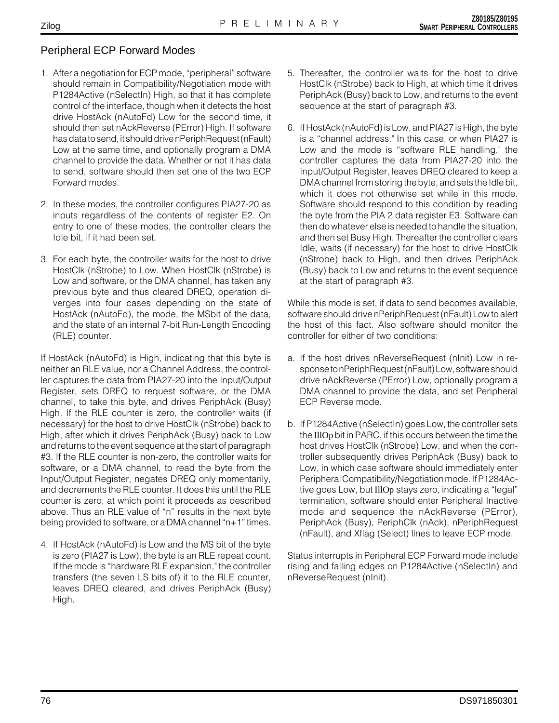# Peripheral ECP Forward Modes

- 1. After a negotiation for ECP mode, "peripheral" software should remain in Compatibility/Negotiation mode with P1284Active (nSelectIn) High, so that it has complete control of the interface, though when it detects the host drive HostAck (nAutoFd) Low for the second time, it should then set nAckReverse (PError) High. If software has data to send, it should drive nPeriphRequest (nFault) Low at the same time, and optionally program a DMA channel to provide the data. Whether or not it has data to send, software should then set one of the two ECP Forward modes.
- 2. In these modes, the controller configures PIA27-20 as inputs regardless of the contents of register E2. On entry to one of these modes, the controller clears the Idle bit, if it had been set.
- 3. For each byte, the controller waits for the host to drive HostClk (nStrobe) to Low. When HostClk (nStrobe) is Low and software, or the DMA channel, has taken any previous byte and thus cleared DREQ, operation diverges into four cases depending on the state of HostAck (nAutoFd), the mode, the MSbit of the data, and the state of an internal 7-bit Run-Length Encoding (RLE) counter.

If HostAck (nAutoFd) is High, indicating that this byte is neither an RLE value, nor a Channel Address, the controller captures the data from PIA27-20 into the Input/Output Register, sets DREQ to request software, or the DMA channel, to take this byte, and drives PeriphAck (Busy) High. If the RLE counter is zero, the controller waits (if necessary) for the host to drive HostClk (nStrobe) back to High, after which it drives PeriphAck (Busy) back to Low and returns to the event sequence at the start of paragraph #3. If the RLE counter is non-zero, the controller waits for software, or a DMA channel, to read the byte from the Input/Output Register, negates DREQ only momentarily, and decrements the RLE counter. It does this until the RLE counter is zero, at which point it proceeds as described above. Thus an RLE value of "n" results in the next byte being provided to software, or a DMA channel "n+1" times.

4. If HostAck (nAutoFd) is Low and the MS bit of the byte is zero (PIA27 is Low), the byte is an RLE repeat count. If the mode is "hardware RLE expansion," the controller transfers (the seven LS bits of) it to the RLE counter, leaves DREQ cleared, and drives PeriphAck (Busy) High.

- 5. Thereafter, the controller waits for the host to drive HostClk (nStrobe) back to High, at which time it drives PeriphAck (Busy) back to Low, and returns to the event sequence at the start of paragraph #3.
- 6. If HostAck (nAutoFd) is Low, and PIA27 is High, the byte is a "channel address." In this case, or when PIA27 is Low and the mode is "software RLE handling," the controller captures the data from PIA27-20 into the Input/Output Register, leaves DREQ cleared to keep a DMA channel from storing the byte, and sets the Idle bit, which it does not otherwise set while in this mode. Software should respond to this condition by reading the byte from the PIA 2 data register E3. Software can then do whatever else is needed to handle the situation, and then set Busy High. Thereafter the controller clears Idle, waits (if necessary) for the host to drive HostClk (nStrobe) back to High, and then drives PeriphAck (Busy) back to Low and returns to the event sequence at the start of paragraph #3.

While this mode is set, if data to send becomes available, software should drive nPeriphRequest (nFault) Low to alert the host of this fact. Also software should monitor the controller for either of two conditions:

- a. If the host drives nReverseRequest (nInit) Low in response to nPeriphRequest (nFault) Low, software should drive nAckReverse (PError) Low, optionally program a DMA channel to provide the data, and set Peripheral ECP Reverse mode.
- b. If P1284Active (nSelectIn) goes Low, the controller sets the IllOp bit in PARC, if this occurs between the time the host drives HostClk (nStrobe) Low, and when the controller subsequently drives PeriphAck (Busy) back to Low, in which case software should immediately enter Peripheral Compatibility/Negotiation mode. If P1284Active goes Low, but IllOp stays zero, indicating a "legal" termination, software should enter Peripheral Inactive mode and sequence the nAckReverse (PError), PeriphAck (Busy), PeriphClk (nAck), nPeriphRequest (nFault), and Xflag (Select) lines to leave ECP mode.

Status interrupts in Peripheral ECP Forward mode include rising and falling edges on P1284Active (nSelectIn) and nReverseRequest (nInit).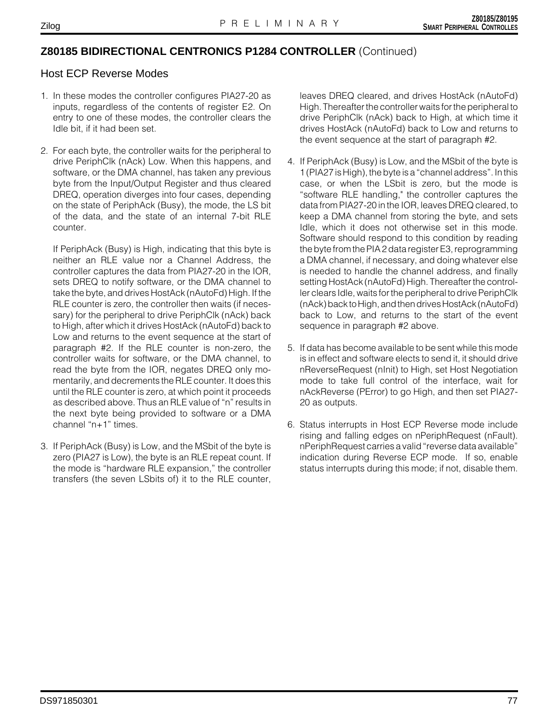### **Z80185 BIDIRECTIONAL CENTRONICS P1284 CONTROLLER** (Continued)

### Host ECP Reverse Modes

- 1. In these modes the controller configures PIA27-20 as inputs, regardless of the contents of register E2. On entry to one of these modes, the controller clears the Idle bit, if it had been set.
- 2. For each byte, the controller waits for the peripheral to drive PeriphClk (nAck) Low. When this happens, and software, or the DMA channel, has taken any previous byte from the Input/Output Register and thus cleared DREQ, operation diverges into four cases, depending on the state of PeriphAck (Busy), the mode, the LS bit of the data, and the state of an internal 7-bit RLE counter.

If PeriphAck (Busy) is High, indicating that this byte is neither an RLE value nor a Channel Address, the controller captures the data from PIA27-20 in the IOR, sets DREQ to notify software, or the DMA channel to take the byte, and drives HostAck (nAutoFd) High. If the RLE counter is zero, the controller then waits (if necessary) for the peripheral to drive PeriphClk (nAck) back to High, after which it drives HostAck (nAutoFd) back to Low and returns to the event sequence at the start of paragraph #2. If the RLE counter is non-zero, the controller waits for software, or the DMA channel, to read the byte from the IOR, negates DREQ only momentarily, and decrements the RLE counter. It does this until the RLE counter is zero, at which point it proceeds as described above. Thus an RLE value of "n" results in the next byte being provided to software or a DMA channel "n+1" times.

3. If PeriphAck (Busy) is Low, and the MSbit of the byte is zero (PIA27 is Low), the byte is an RLE repeat count. If the mode is "hardware RLE expansion," the controller transfers (the seven LSbits of) it to the RLE counter, leaves DREQ cleared, and drives HostAck (nAutoFd) High. Thereafter the controller waits for the peripheral to drive PeriphClk (nAck) back to High, at which time it drives HostAck (nAutoFd) back to Low and returns to the event sequence at the start of paragraph #2.

- 4. If PeriphAck (Busy) is Low, and the MSbit of the byte is 1 (PIA27 is High), the byte is a "channel address". In this case, or when the LSbit is zero, but the mode is "software RLE handling," the controller captures the data from PIA27-20 in the IOR, leaves DREQ cleared, to keep a DMA channel from storing the byte, and sets Idle, which it does not otherwise set in this mode. Software should respond to this condition by reading the byte from the PIA 2 data register E3, reprogramming a DMA channel, if necessary, and doing whatever else is needed to handle the channel address, and finally setting HostAck (nAutoFd) High. Thereafter the controller clears Idle, waits for the peripheral to drive PeriphClk (nAck) back to High, and then drives HostAck (nAutoFd) back to Low, and returns to the start of the event sequence in paragraph #2 above.
- 5. If data has become available to be sent while this mode is in effect and software elects to send it, it should drive nReverseRequest (nInit) to High, set Host Negotiation mode to take full control of the interface, wait for nAckReverse (PError) to go High, and then set PIA27- 20 as outputs.
- 6. Status interrupts in Host ECP Reverse mode include rising and falling edges on nPeriphRequest (nFault). nPeriphRequest carries a valid "reverse data available" indication during Reverse ECP mode. If so, enable status interrupts during this mode; if not, disable them.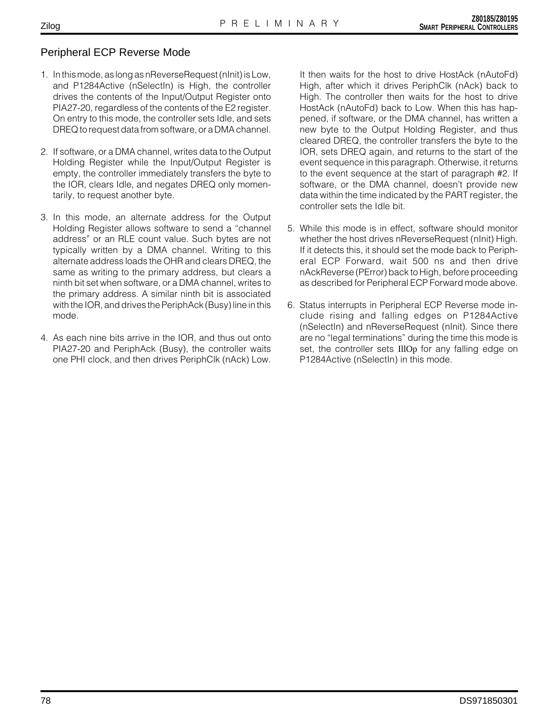### Peripheral ECP Reverse Mode

- 1. In this mode, as long as nReverseRequest (nInit) is Low, and P1284Active (nSelectIn) is High, the controller drives the contents of the Input/Output Register onto PIA27-20, regardless of the contents of the E2 register. On entry to this mode, the controller sets Idle, and sets DREQ to request data from software, or a DMA channel.
- 2. If software, or a DMA channel, writes data to the Output Holding Register while the Input/Output Register is empty, the controller immediately transfers the byte to the IOR, clears Idle, and negates DREQ only momentarily, to request another byte.
- 3. In this mode, an alternate address for the Output Holding Register allows software to send a "channel address" or an RLE count value. Such bytes are not typically written by a DMA channel. Writing to this alternate address loads the OHR and clears DREQ, the same as writing to the primary address, but clears a ninth bit set when software, or a DMA channel, writes to the primary address. A similar ninth bit is associated with the IOR, and drives the PeriphAck (Busy) line in this mode.
- 4. As each nine bits arrive in the IOR, and thus out onto PIA27-20 and PeriphAck (Busy), the controller waits one PHI clock, and then drives PeriphClk (nAck) Low.

It then waits for the host to drive HostAck (nAutoFd) High, after which it drives PeriphClk (nAck) back to High. The controller then waits for the host to drive HostAck (nAutoFd) back to Low. When this has happened, if software, or the DMA channel, has written a new byte to the Output Holding Register, and thus cleared DREQ, the controller transfers the byte to the IOR, sets DREQ again, and returns to the start of the event sequence in this paragraph. Otherwise, it returns to the event sequence at the start of paragraph #2. If software, or the DMA channel, doesn't provide new data within the time indicated by the PART register, the controller sets the Idle bit.

- 5. While this mode is in effect, software should monitor whether the host drives nReverseRequest (nInit) High. If it detects this, it should set the mode back to Peripheral ECP Forward, wait 500 ns and then drive nAckReverse (PError) back to High, before proceeding as described for Peripheral ECP Forward mode above.
- 6. Status interrupts in Peripheral ECP Reverse mode include rising and falling edges on P1284Active (nSelectIn) and nReverseRequest (nInit). Since there are no "legal terminations" during the time this mode is set, the controller sets IllOp for any falling edge on P1284Active (nSelectIn) in this mode.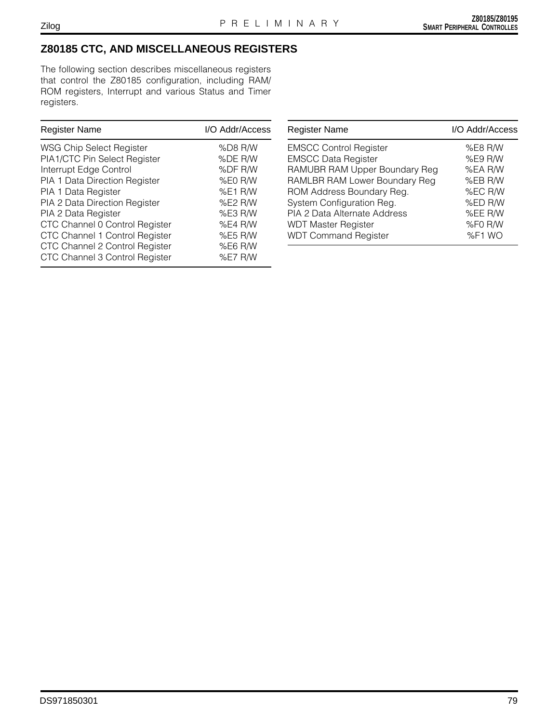# **Z80185 CTC, AND MISCELLANEOUS REGISTERS**

The following section describes miscellaneous registers that control the Z80185 configuration, including RAM/ ROM registers, Interrupt and various Status and Timer registers.

| <b>Register Name</b>           | I/O Addr/Access |
|--------------------------------|-----------------|
| WSG Chip Select Register       | %D8 R/W         |
| PIA1/CTC Pin Select Register   | %DE R/W         |
| Interrupt Edge Control         | %DF R/W         |
| PIA 1 Data Direction Register  | %E0 R/W         |
| PIA 1 Data Register            | %E1 R/W         |
| PIA 2 Data Direction Register  | %E2 R/W         |
| PIA 2 Data Register            | %E3 R/W         |
| CTC Channel 0 Control Register | $%E4$ R/W       |
| CTC Channel 1 Control Register | %E5 R/W         |
| CTC Channel 2 Control Register | %E6 R/W         |
| CTC Channel 3 Control Register | %E7 R/W         |

| <b>Register Name</b>          | I/O Addr/Access |
|-------------------------------|-----------------|
| <b>EMSCC Control Register</b> | %E8 R/W         |
| <b>EMSCC Data Register</b>    | %E9 R/W         |
| RAMUBR RAM Upper Boundary Reg | %EA R/W         |
| RAMLBR RAM Lower Boundary Reg | %EB R/W         |
| ROM Address Boundary Reg.     | %EC R/W         |
| System Configuration Reg.     | %ED R/W         |
| PIA 2 Data Alternate Address  | %EE R/W         |
| <b>WDT Master Register</b>    | %F0 R/W         |
| <b>WDT Command Register</b>   | %F1 WO          |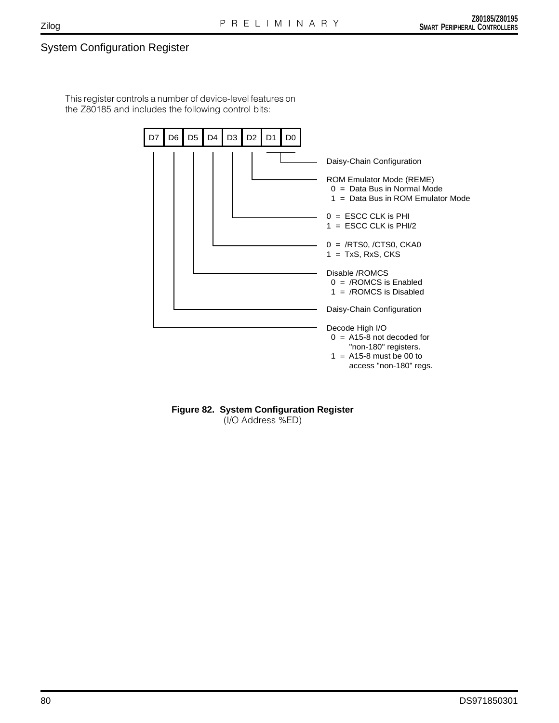# System Configuration Register

This register controls a number of device-level features on the Z80185 and includes the following control bits:



**Figure 82. System Configuration Register**

(I/O Address %ED)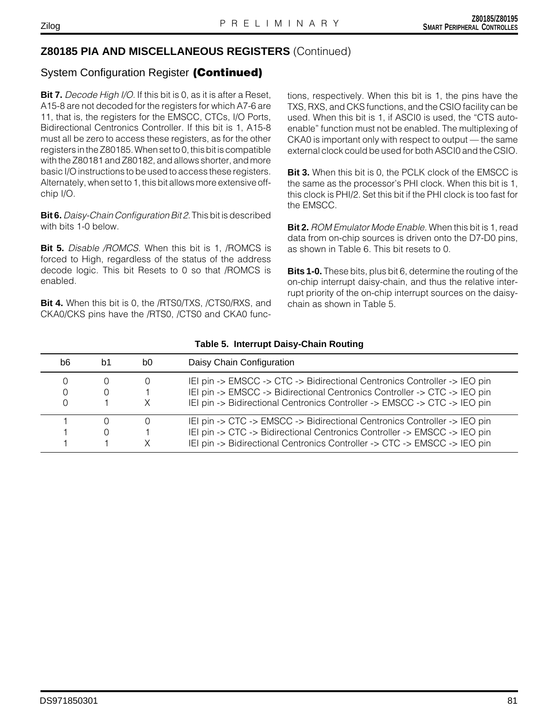### System Configuration Register **(Continued)**

**Bit 7.** Decode High I/O. If this bit is 0, as it is after a Reset, A15-8 are not decoded for the registers for which A7-6 are 11, that is, the registers for the EMSCC, CTCs, I/O Ports, Bidirectional Centronics Controller. If this bit is 1, A15-8 must all be zero to access these registers, as for the other registers in the Z80185. When set to 0, this bit is compatible with the Z80181 and Z80182, and allows shorter, and more basic I/O instructions to be used to access these registers. Alternately, when set to 1, this bit allows more extensive offchip I/O.

**Bit 6.** Daisy-Chain Configuration Bit 2. This bit is described with bits 1-0 below.

**Bit 5.** Disable /ROMCS. When this bit is 1, /ROMCS is forced to High, regardless of the status of the address decode logic. This bit Resets to 0 so that /ROMCS is enabled.

**Bit 4.** When this bit is 0, the /RTS0/TXS, /CTS0/RXS, and CKA0/CKS pins have the /RTS0, /CTS0 and CKA0 functions, respectively. When this bit is 1, the pins have the TXS, RXS, and CKS functions, and the CSIO facility can be used. When this bit is 1, if ASCI0 is used, the "CTS autoenable" function must not be enabled. The multiplexing of CKA0 is important only with respect to output — the same external clock could be used for both ASCI0 and the CSIO.

**Bit 3.** When this bit is 0, the PCLK clock of the EMSCC is the same as the processor's PHI clock. When this bit is 1, this clock is PHI/2. Set this bit if the PHI clock is too fast for the EMSCC.

**Bit 2.** ROM Emulator Mode Enable. When this bit is 1, read data from on-chip sources is driven onto the D7-D0 pins, as shown in Table 6. This bit resets to 0.

**Bits 1-0.** These bits, plus bit 6, determine the routing of the on-chip interrupt daisy-chain, and thus the relative interrupt priority of the on-chip interrupt sources on the daisychain as shown in Table 5.

| b6          | b1       | b0 | Daisy Chain Configuration                                                                                                                                                                                                           |
|-------------|----------|----|-------------------------------------------------------------------------------------------------------------------------------------------------------------------------------------------------------------------------------------|
| O<br>0<br>0 | $\Omega$ |    | IEI pin -> EMSCC -> CTC -> Bidirectional Centronics Controller -> IEO pin<br>IEI pin -> EMSCC -> Bidirectional Centronics Controller -> CTC -> IEO pin<br>IEI pin -> Bidirectional Centronics Controller -> EMSCC -> CTC -> IEO pin |
|             | O        |    | IEI pin -> CTC -> EMSCC -> Bidirectional Centronics Controller -> IEO pin<br>IEI pin -> CTC -> Bidirectional Centronics Controller -> EMSCC -> IEO pin<br>IEI pin -> Bidirectional Centronics Controller -> CTC -> EMSCC -> IEO pin |

#### **Table 5. Interrupt Daisy-Chain Routing**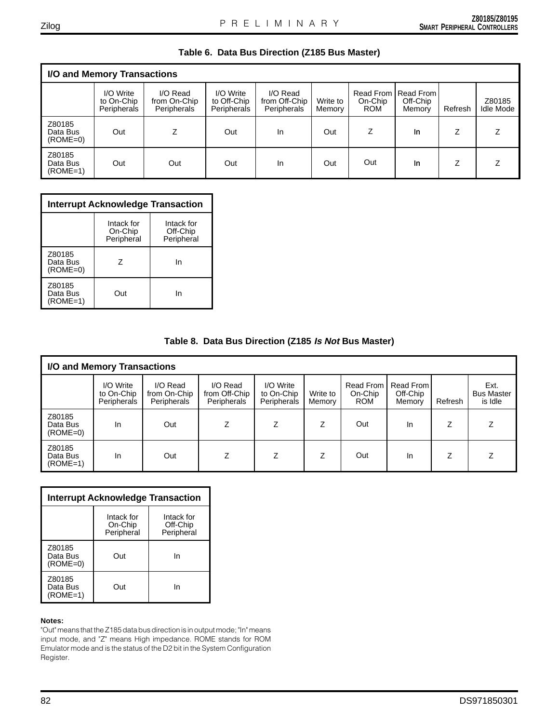| I/O and Memory Transactions      |                                        |                                         |                                         |                                          |                    |                       |                                               |         |                     |
|----------------------------------|----------------------------------------|-----------------------------------------|-----------------------------------------|------------------------------------------|--------------------|-----------------------|-----------------------------------------------|---------|---------------------|
|                                  | I/O Write<br>to On-Chip<br>Peripherals | I/O Read<br>from On-Chip<br>Peripherals | I/O Write<br>to Off-Chip<br>Peripherals | I/O Read<br>from Off-Chip<br>Peripherals | Write to<br>Memory | On-Chip<br><b>ROM</b> | Read From I Read From I<br>Off-Chip<br>Memory | Refresh | Z80185<br>Idle Mode |
| Z80185<br>Data Bus<br>$(ROME=0)$ | Out                                    | Z                                       | Out                                     | In                                       | Out                | Z                     | In                                            | 7       |                     |
| Z80185<br>Data Bus<br>$(ROME=1)$ | Out                                    | Out                                     | Out                                     | In                                       | Out                | Out                   | In                                            |         |                     |

### **Table 6. Data Bus Direction (Z185 Bus Master)**

| <b>Interrupt Acknowledge Transaction</b> |                                     |                                      |  |  |  |  |  |
|------------------------------------------|-------------------------------------|--------------------------------------|--|--|--|--|--|
|                                          | Intack for<br>On-Chip<br>Peripheral | Intack for<br>Off-Chip<br>Peripheral |  |  |  |  |  |
| Z80185<br>Data Bus<br>$(ROME=0)$         | 7                                   | In                                   |  |  |  |  |  |
| Z80185<br>Data Bus<br>$(ROME=1)$         | Out                                 | In                                   |  |  |  |  |  |

#### **Table 8. Data Bus Direction (Z185 Is Not Bus Master)**

| I/O and Memory Transactions      |                                        |                                                |                                                 |                                        |                    |                                           |                                 |         |                                      |
|----------------------------------|----------------------------------------|------------------------------------------------|-------------------------------------------------|----------------------------------------|--------------------|-------------------------------------------|---------------------------------|---------|--------------------------------------|
|                                  | I/O Write<br>to On-Chip<br>Peripherals | I/O Read<br>from On-Chip<br><b>Peripherals</b> | I/O Read<br>from Off-Chip<br><b>Peripherals</b> | I/O Write<br>to On-Chip<br>Peripherals | Write to<br>Memory | <b>Read From</b><br>On-Chip<br><b>ROM</b> | Read From<br>Off-Chip<br>Memory | Refresh | Ext.<br><b>Bus Master</b><br>is Idle |
| Z80185<br>Data Bus<br>$(ROME=0)$ | In.                                    | Out                                            |                                                 | 7                                      | Z                  | Out                                       | <b>In</b>                       | 7       |                                      |
| Z80185<br>Data Bus<br>$(ROME=1)$ | In.                                    | Out                                            |                                                 |                                        | Z                  | Out                                       | <b>In</b>                       | Z       |                                      |

| Interrupt Acknowledge Transaction |                                     |                                      |  |  |  |  |  |
|-----------------------------------|-------------------------------------|--------------------------------------|--|--|--|--|--|
|                                   | Intack for<br>On-Chip<br>Peripheral | Intack for<br>Off-Chip<br>Peripheral |  |  |  |  |  |
| Z80185<br>Data Bus<br>$(ROME=0)$  | Out                                 | In                                   |  |  |  |  |  |
| Z80185<br>Data Bus<br>$(ROME=1)$  | Out                                 | In                                   |  |  |  |  |  |

#### **Notes:**

"Out" means that the Z185 data bus direction is in output mode; "In" means input mode, and "Z" means High impedance. ROME stands for ROM Emulator mode and is the status of the D2 bit in the System Configuration Register.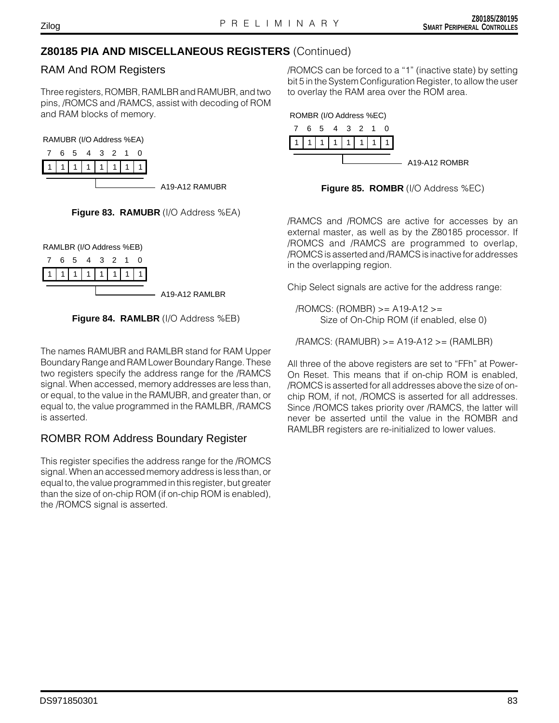### RAM And ROM Registers

Three registers, ROMBR, RAMLBR and RAMUBR, and two pins, /ROMCS and /RAMCS, assist with decoding of ROM and RAM blocks of memory.

RAMUBR (I/O Address %EA)





RAMLBR (I/O Address %EB)





The names RAMUBR and RAMLBR stand for RAM Upper Boundary Range and RAM Lower Boundary Range. These two registers specify the address range for the /RAMCS signal. When accessed, memory addresses are less than, or equal, to the value in the RAMUBR, and greater than, or equal to, the value programmed in the RAMLBR, /RAMCS is asserted.

# ROMBR ROM Address Boundary Register

This register specifies the address range for the /ROMCS signal. When an accessed memory address is less than, or equal to, the value programmed in this register, but greater than the size of on-chip ROM (if on-chip ROM is enabled), the /ROMCS signal is asserted.

/ROMCS can be forced to a "1" (inactive state) by setting bit 5 in the System Configuration Register, to allow the user to overlay the RAM area over the ROM area.



**Figure 85. ROMBR** (I/O Address %EC)

/RAMCS and /ROMCS are active for accesses by an external master, as well as by the Z80185 processor. If /ROMCS and /RAMCS are programmed to overlap, /ROMCS is asserted and /RAMCS is inactive for addresses in the overlapping region.

Chip Select signals are active for the address range:

/ROMCS: (ROMBR) >= A19-A12 >= Size of On-Chip ROM (if enabled, else 0)

/RAMCS: (RAMUBR) >= A19-A12 >= (RAMLBR)

All three of the above registers are set to "FFh" at Power-On Reset. This means that if on-chip ROM is enabled, /ROMCS is asserted for all addresses above the size of onchip ROM, if not, /ROMCS is asserted for all addresses. Since /ROMCS takes priority over /RAMCS, the latter will never be asserted until the value in the ROMBR and RAMLBR registers are re-initialized to lower values.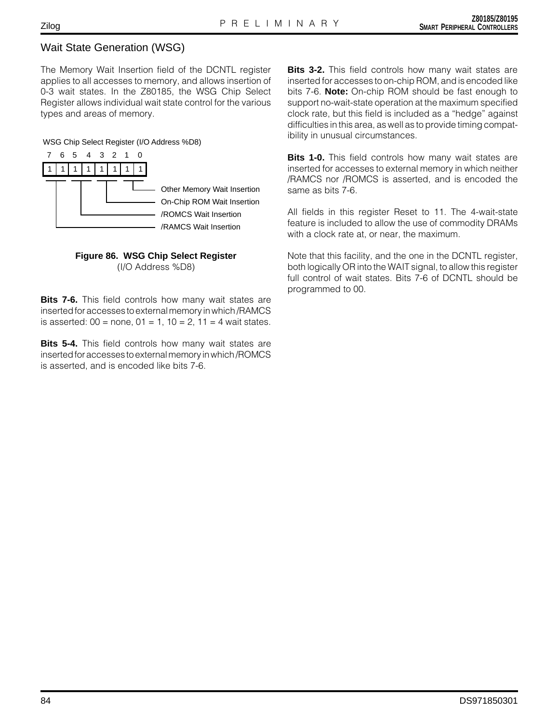# Wait State Generation (WSG)

The Memory Wait Insertion field of the DCNTL register applies to all accesses to memory, and allows insertion of 0-3 wait states. In the Z80185, the WSG Chip Select Register allows individual wait state control for the various types and areas of memory.

#### WSG Chip Select Register (I/O Address %D8)



#### **Figure 86. WSG Chip Select Register** (I/O Address %D8)

**Bits 7-6.** This field controls how many wait states are inserted for accesses to external memory in which /RAMCS is asserted:  $00 =$  none,  $01 = 1$ ,  $10 = 2$ ,  $11 = 4$  wait states.

**Bits 5-4.** This field controls how many wait states are inserted for accesses to external memory in which /ROMCS is asserted, and is encoded like bits 7-6.

**Bits 3-2.** This field controls how many wait states are inserted for accesses to on-chip ROM, and is encoded like bits 7-6. **Note:** On-chip ROM should be fast enough to support no-wait-state operation at the maximum specified clock rate, but this field is included as a "hedge" against difficulties in this area, as well as to provide timing compatibility in unusual circumstances.

**Bits 1-0.** This field controls how many wait states are inserted for accesses to external memory in which neither /RAMCS nor /ROMCS is asserted, and is encoded the same as bits 7-6.

All fields in this register Reset to 11. The 4-wait-state feature is included to allow the use of commodity DRAMs with a clock rate at, or near, the maximum.

Note that this facility, and the one in the DCNTL register, both logically OR into the WAIT signal, to allow this register full control of wait states. Bits 7-6 of DCNTL should be programmed to 00.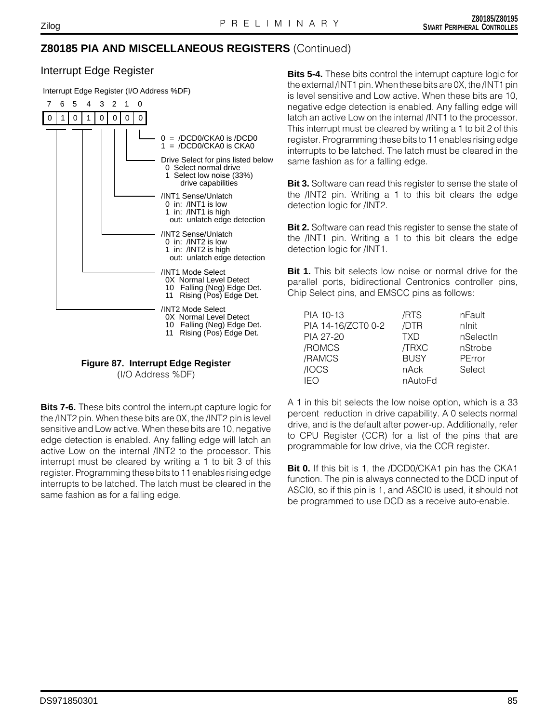### Interrupt Edge Register

Interrupt Edge Register (I/O Address %DF)





(I/O Address %DF)

**Bits 7-6.** These bits control the interrupt capture logic for the /INT2 pin. When these bits are 0X, the /INT2 pin is level sensitive and Low active. When these bits are 10, negative edge detection is enabled. Any falling edge will latch an active Low on the internal /INT2 to the processor. This interrupt must be cleared by writing a 1 to bit 3 of this register. Programming these bits to 11 enables rising edge interrupts to be latched. The latch must be cleared in the same fashion as for a falling edge.

**Bits 5-4.** These bits control the interrupt capture logic for the external /INT1 pin. When these bits are 0X, the /INT1 pin is level sensitive and Low active. When these bits are 10, negative edge detection is enabled. Any falling edge will latch an active Low on the internal /INT1 to the processor. This interrupt must be cleared by writing a 1 to bit 2 of this register. Programming these bits to 11 enables rising edge interrupts to be latched. The latch must be cleared in the same fashion as for a falling edge.

**Bit 3.** Software can read this register to sense the state of the /INT2 pin. Writing a 1 to this bit clears the edge detection logic for /INT2.

**Bit 2.** Software can read this register to sense the state of the /INT1 pin. Writing a 1 to this bit clears the edge detection logic for /INT1.

**Bit 1.** This bit selects low noise or normal drive for the parallel ports, bidirectional Centronics controller pins, Chip Select pins, and EMSCC pins as follows:

| PIA 10-13          | /RTS        | nFault    |
|--------------------|-------------|-----------|
| PIA 14-16/ZCT0 0-2 | /DTR        | nlnit     |
| PIA 27-20          | <b>TXD</b>  | nSelectIn |
| /ROMCS             | /TRXC       | nStrobe   |
| /RAMCS             | <b>BUSY</b> | PError    |
| /IOCS              | nAck        | Select    |
| IEO                | nAutoFd     |           |

A 1 in this bit selects the low noise option, which is a 33 percent reduction in drive capability. A 0 selects normal drive, and is the default after power-up. Additionally, refer to CPU Register (CCR) for a list of the pins that are programmable for low drive, via the CCR register.

**Bit 0.** If this bit is 1, the /DCD0/CKA1 pin has the CKA1 function. The pin is always connected to the DCD input of ASCI0, so if this pin is 1, and ASCI0 is used, it should not be programmed to use DCD as a receive auto-enable.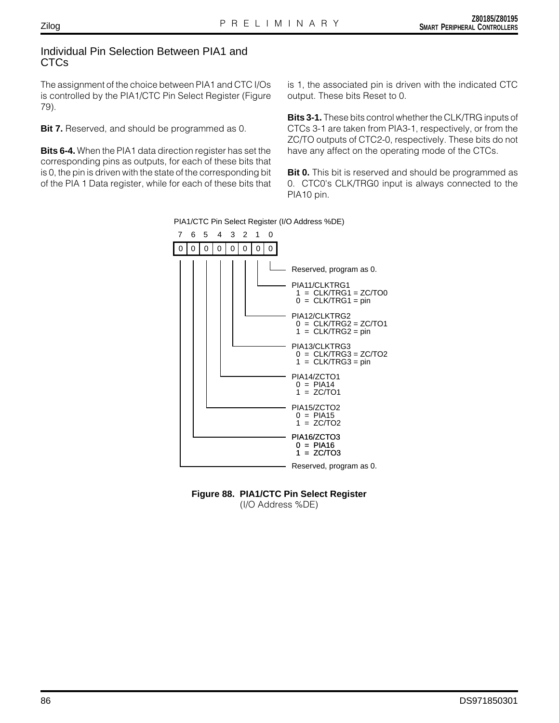### Individual Pin Selection Between PIA1 and CTCs

The assignment of the choice between PIA1 and CTC I/Os is controlled by the PIA1/CTC Pin Select Register (Figure 79).

**Bit 7.** Reserved, and should be programmed as 0.

**Bits 6-4.** When the PIA1 data direction register has set the corresponding pins as outputs, for each of these bits that is 0, the pin is driven with the state of the corresponding bit of the PIA 1 Data register, while for each of these bits that

is 1, the associated pin is driven with the indicated CTC output. These bits Reset to 0.

**Bits 3-1.** These bits control whether the CLK/TRG inputs of CTCs 3-1 are taken from PIA3-1, respectively, or from the ZC/TO outputs of CTC2-0, respectively. These bits do not have any affect on the operating mode of the CTCs.

**Bit 0.** This bit is reserved and should be programmed as 0. CTC0's CLK/TRG0 input is always connected to the PIA10 pin.

PIA1/CTC Pin Select Register (I/O Address %DE)





Zilog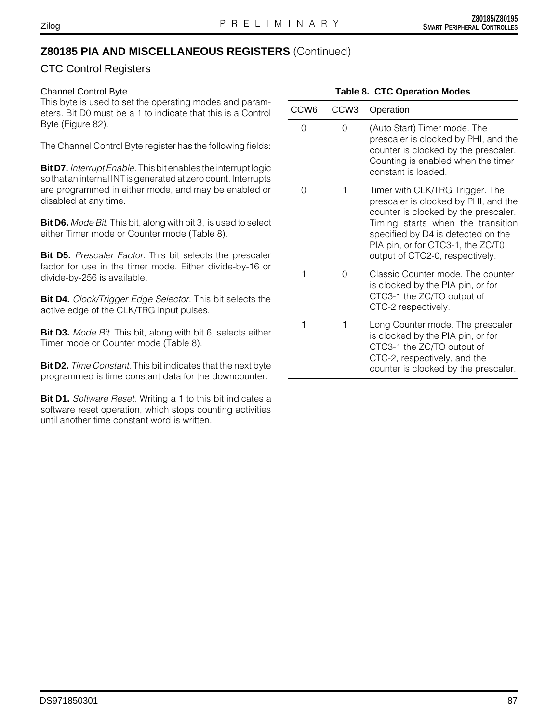### CTC Control Registers

#### Channel Control Byte

This byte is used to set the operating modes and parameters. Bit D0 must be a 1 to indicate that this is a Control Byte (Figure 82).

The Channel Control Byte register has the following fields:

**Bit D7.** Interrupt Enable. This bit enables the interrupt logic so that an internal INT is generated at zero count. Interrupts are programmed in either mode, and may be enabled or disabled at any time.

**Bit D6.** Mode Bit. This bit, along with bit 3, is used to select either Timer mode or Counter mode (Table 8).

**Bit D5.** Prescaler Factor. This bit selects the prescaler factor for use in the timer mode. Either divide-by-16 or divide-by-256 is available.

**Bit D4.** Clock/Trigger Edge Selector. This bit selects the active edge of the CLK/TRG input pulses.

**Bit D3.** Mode Bit. This bit, along with bit 6, selects either Timer mode or Counter mode (Table 8).

**Bit D2.** Time Constant. This bit indicates that the next byte programmed is time constant data for the downcounter.

**Bit D1.** Software Reset. Writing a 1 to this bit indicates a software reset operation, which stops counting activities until another time constant word is written.

| CCW <sub>6</sub> | CCW <sub>3</sub> | Operation                                                                                                                                                                                                                                                          |
|------------------|------------------|--------------------------------------------------------------------------------------------------------------------------------------------------------------------------------------------------------------------------------------------------------------------|
| 0                | O                | (Auto Start) Timer mode. The<br>prescaler is clocked by PHI, and the<br>counter is clocked by the prescaler.<br>Counting is enabled when the timer<br>constant is loaded.                                                                                          |
| 0                | 1                | Timer with CLK/TRG Trigger. The<br>prescaler is clocked by PHI, and the<br>counter is clocked by the prescaler.<br>Timing starts when the transition<br>specified by D4 is detected on the<br>PIA pin, or for CTC3-1, the ZC/T0<br>output of CTC2-0, respectively. |
| 1                | O                | Classic Counter mode. The counter<br>is clocked by the PIA pin, or for<br>CTC3-1 the ZC/TO output of<br>CTC-2 respectively.                                                                                                                                        |
| 1                | 1                | Long Counter mode. The prescaler<br>is clocked by the PIA pin, or for<br>CTC3-1 the ZC/TO output of<br>CTC-2, respectively, and the<br>counter is clocked by the prescaler.                                                                                        |

#### **Table 8. CTC Operation Modes**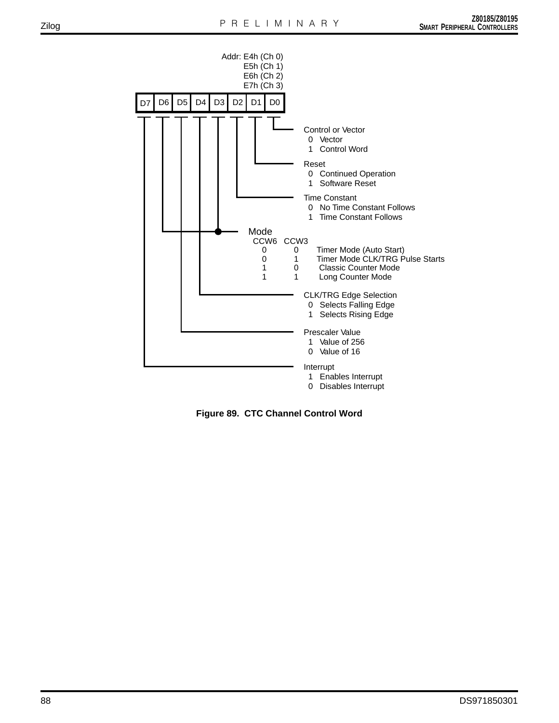

**Figure 89. CTC Channel Control Word**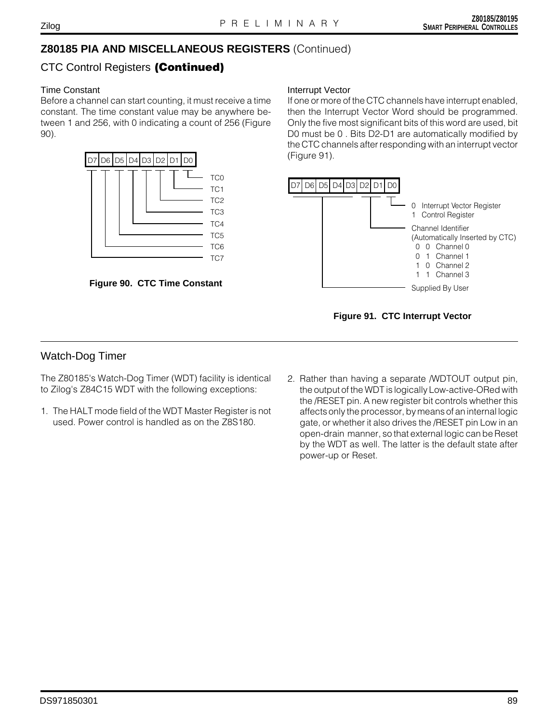# CTC Control Registers **(Continued)**

### Time Constant

Before a channel can start counting, it must receive a time constant. The time constant value may be anywhere between 1 and 256, with 0 indicating a count of 256 (Figure 90).





#### Interrupt Vector

If one or more of the CTC channels have interrupt enabled, then the Interrupt Vector Word should be programmed. Only the five most significant bits of this word are used, bit D0 must be 0 . Bits D2-D1 are automatically modified by the CTC channels after responding with an interrupt vector (Figure 91).



### **Figure 91. CTC Interrupt Vector**

# Watch-Dog Timer

The Z80185's Watch-Dog Timer (WDT) facility is identical to Zilog's Z84C15 WDT with the following exceptions:

- 1. The HALT mode field of the WDT Master Register is not used. Power control is handled as on the Z8S180.
- 2. Rather than having a separate /WDTOUT output pin, the output of the WDT is logically Low-active-ORed with the /RESET pin. A new register bit controls whether this affects only the processor, by means of an internal logic gate, or whether it also drives the /RESET pin Low in an open-drain manner, so that external logic can be Reset by the WDT as well. The latter is the default state after power-up or Reset.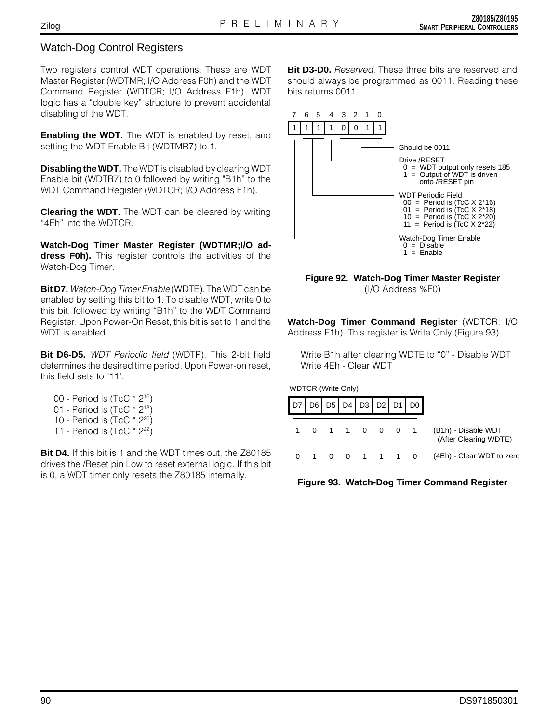### Watch-Dog Control Registers

Two registers control WDT operations. These are WDT Master Register (WDTMR; I/O Address F0h) and the WDT Command Register (WDTCR; I/O Address F1h). WDT logic has a "double key" structure to prevent accidental disabling of the WDT.

**Enabling the WDT.** The WDT is enabled by reset, and setting the WDT Enable Bit (WDTMR7) to 1.

**Disabling the WDT.** The WDT is disabled by clearing WDT Enable bit (WDTR7) to 0 followed by writing "B1h" to the WDT Command Register (WDTCR; I/O Address F1h).

**Clearing the WDT.** The WDT can be cleared by writing "4Eh" into the WDTCR.

**Watch-Dog Timer Master Register (WDTMR;I/O address F0h).** This register controls the activities of the Watch-Dog Timer.

**Bit D7.** Watch-Dog Timer Enable (WDTE). The WDT can be enabled by setting this bit to 1. To disable WDT, write 0 to this bit, followed by writing "B1h" to the WDT Command Register. Upon Power-On Reset, this bit is set to 1 and the WDT is enabled.

**Bit D6-D5.** WDT Periodic field (WDTP). This 2-bit field determines the desired time period. Upon Power-on reset, this field sets to "11".

- 00 Period is (TcC \* 216)
- 01 Period is (TcC \* 218)
- 10 Period is (TcC \* 220)
- 11 Period is  $(TcC * 2^{22})$

**Bit D4.** If this bit is 1 and the WDT times out, the Z80185 drives the /Reset pin Low to reset external logic. If this bit is 0, a WDT timer only resets the Z80185 internally.

**Bit D3-D0.** Reserved. These three bits are reserved and should always be programmed as 0011. Reading these bits returns 0011.



#### **Figure 92. Watch-Dog Timer Master Register** (I/O Address %F0)

**Watch-Dog Timer Command Register** (WDTCR; I/O Address F1h). This register is Write Only (Figure 93).

Write B1h after clearing WDTE to "0" - Disable WDT Write 4Eh - Clear WDT

WDTCR (Write Only)

|                                              | $D7$ D6 D5 D4 D3 D2 D1 D0 |  |             |  |  |
|----------------------------------------------|---------------------------|--|-------------|--|--|
| (B1h) - Disable WDT<br>(After Clearing WDTE) | 0 1 1 0 0 0 1             |  |             |  |  |
| (4Eh) - Clear WDT to zero                    |                           |  | 0 0 1 1 1 0 |  |  |

**Figure 93. Watch-Dog Timer Command Register**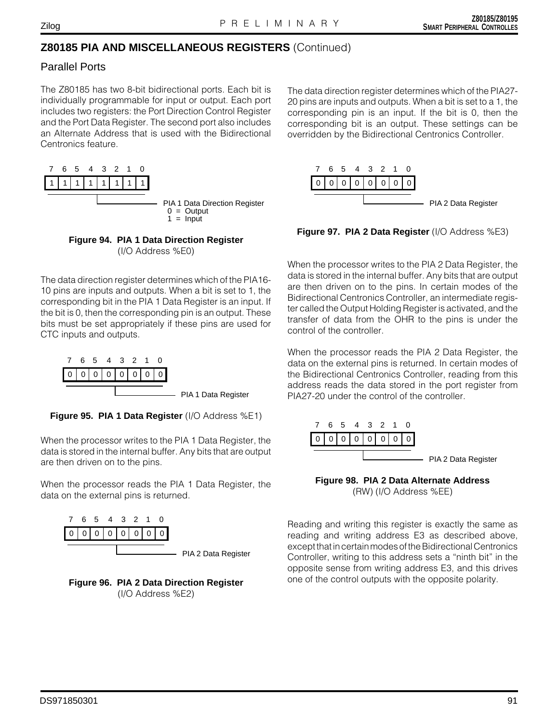### Parallel Ports

The Z80185 has two 8-bit bidirectional ports. Each bit is individually programmable for input or output. Each port includes two registers: the Port Direction Control Register and the Port Data Register. The second port also includes an Alternate Address that is used with the Bidirectional Centronics feature.





The data direction register determines which of the PIA16- 10 pins are inputs and outputs. When a bit is set to 1, the corresponding bit in the PIA 1 Data Register is an input. If the bit is 0, then the corresponding pin is an output. These bits must be set appropriately if these pins are used for CTC inputs and outputs.



**Figure 95. PIA 1 Data Register** (I/O Address %E1)

When the processor writes to the PIA 1 Data Register, the data is stored in the internal buffer. Any bits that are output are then driven on to the pins.

When the processor reads the PIA 1 Data Register, the data on the external pins is returned.





The data direction register determines which of the PIA27- 20 pins are inputs and outputs. When a bit is set to a 1, the corresponding pin is an input. If the bit is 0, then the corresponding bit is an output. These settings can be overridden by the Bidirectional Centronics Controller.



**Figure 97. PIA 2 Data Register** (I/O Address %E3)

When the processor writes to the PIA 2 Data Register, the data is stored in the internal buffer. Any bits that are output are then driven on to the pins. In certain modes of the Bidirectional Centronics Controller, an intermediate register called the Output Holding Register is activated, and the transfer of data from the OHR to the pins is under the control of the controller.

When the processor reads the PIA 2 Data Register, the data on the external pins is returned. In certain modes of the Bidirectional Centronics Controller, reading from this address reads the data stored in the port register from PIA27-20 under the control of the controller.



**Figure 98. PIA 2 Data Alternate Address** (RW) (I/O Address %EE)

Reading and writing this register is exactly the same as reading and writing address E3 as described above, except that in certain modes of the Bidirectional Centronics Controller, writing to this address sets a "ninth bit" in the opposite sense from writing address E3, and this drives one of the control outputs with the opposite polarity.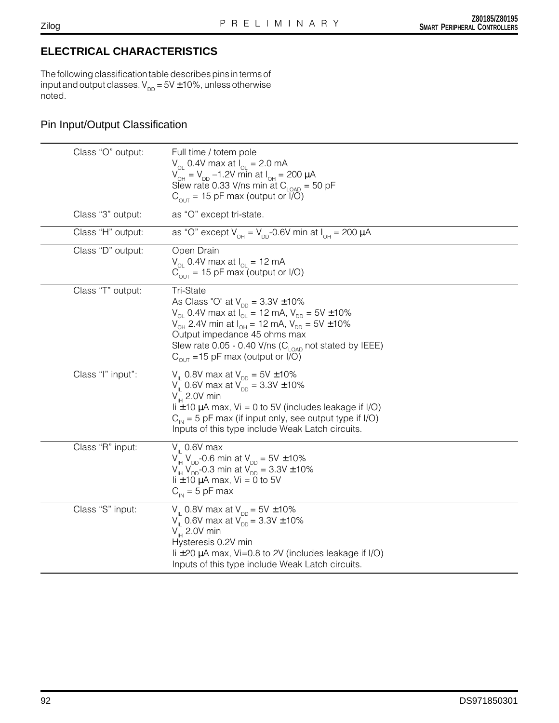# **ELECTRICAL CHARACTERISTICS**

The following classification table describes pins in terms of input and output classes.  $V_{DD} = 5V \pm 10\%$ , unless otherwise noted.

### Pin Input/Output Classification

| Class "O" output: | Full time / totem pole<br>$V_{\odot}$ 0.4V max at $I_{\odot}$ = 2.0 mA<br>$V_{\text{OH}} = V_{\text{DD}} - 1.2V$ min at $I_{\text{OH}} = 200 \mu A$<br>Slew rate 0.33 V/ns min at $C_{I OAD}$ = 50 pF<br>$C_{\text{out}}$ = 15 pF max (output or $\overline{I/O}$ )                                                                                                                     |
|-------------------|-----------------------------------------------------------------------------------------------------------------------------------------------------------------------------------------------------------------------------------------------------------------------------------------------------------------------------------------------------------------------------------------|
| Class "3" output: | as "O" except tri-state.                                                                                                                                                                                                                                                                                                                                                                |
| Class "H" output: | as "O" except $V_{\text{OH}} = V_{\text{DD}}$ -0.6V min at $I_{\text{OH}} = 200 \mu A$                                                                                                                                                                                                                                                                                                  |
| Class "D" output: | Open Drain<br>$V_{\text{o}}$ 0.4V max at $I_{\text{o}} = 12 \text{ mA}$<br>$C_{\text{out}}$ = 15 pF max (output or I/O)                                                                                                                                                                                                                                                                 |
| Class "T" output: | <b>Tri-State</b><br>As Class "O" at $V_{\text{DD}} = 3.3V \pm 10\%$<br>$V_{\text{ol}}$ 0.4V max at $I_{\text{ol}}$ = 12 mA, $V_{\text{DD}}$ = 5V ± 10%<br>$V_{\text{OH}}$ 2.4V min at $I_{\text{OH}}$ = 12 mA, $V_{\text{DD}}$ = 5V ± 10%<br>Output impedance 45 ohms max<br>Slew rate 0.05 - 0.40 V/ns (C <sub>LOAD</sub> not stated by IEEE)<br>$C_{OUT}$ = 15 pF max (output or I/O) |
| Class "I" input": | $V_{\parallel}$ 0.8V max at $V_{\text{DD}} = 5V \pm 10\%$<br>$V_{\text{II}}$ 0.6V max at $V_{\text{DD}} = 3.3V \pm 10\%$<br>$V_{\mu}$ 2.0V min<br>$\mathsf{li} \pm 10$ µA max, Vi = 0 to 5V (includes leakage if I/O)<br>$C_{\text{in}}$ = 5 pF max (if input only, see output type if I/O)<br>Inputs of this type include Weak Latch circuits.                                         |
| Class "R" input:  | $V_{\parallel}$ 0.6V max<br>$V_{\text{H}}$ V <sub>DD</sub> -0.6 min at V <sub>DD</sub> = 5V ± 10%<br>$V_{\text{H}}$ V <sub>pp</sub> -0.3 min at V <sub>pp</sub> = 3.3V ± 10%<br>li $\pm$ 10 µA max, Vi = 0 to 5V<br>$C_{\text{IN}}$ = 5 pF max                                                                                                                                          |
| Class "S" input:  | V <sub>II</sub> 0.8V max at $V_{\text{DD}} = 5V \pm 10\%$<br>$V_{\parallel}$ 0.6V max at $V_{\text{DD}}^{\sim}$ = 3.3V ± 10%<br>$V_{\scriptscriptstyle\rm IH}$ 2.0V min<br>Hysteresis 0.2V min<br>li $\pm$ 20 µA max, Vi=0.8 to 2V (includes leakage if I/O)<br>Inputs of this type include Weak Latch circuits.                                                                        |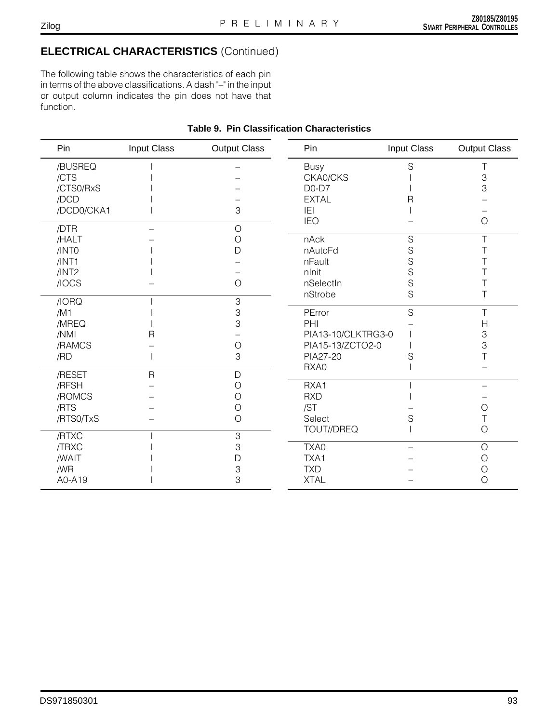#### Zilog

# **ELECTRICAL CHARACTERISTICS** (Continued)

The following table shows the characteristics of each pin in terms of the above classifications. A dash "–" in the input or output column indicates the pin does not have that function.

#### Pin Input Class Output Class /BUSREQ /CTS I – /CTS0/RxS I –  $/DCD$   $\qquad \qquad$   $\qquad \qquad$ /DCD0/CKA1 I 3 /DTR – O /HALT – O /INT0 I D  $/INT1$   $/$  $/INT2$   $/$  $\angle$  /IOCS –  $\angle$  0  $/10$ RQ  $/1$  3<br> $/1$  3  $/M1$   $1$  3 /MREQ I 3 /NMI R –  $/$ RAMCS – O<br> $/$ RD – 3  $/RD$   $1$  3 /RESET R D /RFSH – O /ROMCS – O /RTS – O /RTS0/TxS – O /RTXC and 1 3 /TRXC I 3 /WAIT I D  $\sqrt{MR}$  and  $\sqrt{3}$ A0-A19 I 3 Pin Input Class Output Class Busy S T CKA0/CKS I 3  $DO-D7$  and  $1$  3 EXTAL R – IEI I – IEO – O nAck S T nAutoFd S T<br>
nFault S S T nFault S T nInit S T nSelectIn S T nStrobe S T PError S T PHI – H PIA13-10/CLKTRG3-0 | 3 PIA15-13/ZCTO2-0 I 3<br>PIA27-20 S T PIA27-20 S<br>RXA0 I RXA0 I – RXA1 I – RXD I – /ST – O Select S S T TOUT//DREQ I O TXA0 – O TXA1 – O TXD – O XTAL – O

### **Table 9. Pin Classification Characteristics**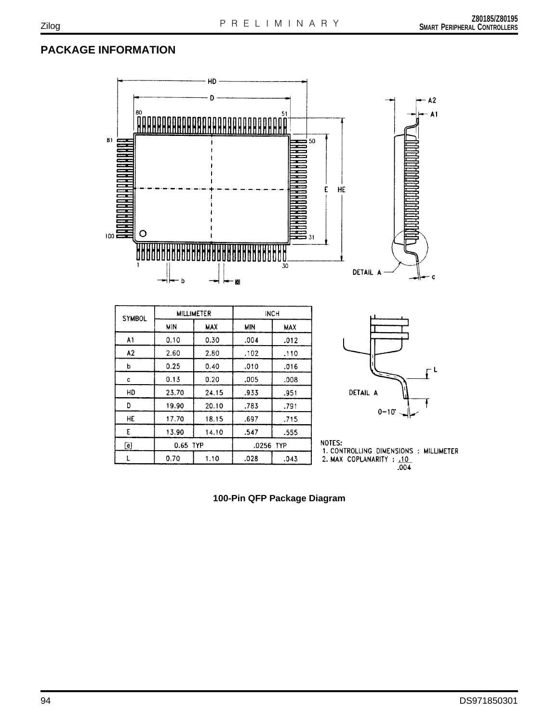# **PACKAGE INFORMATION**



**100-Pin QFP Package Diagram**